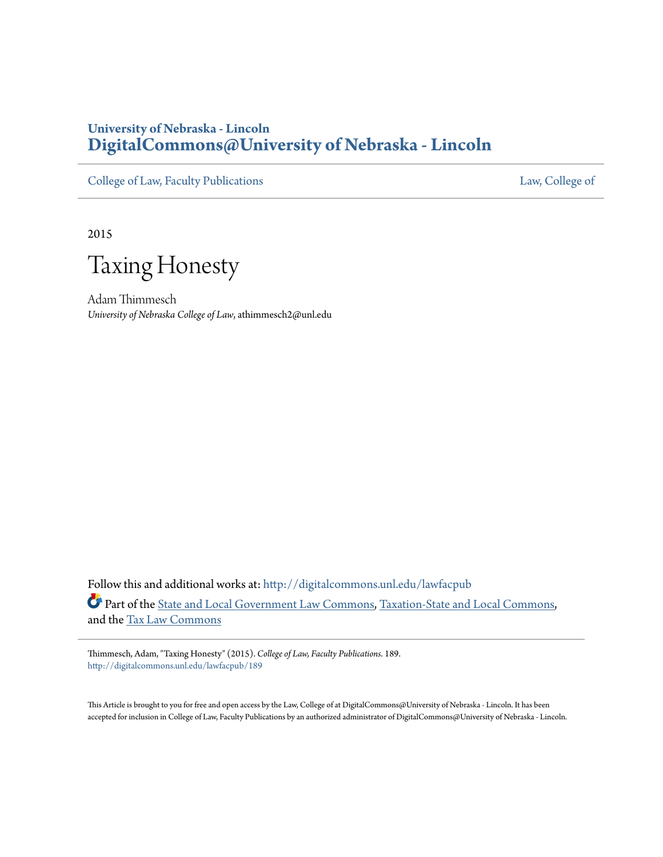# **University of Nebraska - Lincoln [DigitalCommons@University of Nebraska - Lincoln](http://digitalcommons.unl.edu?utm_source=digitalcommons.unl.edu%2Flawfacpub%2F189&utm_medium=PDF&utm_campaign=PDFCoverPages)**

[College of Law, Faculty Publications](http://digitalcommons.unl.edu/lawfacpub?utm_source=digitalcommons.unl.edu%2Flawfacpub%2F189&utm_medium=PDF&utm_campaign=PDFCoverPages) [Law, College of](http://digitalcommons.unl.edu/law?utm_source=digitalcommons.unl.edu%2Flawfacpub%2F189&utm_medium=PDF&utm_campaign=PDFCoverPages) Law, College of

2015

Taxing Honesty

Adam Thimmesch *University of Nebraska College of Law*, athimmesch2@unl.edu

Follow this and additional works at: [http://digitalcommons.unl.edu/lawfacpub](http://digitalcommons.unl.edu/lawfacpub?utm_source=digitalcommons.unl.edu%2Flawfacpub%2F189&utm_medium=PDF&utm_campaign=PDFCoverPages) Part of the [State and Local Government Law Commons,](http://network.bepress.com/hgg/discipline/879?utm_source=digitalcommons.unl.edu%2Flawfacpub%2F189&utm_medium=PDF&utm_campaign=PDFCoverPages) [Taxation-State and Local Commons](http://network.bepress.com/hgg/discipline/882?utm_source=digitalcommons.unl.edu%2Flawfacpub%2F189&utm_medium=PDF&utm_campaign=PDFCoverPages), and the [Tax Law Commons](http://network.bepress.com/hgg/discipline/898?utm_source=digitalcommons.unl.edu%2Flawfacpub%2F189&utm_medium=PDF&utm_campaign=PDFCoverPages)

Thimmesch, Adam, "Taxing Honesty" (2015). *College of Law, Faculty Publications*. 189. [http://digitalcommons.unl.edu/lawfacpub/189](http://digitalcommons.unl.edu/lawfacpub/189?utm_source=digitalcommons.unl.edu%2Flawfacpub%2F189&utm_medium=PDF&utm_campaign=PDFCoverPages)

This Article is brought to you for free and open access by the Law, College of at DigitalCommons@University of Nebraska - Lincoln. It has been accepted for inclusion in College of Law, Faculty Publications by an authorized administrator of DigitalCommons@University of Nebraska - Lincoln.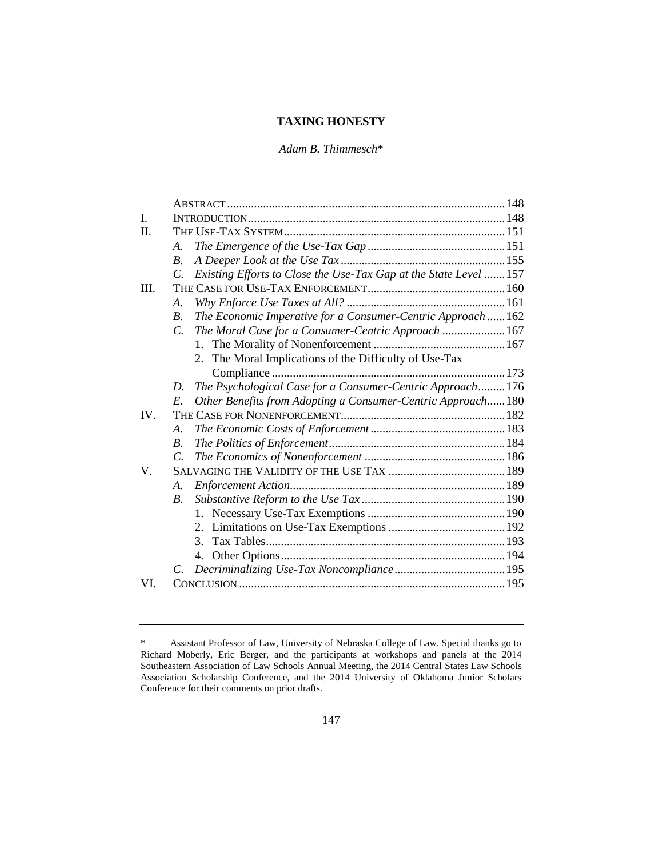# **TAXING HONESTY**

*Adam B. Thimmesch*\*

| I.   |                       |                                                                  |  |
|------|-----------------------|------------------------------------------------------------------|--|
| H.   |                       |                                                                  |  |
|      | $\mathcal{A}_{\cdot}$ |                                                                  |  |
|      | $\boldsymbol{B}$ .    |                                                                  |  |
|      | $\mathcal{C}$         | Existing Efforts to Close the Use-Tax Gap at the State Level 157 |  |
| III. |                       |                                                                  |  |
|      | $\mathcal{A}$ .       |                                                                  |  |
|      | $\overline{B}$ .      | The Economic Imperative for a Consumer-Centric Approach  162     |  |
|      | $\overline{C}$        | The Moral Case for a Consumer-Centric Approach  167              |  |
|      |                       | $1_{-}$                                                          |  |
|      |                       | The Moral Implications of the Difficulty of Use-Tax<br>2.        |  |
|      |                       |                                                                  |  |
|      | D.                    | The Psychological Case for a Consumer-Centric Approach 176       |  |
|      | E.                    | Other Benefits from Adopting a Consumer-Centric Approach180      |  |
| IV.  |                       |                                                                  |  |
|      | A.                    |                                                                  |  |
|      | $\boldsymbol{B}$ .    |                                                                  |  |
|      | $\overline{C}$        |                                                                  |  |
| V.   |                       |                                                                  |  |
|      | A.                    |                                                                  |  |
|      | $\boldsymbol{B}$ .    |                                                                  |  |
|      |                       |                                                                  |  |
|      |                       |                                                                  |  |
|      |                       | 3.                                                               |  |
|      |                       | 4.                                                               |  |
|      | C.                    |                                                                  |  |
| VI.  |                       |                                                                  |  |
|      |                       |                                                                  |  |

<sup>\*</sup> Assistant Professor of Law, University of Nebraska College of Law. Special thanks go to Richard Moberly, Eric Berger, and the participants at workshops and panels at the 2014 Southeastern Association of Law Schools Annual Meeting, the 2014 Central States Law Schools Association Scholarship Conference, and the 2014 University of Oklahoma Junior Scholars Conference for their comments on prior drafts.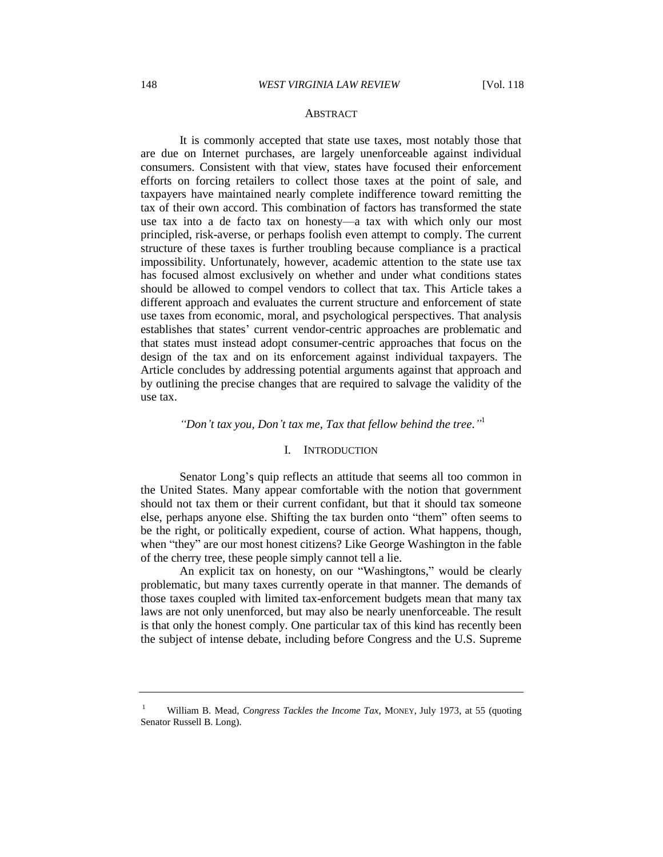#### ABSTRACT

It is commonly accepted that state use taxes, most notably those that are due on Internet purchases, are largely unenforceable against individual consumers. Consistent with that view, states have focused their enforcement efforts on forcing retailers to collect those taxes at the point of sale, and taxpayers have maintained nearly complete indifference toward remitting the tax of their own accord. This combination of factors has transformed the state use tax into a de facto tax on honesty—a tax with which only our most principled, risk-averse, or perhaps foolish even attempt to comply. The current structure of these taxes is further troubling because compliance is a practical impossibility. Unfortunately, however, academic attention to the state use tax has focused almost exclusively on whether and under what conditions states should be allowed to compel vendors to collect that tax. This Article takes a different approach and evaluates the current structure and enforcement of state use taxes from economic, moral, and psychological perspectives. That analysis establishes that states' current vendor-centric approaches are problematic and that states must instead adopt consumer-centric approaches that focus on the design of the tax and on its enforcement against individual taxpayers. The Article concludes by addressing potential arguments against that approach and by outlining the precise changes that are required to salvage the validity of the use tax.

# *"Don't tax you, Don't tax me, Tax that fellow behind the tree*.*"* 1

# I. INTRODUCTION

Senator Long's quip reflects an attitude that seems all too common in the United States. Many appear comfortable with the notion that government should not tax them or their current confidant, but that it should tax someone else, perhaps anyone else. Shifting the tax burden onto "them" often seems to be the right, or politically expedient, course of action. What happens, though, when "they" are our most honest citizens? Like George Washington in the fable of the cherry tree, these people simply cannot tell a lie.

An explicit tax on honesty, on our "Washingtons," would be clearly problematic, but many taxes currently operate in that manner. The demands of those taxes coupled with limited tax-enforcement budgets mean that many tax laws are not only unenforced, but may also be nearly unenforceable. The result is that only the honest comply. One particular tax of this kind has recently been the subject of intense debate, including before Congress and the U.S. Supreme

<sup>1</sup> William B. Mead, *Congress Tackles the Income Tax*, MONEY, July 1973, at 55 (quoting Senator Russell B. Long).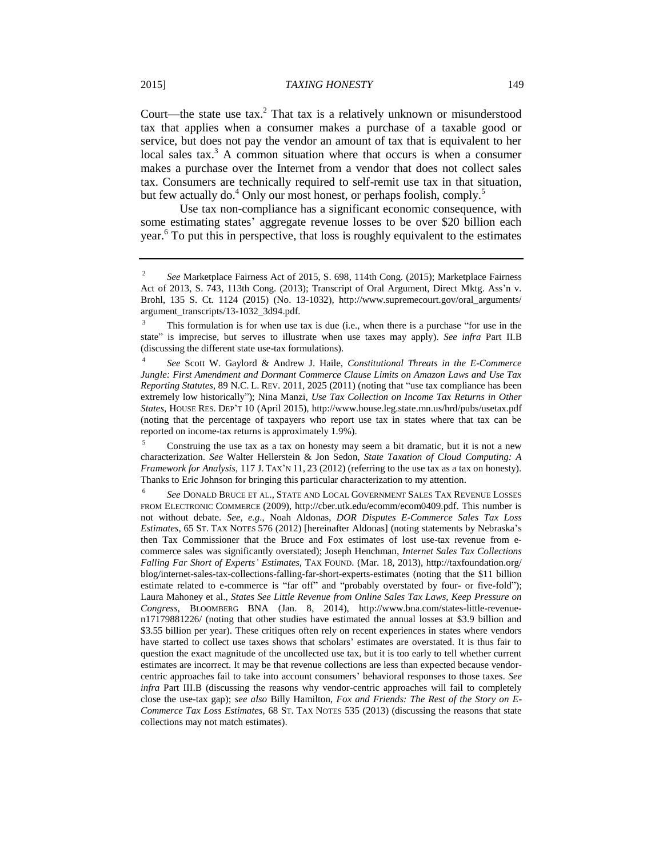Court—the state use tax.<sup>2</sup> That tax is a relatively unknown or misunderstood tax that applies when a consumer makes a purchase of a taxable good or service, but does not pay the vendor an amount of tax that is equivalent to her local sales tax.<sup>3</sup> A common situation where that occurs is when a consumer makes a purchase over the Internet from a vendor that does not collect sales tax. Consumers are technically required to self-remit use tax in that situation, but few actually do.<sup>4</sup> Only our most honest, or perhaps foolish, comply.<sup>5</sup>

Use tax non-compliance has a significant economic consequence, with some estimating states' aggregate revenue losses to be over \$20 billion each year.<sup>6</sup> To put this in perspective, that loss is roughly equivalent to the estimates

<sup>2</sup> *See* Marketplace Fairness Act of 2015, S. 698, 114th Cong. (2015); Marketplace Fairness Act of 2013, S. 743, 113th Cong. (2013); Transcript of Oral Argument, Direct Mktg. Ass'n v. Brohl, 135 S. Ct. 1124 (2015) (No. 13-1032), http://www.supremecourt.gov/oral\_arguments/ argument\_transcripts/13-1032\_3d94.pdf.

 $3$  This formulation is for when use tax is due (i.e., when there is a purchase "for use in the state" is imprecise, but serves to illustrate when use taxes may apply). *See infra* Part II.B (discussing the different state use-tax formulations).

<sup>4</sup> *See* Scott W. Gaylord & Andrew J. Haile, *Constitutional Threats in the E-Commerce Jungle: First Amendment and Dormant Commerce Clause Limits on Amazon Laws and Use Tax Reporting Statutes*, 89 N.C. L. REV. 2011, 2025 (2011) (noting that "use tax compliance has been extremely low historically"); Nina Manzi, *Use Tax Collection on Income Tax Returns in Other States*, HOUSE RES. DEP'T 10 (April 2015), http://www.house.leg.state.mn.us/hrd/pubs/usetax.pdf (noting that the percentage of taxpayers who report use tax in states where that tax can be reported on income-tax returns is approximately 1.9%).

<sup>5</sup> Construing the use tax as a tax on honesty may seem a bit dramatic, but it is not a new characterization. *See* Walter Hellerstein & Jon Sedon, *State Taxation of Cloud Computing: A Framework for Analysis*, 117 J. TAX'N 11, 23 (2012) (referring to the use tax as a tax on honesty). Thanks to Eric Johnson for bringing this particular characterization to my attention.

<sup>6</sup> *See* DONALD BRUCE ET AL., STATE AND LOCAL GOVERNMENT SALES TAX REVENUE LOSSES FROM ELECTRONIC COMMERCE (2009), http://cber.utk.edu/ecomm/ecom0409.pdf. This number is not without debate. *See, e.g.*, Noah Aldonas, *DOR Disputes E-Commerce Sales Tax Loss Estimates*, 65 ST. TAX NOTES 576 (2012) [hereinafter Aldonas] (noting statements by Nebraska's then Tax Commissioner that the Bruce and Fox estimates of lost use-tax revenue from ecommerce sales was significantly overstated); Joseph Henchman, *Internet Sales Tax Collections Falling Far Short of Experts' Estimates*, TAX FOUND. (Mar. 18, 2013), http://taxfoundation.org/ blog/internet-sales-tax-collections-falling-far-short-experts-estimates (noting that the \$11 billion estimate related to e-commerce is "far off" and "probably overstated by four- or five-fold"); Laura Mahoney et al., *States See Little Revenue from Online Sales Tax Laws, Keep Pressure on Congress*, BLOOMBERG BNA (Jan. 8, 2014), http://www.bna.com/states-little-revenuen17179881226/ (noting that other studies have estimated the annual losses at \$3.9 billion and \$3.55 billion per year). These critiques often rely on recent experiences in states where vendors have started to collect use taxes shows that scholars' estimates are overstated. It is thus fair to question the exact magnitude of the uncollected use tax, but it is too early to tell whether current estimates are incorrect. It may be that revenue collections are less than expected because vendorcentric approaches fail to take into account consumers' behavioral responses to those taxes. *See infra* Part III.B (discussing the reasons why vendor-centric approaches will fail to completely close the use-tax gap); *see also* Billy Hamilton, *Fox and Friends: The Rest of the Story on E-Commerce Tax Loss Estimates*, 68 ST. TAX NOTES 535 (2013) (discussing the reasons that state collections may not match estimates).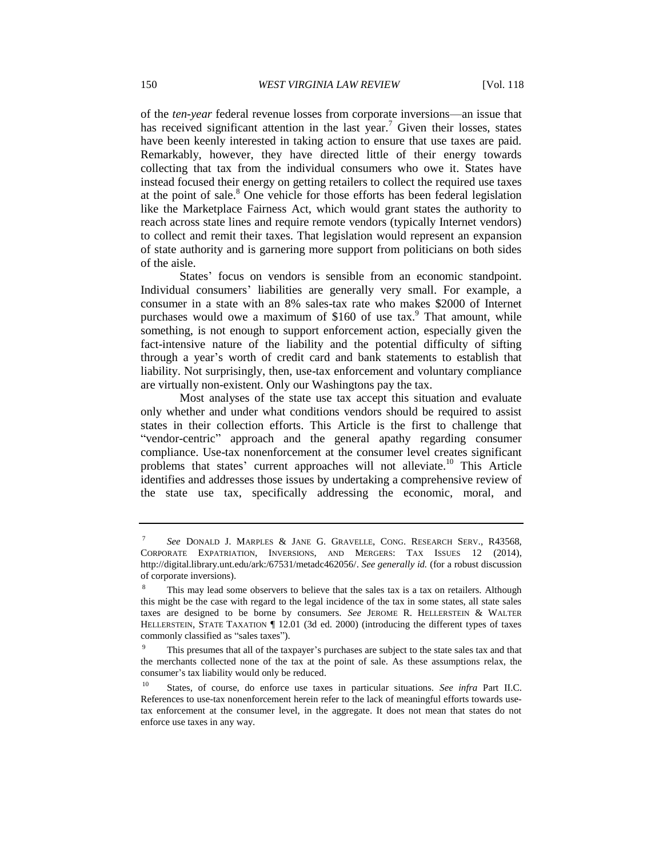of the *ten-year* federal revenue losses from corporate inversions—an issue that has received significant attention in the last year.<sup>7</sup> Given their losses, states have been keenly interested in taking action to ensure that use taxes are paid. Remarkably, however, they have directed little of their energy towards collecting that tax from the individual consumers who owe it. States have instead focused their energy on getting retailers to collect the required use taxes at the point of sale.<sup>8</sup> One vehicle for those efforts has been federal legislation like the Marketplace Fairness Act, which would grant states the authority to reach across state lines and require remote vendors (typically Internet vendors) to collect and remit their taxes. That legislation would represent an expansion of state authority and is garnering more support from politicians on both sides of the aisle.

States' focus on vendors is sensible from an economic standpoint. Individual consumers' liabilities are generally very small. For example, a consumer in a state with an 8% sales-tax rate who makes \$2000 of Internet purchases would owe a maximum of  $$160$  of use tax.<sup>9</sup> That amount, while something, is not enough to support enforcement action, especially given the fact-intensive nature of the liability and the potential difficulty of sifting through a year's worth of credit card and bank statements to establish that liability. Not surprisingly, then, use-tax enforcement and voluntary compliance are virtually non-existent. Only our Washingtons pay the tax.

Most analyses of the state use tax accept this situation and evaluate only whether and under what conditions vendors should be required to assist states in their collection efforts. This Article is the first to challenge that "vendor-centric" approach and the general apathy regarding consumer compliance. Use-tax nonenforcement at the consumer level creates significant problems that states' current approaches will not alleviate.<sup>10</sup> This Article identifies and addresses those issues by undertaking a comprehensive review of the state use tax, specifically addressing the economic, moral, and

<sup>7</sup> *See* DONALD J. MARPLES & JANE G. GRAVELLE, CONG. RESEARCH SERV., R43568, CORPORATE EXPATRIATION, INVERSIONS, AND MERGERS: TAX ISSUES 12 (2014), http://digital.library.unt.edu/ark:/67531/metadc462056/. *See generally id.* (for a robust discussion of corporate inversions).

This may lead some observers to believe that the sales tax is a tax on retailers. Although this might be the case with regard to the legal incidence of the tax in some states, all state sales taxes are designed to be borne by consumers. *See* JEROME R. HELLERSTEIN & WALTER HELLERSTEIN, STATE TAXATION ¶ 12.01 (3d ed. 2000) (introducing the different types of taxes commonly classified as "sales taxes").

<sup>&</sup>lt;sup>9</sup> This presumes that all of the taxpayer's purchases are subject to the state sales tax and that the merchants collected none of the tax at the point of sale. As these assumptions relax, the consumer's tax liability would only be reduced.

<sup>10</sup> States, of course, do enforce use taxes in particular situations. *See infra* Part II.C. References to use-tax nonenforcement herein refer to the lack of meaningful efforts towards usetax enforcement at the consumer level, in the aggregate. It does not mean that states do not enforce use taxes in any way.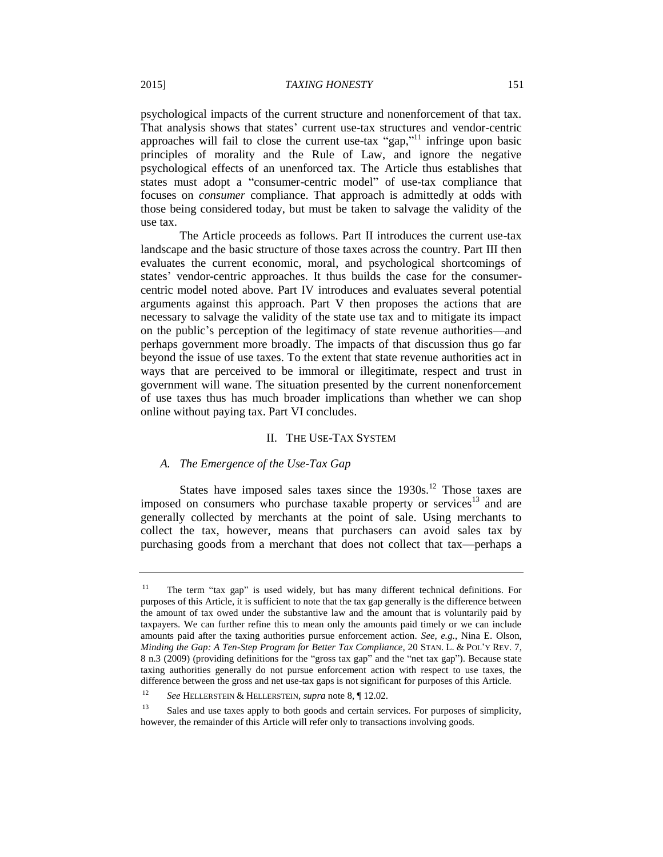psychological impacts of the current structure and nonenforcement of that tax. That analysis shows that states' current use-tax structures and vendor-centric approaches will fail to close the current use-tax "gap,"<sup>11</sup> infringe upon basic principles of morality and the Rule of Law, and ignore the negative psychological effects of an unenforced tax. The Article thus establishes that states must adopt a "consumer-centric model" of use-tax compliance that focuses on *consumer* compliance. That approach is admittedly at odds with those being considered today, but must be taken to salvage the validity of the use tax.

The Article proceeds as follows. Part II introduces the current use-tax landscape and the basic structure of those taxes across the country. Part III then evaluates the current economic, moral, and psychological shortcomings of states' vendor-centric approaches. It thus builds the case for the consumercentric model noted above. Part IV introduces and evaluates several potential arguments against this approach. Part V then proposes the actions that are necessary to salvage the validity of the state use tax and to mitigate its impact on the public's perception of the legitimacy of state revenue authorities—and perhaps government more broadly. The impacts of that discussion thus go far beyond the issue of use taxes. To the extent that state revenue authorities act in ways that are perceived to be immoral or illegitimate, respect and trust in government will wane. The situation presented by the current nonenforcement of use taxes thus has much broader implications than whether we can shop online without paying tax. Part VI concludes.

# II. THE USE-TAX SYSTEM

# *A. The Emergence of the Use-Tax Gap*

States have imposed sales taxes since the  $1930s$ <sup>12</sup>. Those taxes are imposed on consumers who purchase taxable property or services<sup>13</sup> and are generally collected by merchants at the point of sale. Using merchants to collect the tax, however, means that purchasers can avoid sales tax by purchasing goods from a merchant that does not collect that tax—perhaps a

<sup>11</sup> The term "tax gap" is used widely, but has many different technical definitions. For purposes of this Article, it is sufficient to note that the tax gap generally is the difference between the amount of tax owed under the substantive law and the amount that is voluntarily paid by taxpayers. We can further refine this to mean only the amounts paid timely or we can include amounts paid after the taxing authorities pursue enforcement action. *See, e.g.*, Nina E. Olson, *Minding the Gap: A Ten-Step Program for Better Tax Compliance*, 20 STAN. L. & POL'Y REV. 7, 8 n.3 (2009) (providing definitions for the "gross tax gap" and the "net tax gap"). Because state taxing authorities generally do not pursue enforcement action with respect to use taxes, the difference between the gross and net use-tax gaps is not significant for purposes of this Article.

<sup>12</sup> *See* HELLERSTEIN & HELLERSTEIN, *supra* note 8, ¶ 12.02.

<sup>&</sup>lt;sup>13</sup> Sales and use taxes apply to both goods and certain services. For purposes of simplicity, however, the remainder of this Article will refer only to transactions involving goods.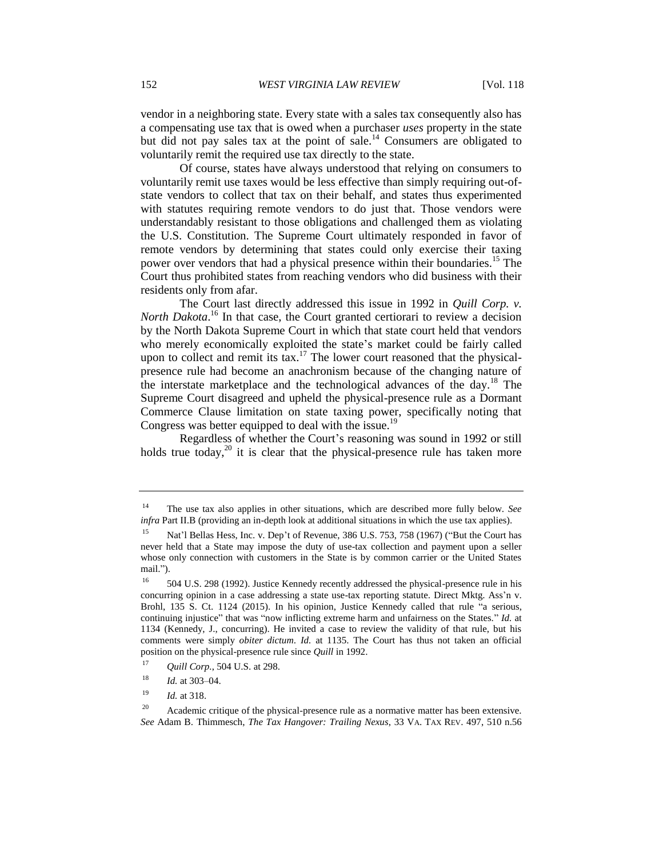vendor in a neighboring state. Every state with a sales tax consequently also has a compensating use tax that is owed when a purchaser *uses* property in the state but did not pay sales tax at the point of sale.<sup>14</sup> Consumers are obligated to voluntarily remit the required use tax directly to the state.

Of course, states have always understood that relying on consumers to voluntarily remit use taxes would be less effective than simply requiring out-ofstate vendors to collect that tax on their behalf, and states thus experimented with statutes requiring remote vendors to do just that. Those vendors were understandably resistant to those obligations and challenged them as violating the U.S. Constitution. The Supreme Court ultimately responded in favor of remote vendors by determining that states could only exercise their taxing power over vendors that had a physical presence within their boundaries.<sup>15</sup> The Court thus prohibited states from reaching vendors who did business with their residents only from afar.

The Court last directly addressed this issue in 1992 in *Quill Corp. v.*  North Dakota.<sup>16</sup> In that case, the Court granted certiorari to review a decision by the North Dakota Supreme Court in which that state court held that vendors who merely economically exploited the state's market could be fairly called upon to collect and remit its tax.<sup>17</sup> The lower court reasoned that the physicalpresence rule had become an anachronism because of the changing nature of the interstate marketplace and the technological advances of the day.<sup>18</sup> The Supreme Court disagreed and upheld the physical-presence rule as a Dormant Commerce Clause limitation on state taxing power, specifically noting that Congress was better equipped to deal with the issue.<sup>19</sup>

Regardless of whether the Court's reasoning was sound in 1992 or still holds true today,<sup>20</sup> it is clear that the physical-presence rule has taken more

<sup>14</sup> The use tax also applies in other situations, which are described more fully below. *See infra* Part II.B (providing an in-depth look at additional situations in which the use tax applies).

Nat'l Bellas Hess, Inc. v. Dep't of Revenue, 386 U.S. 753, 758 (1967) ("But the Court has never held that a State may impose the duty of use-tax collection and payment upon a seller whose only connection with customers in the State is by common carrier or the United States mail.").

<sup>&</sup>lt;sup>16</sup> 504 U.S. 298 (1992). Justice Kennedy recently addressed the physical-presence rule in his concurring opinion in a case addressing a state use-tax reporting statute. Direct Mktg. Ass'n v. Brohl, 135 S. Ct. 1124 (2015). In his opinion, Justice Kennedy called that rule "a serious, continuing injustice" that was "now inflicting extreme harm and unfairness on the States." *Id.* at 1134 (Kennedy, J., concurring). He invited a case to review the validity of that rule, but his comments were simply *obiter dictum*. *Id.* at 1135. The Court has thus not taken an official position on the physical-presence rule since *Quill* in 1992.

<sup>17</sup> *Quill Corp.*, 504 U.S. at 298.

<sup>18</sup> *Id.* at 303–04.

<sup>19</sup> *Id.* at 318.

<sup>&</sup>lt;sup>20</sup> Academic critique of the physical-presence rule as a normative matter has been extensive. *See* Adam B. Thimmesch, *The Tax Hangover: Trailing Nexus*, 33 VA. TAX REV. 497, 510 n.56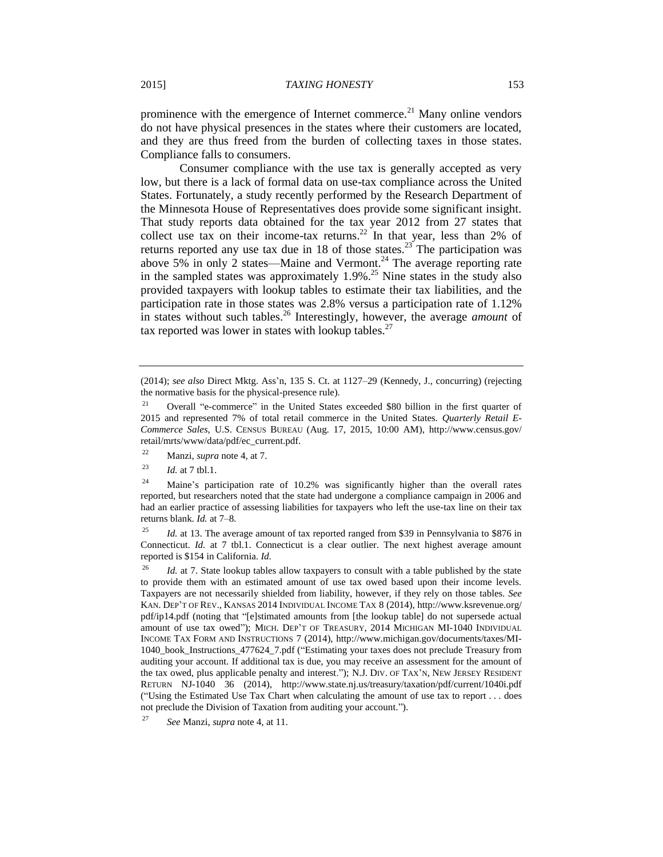prominence with the emergence of Internet commerce.<sup>21</sup> Many online vendors do not have physical presences in the states where their customers are located, and they are thus freed from the burden of collecting taxes in those states. Compliance falls to consumers.

Consumer compliance with the use tax is generally accepted as very low, but there is a lack of formal data on use-tax compliance across the United States. Fortunately, a study recently performed by the Research Department of the Minnesota House of Representatives does provide some significant insight. That study reports data obtained for the tax year 2012 from 27 states that collect use tax on their income-tax returns.<sup>22</sup> In that year, less than 2% of returns reported any use tax due in 18 of those states.<sup>23</sup> The participation was above 5% in only 2 states—Maine and Vermont.<sup>24</sup> The average reporting rate in the sampled states was approximately  $1.9\%$ .<sup>25</sup> Nine states in the study also provided taxpayers with lookup tables to estimate their tax liabilities, and the participation rate in those states was 2.8% versus a participation rate of 1.12% in states without such tables.<sup>26</sup> Interestingly, however, the average *amount* of tax reported was lower in states with lookup tables.<sup>27</sup>

<sup>25</sup> *Id.* at 13. The average amount of tax reported ranged from \$39 in Pennsylvania to \$876 in Connecticut. *Id.* at 7 tbl.1. Connecticut is a clear outlier. The next highest average amount reported is \$154 in California. *Id.*

<sup>(2014);</sup> *see also* Direct Mktg. Ass'n, 135 S. Ct. at 1127–29 (Kennedy, J., concurring) (rejecting the normative basis for the physical-presence rule).

<sup>&</sup>lt;sup>21</sup> Overall "e-commerce" in the United States exceeded \$80 billion in the first quarter of 2015 and represented 7% of total retail commerce in the United States. *Quarterly Retail E-Commerce Sales*, U.S. CENSUS BUREAU (Aug. 17, 2015, 10:00 AM), http://www.census.gov/ retail/mrts/www/data/pdf/ec\_current.pdf.

<sup>22</sup> Manzi, *supra* note 4, at 7.

<sup>23</sup> *Id.* at 7 tbl.1.

<sup>&</sup>lt;sup>24</sup> Maine's participation rate of 10.2% was significantly higher than the overall rates reported, but researchers noted that the state had undergone a compliance campaign in 2006 and had an earlier practice of assessing liabilities for taxpayers who left the use-tax line on their tax returns blank. *Id.* at 7–8.

<sup>&</sup>lt;sup>26</sup> *Id.* at 7. State lookup tables allow taxpayers to consult with a table published by the state to provide them with an estimated amount of use tax owed based upon their income levels. Taxpayers are not necessarily shielded from liability, however, if they rely on those tables. *See* KAN. DEP'T OF REV., KANSAS 2014 INDIVIDUAL INCOME TAX 8 (2014), http://www.ksrevenue.org/ pdf/ip14.pdf (noting that "[e]stimated amounts from [the lookup table] do not supersede actual amount of use tax owed"); MICH. DEP'T OF TREASURY, 2014 MICHIGAN MI-1040 INDIVIDUAL INCOME TAX FORM AND INSTRUCTIONS 7 (2014), http://www.michigan.gov/documents/taxes/MI-1040\_book\_Instructions\_477624\_7.pdf ("Estimating your taxes does not preclude Treasury from auditing your account. If additional tax is due, you may receive an assessment for the amount of the tax owed, plus applicable penalty and interest."); N.J. DIV. OF TAX'N, NEW JERSEY RESIDENT RETURN NJ-1040 36 (2014), http://www.state.nj.us/treasury/taxation/pdf/current/1040i.pdf ("Using the Estimated Use Tax Chart when calculating the amount of use tax to report . . . does not preclude the Division of Taxation from auditing your account.").

<sup>27</sup> *See* Manzi, *supra* note 4, at 11.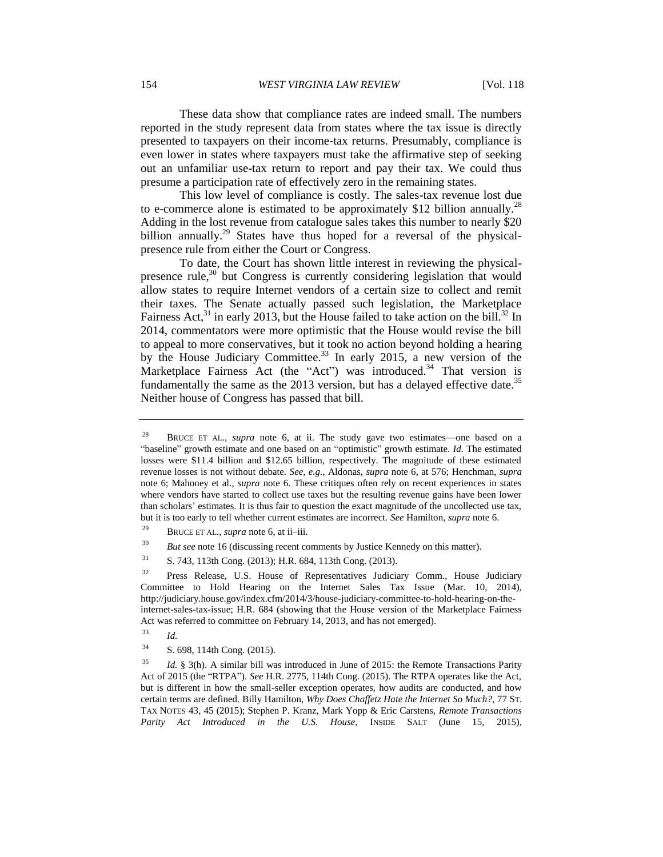These data show that compliance rates are indeed small. The numbers reported in the study represent data from states where the tax issue is directly presented to taxpayers on their income-tax returns. Presumably, compliance is even lower in states where taxpayers must take the affirmative step of seeking out an unfamiliar use-tax return to report and pay their tax. We could thus presume a participation rate of effectively zero in the remaining states.

This low level of compliance is costly. The sales-tax revenue lost due to e-commerce alone is estimated to be approximately \$12 billion annually.<sup>28</sup> Adding in the lost revenue from catalogue sales takes this number to nearly \$20 billion annually.<sup>29</sup> States have thus hoped for a reversal of the physicalpresence rule from either the Court or Congress.

To date, the Court has shown little interest in reviewing the physicalpresence rule, $30$  but Congress is currently considering legislation that would allow states to require Internet vendors of a certain size to collect and remit their taxes. The Senate actually passed such legislation, the Marketplace Fairness Act,  $31$  in early 2013, but the House failed to take action on the bill.  $32 \text{ In}$ 2014, commentators were more optimistic that the House would revise the bill to appeal to more conservatives, but it took no action beyond holding a hearing by the House Judiciary Committee.<sup>33</sup> In early 2015, a new version of the Marketplace Fairness Act (the "Act") was introduced.<sup>34</sup> That version is fundamentally the same as the 2013 version, but has a delayed effective date.<sup>35</sup> Neither house of Congress has passed that bill.

<sup>30</sup> *But see* note 16 (discussing recent comments by Justice Kennedy on this matter).

- <sup>33</sup> *Id.*
- <sup>34</sup> S. 698, 114th Cong. (2015).

<sup>28</sup> BRUCE ET AL., *supra* note 6, at ii. The study gave two estimates—one based on a "baseline" growth estimate and one based on an "optimistic" growth estimate. *Id.* The estimated losses were \$11.4 billion and \$12.65 billion, respectively. The magnitude of these estimated revenue losses is not without debate. *See, e.g.*, Aldonas, *supra* note 6, at 576; Henchman, *supra*  note 6; Mahoney et al., *supra* note 6. These critiques often rely on recent experiences in states where vendors have started to collect use taxes but the resulting revenue gains have been lower than scholars' estimates. It is thus fair to question the exact magnitude of the uncollected use tax, but it is too early to tell whether current estimates are incorrect. *See* Hamilton, *supra* note 6.

<sup>29</sup> BRUCE ET AL., *supra* note 6, at ii–iii.

<sup>31</sup> S. 743, 113th Cong. (2013); H.R. 684, 113th Cong. (2013).

<sup>&</sup>lt;sup>32</sup> Press Release, U.S. House of Representatives Judiciary Comm., House Judiciary Committee to Hold Hearing on the Internet Sales Tax Issue (Mar. 10, 2014), http://judiciary.house.gov/index.cfm/2014/3/house-judiciary-committee-to-hold-hearing-on-theinternet-sales-tax-issue; H.R. 684 (showing that the House version of the Marketplace Fairness Act was referred to committee on February 14, 2013, and has not emerged).

<sup>35</sup> *Id.* § 3(h). A similar bill was introduced in June of 2015: the Remote Transactions Parity Act of 2015 (the "RTPA"). *See* H.R. 2775, 114th Cong. (2015). The RTPA operates like the Act, but is different in how the small-seller exception operates, how audits are conducted, and how certain terms are defined. Billy Hamilton, *Why Does Chaffetz Hate the Internet So Much?*, 77 ST. TAX NOTES 43, 45 (2015); Stephen P. Kranz, Mark Yopp & Eric Carstens, *Remote Transactions Parity Act Introduced in the U.S. House*, INSIDE SALT (June 15, 2015),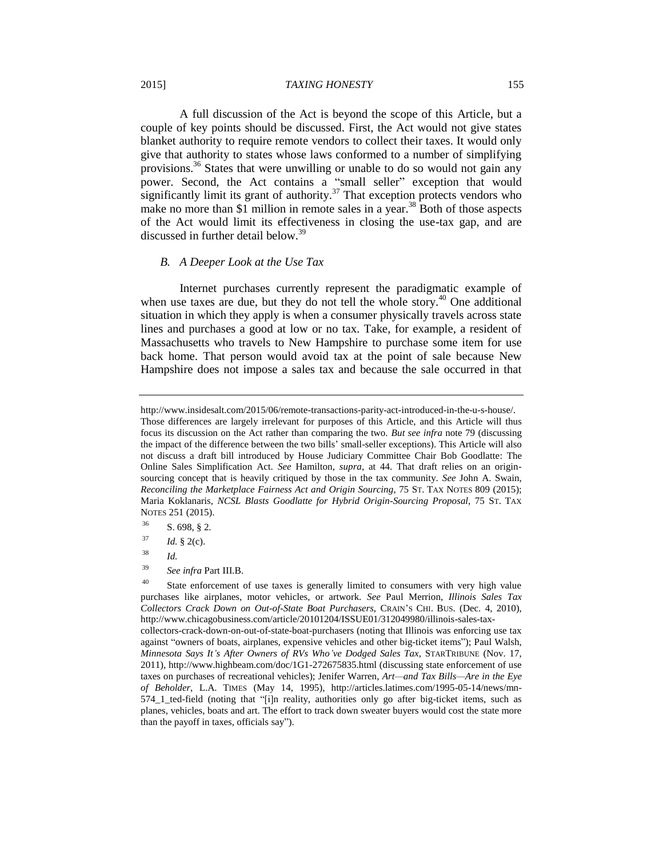#### 2015] *TAXING HONESTY* 155

A full discussion of the Act is beyond the scope of this Article, but a couple of key points should be discussed. First, the Act would not give states blanket authority to require remote vendors to collect their taxes. It would only give that authority to states whose laws conformed to a number of simplifying provisions.<sup>36</sup> States that were unwilling or unable to do so would not gain any power. Second, the Act contains a "small seller" exception that would significantly limit its grant of authority. $37$  That exception protects vendors who make no more than \$1 million in remote sales in a year.<sup>38</sup> Both of those aspects of the Act would limit its effectiveness in closing the use-tax gap, and are discussed in further detail below.<sup>39</sup>

# *B. A Deeper Look at the Use Tax*

Internet purchases currently represent the paradigmatic example of when use taxes are due, but they do not tell the whole story. $40$  One additional situation in which they apply is when a consumer physically travels across state lines and purchases a good at low or no tax. Take, for example, a resident of Massachusetts who travels to New Hampshire to purchase some item for use back home. That person would avoid tax at the point of sale because New Hampshire does not impose a sales tax and because the sale occurred in that

http://www.insidesalt.com/2015/06/remote-transactions-parity-act-introduced-in-the-u-s-house/. Those differences are largely irrelevant for purposes of this Article, and this Article will thus focus its discussion on the Act rather than comparing the two. *But see infra* note 79 (discussing the impact of the difference between the two bills' small-seller exceptions). This Article will also not discuss a draft bill introduced by House Judiciary Committee Chair Bob Goodlatte: The Online Sales Simplification Act. *See* Hamilton, *supra*, at 44. That draft relies on an originsourcing concept that is heavily critiqued by those in the tax community. *See* John A. Swain, *Reconciling the Marketplace Fairness Act and Origin Sourcing*, 75 ST. TAX NOTES 809 (2015); Maria Koklanaris, *NCSL Blasts Goodlatte for Hybrid Origin-Sourcing Proposal*, 75 ST. TAX NOTES 251 (2015).

 $36$  S. 698, § 2.

 $^{37}$  *Id.* § 2(c).

<sup>38</sup> *Id.*

<sup>39</sup> *See infra* Part III.B.

<sup>&</sup>lt;sup>40</sup> State enforcement of use taxes is generally limited to consumers with very high value purchases like airplanes, motor vehicles, or artwork. *See* Paul Merrion, *Illinois Sales Tax Collectors Crack Down on Out-of-State Boat Purchasers*, CRAIN'S CHI. BUS. (Dec. 4, 2010), http://www.chicagobusiness.com/article/20101204/ISSUE01/312049980/illinois-sales-taxcollectors-crack-down-on-out-of-state-boat-purchasers (noting that Illinois was enforcing use tax

against "owners of boats, airplanes, expensive vehicles and other big-ticket items"); Paul Walsh, *Minnesota Says It's After Owners of RVs Who've Dodged Sales Tax*, STARTRIBUNE (Nov. 17, 2011), http://www.highbeam.com/doc/1G1-272675835.html (discussing state enforcement of use taxes on purchases of recreational vehicles); Jenifer Warren, *Art—and Tax Bills—Are in the Eye of Beholder*, L.A. TIMES (May 14, 1995), http://articles.latimes.com/1995-05-14/news/mn-574\_1\_ted-field (noting that "[i]n reality, authorities only go after big-ticket items, such as planes, vehicles, boats and art. The effort to track down sweater buyers would cost the state more than the payoff in taxes, officials say").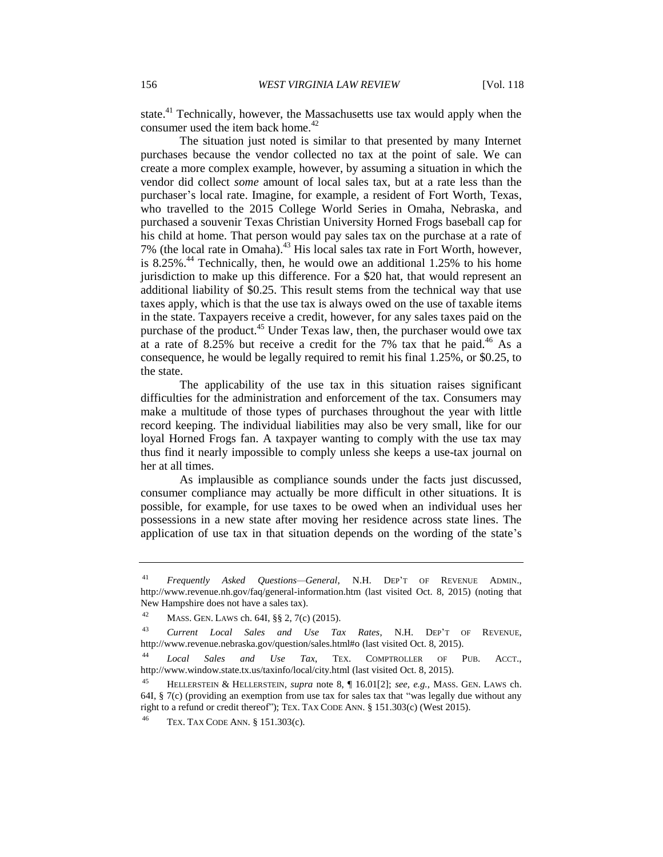state.<sup>41</sup> Technically, however, the Massachusetts use tax would apply when the consumer used the item back home.<sup>42</sup>

The situation just noted is similar to that presented by many Internet purchases because the vendor collected no tax at the point of sale. We can create a more complex example, however, by assuming a situation in which the vendor did collect *some* amount of local sales tax, but at a rate less than the purchaser's local rate. Imagine, for example, a resident of Fort Worth, Texas, who travelled to the 2015 College World Series in Omaha, Nebraska, and purchased a souvenir Texas Christian University Horned Frogs baseball cap for his child at home. That person would pay sales tax on the purchase at a rate of 7% (the local rate in Omaha).<sup>43</sup> His local sales tax rate in Fort Worth, however, is  $8.25\%$ <sup>44</sup> Technically, then, he would owe an additional 1.25% to his home jurisdiction to make up this difference. For a \$20 hat, that would represent an additional liability of \$0.25. This result stems from the technical way that use taxes apply, which is that the use tax is always owed on the use of taxable items in the state. Taxpayers receive a credit, however, for any sales taxes paid on the purchase of the product.<sup>45</sup> Under Texas law, then, the purchaser would owe tax at a rate of 8.25% but receive a credit for the 7% tax that he paid.<sup>46</sup> As a consequence, he would be legally required to remit his final 1.25%, or \$0.25, to the state.

The applicability of the use tax in this situation raises significant difficulties for the administration and enforcement of the tax. Consumers may make a multitude of those types of purchases throughout the year with little record keeping. The individual liabilities may also be very small, like for our loyal Horned Frogs fan. A taxpayer wanting to comply with the use tax may thus find it nearly impossible to comply unless she keeps a use-tax journal on her at all times.

As implausible as compliance sounds under the facts just discussed, consumer compliance may actually be more difficult in other situations. It is possible, for example, for use taxes to be owed when an individual uses her possessions in a new state after moving her residence across state lines. The application of use tax in that situation depends on the wording of the state's

<sup>41</sup> *Frequently Asked Questions—General*, N.H. DEP'T OF REVENUE ADMIN., http://www.revenue.nh.gov/faq/general-information.htm (last visited Oct. 8, 2015) (noting that New Hampshire does not have a sales tax).

<sup>42</sup> MASS. GEN. LAWS ch. 64I, §§ 2, 7(c) (2015).

<sup>43</sup> *Current Local Sales and Use Tax Rates*, N.H. DEP'T OF REVENUE, http://www.revenue.nebraska.gov/question/sales.html#o (last visited Oct. 8, 2015).

<sup>44</sup> *Local Sales and Use Tax*, TEX. COMPTROLLER OF PUB. ACCT., http://www.window.state.tx.us/taxinfo/local/city.html (last visited Oct. 8, 2015).

<sup>45</sup> HELLERSTEIN & HELLERSTEIN, *supra* note 8, ¶ 16.01[2]; *see, e.g.*, MASS. GEN. LAWS ch. 64I, § 7(c) (providing an exemption from use tax for sales tax that "was legally due without any right to a refund or credit thereof"); TEX. TAX CODE ANN. § 151.303(c) (West 2015).

TEX. TAX CODE ANN. § 151.303(c).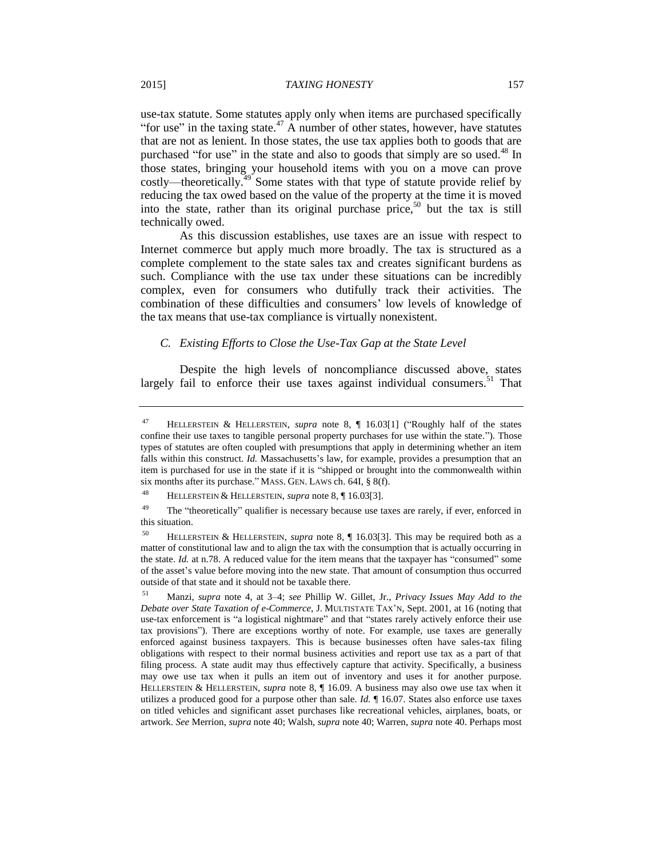use-tax statute. Some statutes apply only when items are purchased specifically "for use" in the taxing state.<sup>47</sup> A number of other states, however, have statutes that are not as lenient. In those states, the use tax applies both to goods that are purchased "for use" in the state and also to goods that simply are so used.<sup>48</sup> In those states, bringing your household items with you on a move can prove costly—theoretically.<sup>49</sup> Some states with that type of statute provide relief by reducing the tax owed based on the value of the property at the time it is moved into the state, rather than its original purchase price,<sup>50</sup> but the tax is still technically owed.

As this discussion establishes, use taxes are an issue with respect to Internet commerce but apply much more broadly. The tax is structured as a complete complement to the state sales tax and creates significant burdens as such. Compliance with the use tax under these situations can be incredibly complex, even for consumers who dutifully track their activities. The combination of these difficulties and consumers' low levels of knowledge of the tax means that use-tax compliance is virtually nonexistent.

# *C. Existing Efforts to Close the Use-Tax Gap at the State Level*

Despite the high levels of noncompliance discussed above, states largely fail to enforce their use taxes against individual consumers.<sup>51</sup> That

<sup>47</sup> HELLERSTEIN & HELLERSTEIN, *supra* note 8, ¶ 16.03[1] ("Roughly half of the states confine their use taxes to tangible personal property purchases for use within the state."). Those types of statutes are often coupled with presumptions that apply in determining whether an item falls within this construct. *Id.* Massachusetts's law, for example, provides a presumption that an item is purchased for use in the state if it is "shipped or brought into the commonwealth within six months after its purchase." MASS. GEN. LAWS ch. 64I, § 8(f).

<sup>48</sup> HELLERSTEIN & HELLERSTEIN, *supra* note 8, ¶ 16.03[3].

 $49$  The "theoretically" qualifier is necessary because use taxes are rarely, if ever, enforced in this situation.

<sup>50</sup> HELLERSTEIN & HELLERSTEIN, *supra* note 8, ¶ 16.03[3]. This may be required both as a matter of constitutional law and to align the tax with the consumption that is actually occurring in the state. *Id.* at n.78. A reduced value for the item means that the taxpayer has "consumed" some of the asset's value before moving into the new state. That amount of consumption thus occurred outside of that state and it should not be taxable there.

<sup>51</sup> Manzi, *supra* note 4, at 3–4; *see* Phillip W. Gillet, Jr., *Privacy Issues May Add to the Debate over State Taxation of e-Commerce*, J. MULTISTATE TAX'N, Sept. 2001, at 16 (noting that use-tax enforcement is "a logistical nightmare" and that "states rarely actively enforce their use tax provisions"). There are exceptions worthy of note. For example, use taxes are generally enforced against business taxpayers. This is because businesses often have sales-tax filing obligations with respect to their normal business activities and report use tax as a part of that filing process. A state audit may thus effectively capture that activity. Specifically, a business may owe use tax when it pulls an item out of inventory and uses it for another purpose. HELLERSTEIN & HELLERSTEIN, *supra* note 8, ¶ 16.09. A business may also owe use tax when it utilizes a produced good for a purpose other than sale. *Id.* ¶ 16.07. States also enforce use taxes on titled vehicles and significant asset purchases like recreational vehicles, airplanes, boats, or artwork. *See* Merrion, *supra* note 40; Walsh, *supra* note 40; Warren, *supra* note 40. Perhaps most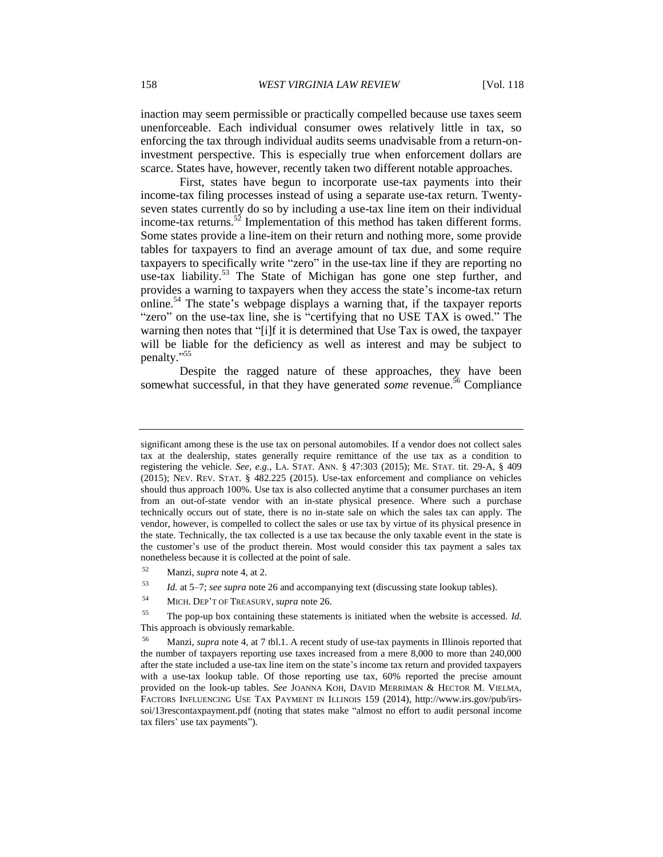inaction may seem permissible or practically compelled because use taxes seem unenforceable. Each individual consumer owes relatively little in tax, so enforcing the tax through individual audits seems unadvisable from a return-oninvestment perspective. This is especially true when enforcement dollars are scarce. States have, however, recently taken two different notable approaches.

First, states have begun to incorporate use-tax payments into their income-tax filing processes instead of using a separate use-tax return. Twentyseven states currently do so by including a use-tax line item on their individual income-tax returns.<sup>52</sup> Implementation of this method has taken different forms. Some states provide a line-item on their return and nothing more, some provide tables for taxpayers to find an average amount of tax due, and some require taxpayers to specifically write "zero" in the use-tax line if they are reporting no use-tax liability.<sup>53</sup> The State of Michigan has gone one step further, and provides a warning to taxpayers when they access the state's income-tax return online.<sup>54</sup> The state's webpage displays a warning that, if the taxpayer reports "zero" on the use-tax line, she is "certifying that no USE TAX is owed." The warning then notes that "[i]f it is determined that Use Tax is owed, the taxpayer will be liable for the deficiency as well as interest and may be subject to penalty." 55

Despite the ragged nature of these approaches, they have been somewhat successful, in that they have generated *some* revenue.<sup>56</sup> Compliance

<sup>53</sup> *Id.* at 5–7; *see supra* note 26 and accompanying text (discussing state lookup tables).

significant among these is the use tax on personal automobiles. If a vendor does not collect sales tax at the dealership, states generally require remittance of the use tax as a condition to registering the vehicle. *See, e.g.*, LA. STAT. ANN. § 47:303 (2015); ME. STAT. tit. 29-A, § 409 (2015); NEV. REV. STAT. § 482.225 (2015). Use-tax enforcement and compliance on vehicles should thus approach 100%. Use tax is also collected anytime that a consumer purchases an item from an out-of-state vendor with an in-state physical presence. Where such a purchase technically occurs out of state, there is no in-state sale on which the sales tax can apply. The vendor, however, is compelled to collect the sales or use tax by virtue of its physical presence in the state. Technically, the tax collected is a use tax because the only taxable event in the state is the customer's use of the product therein. Most would consider this tax payment a sales tax nonetheless because it is collected at the point of sale.

<sup>52</sup> Manzi, *supra* note 4, at 2.

<sup>54</sup> MICH. DEP'T OF TREASURY, *supra* note 26.

<sup>55</sup> The pop-up box containing these statements is initiated when the website is accessed. *Id.* This approach is obviously remarkable.

Manzi, *supra* note 4, at 7 tbl.1. A recent study of use-tax payments in Illinois reported that the number of taxpayers reporting use taxes increased from a mere 8,000 to more than 240,000 after the state included a use-tax line item on the state's income tax return and provided taxpayers with a use-tax lookup table. Of those reporting use tax, 60% reported the precise amount provided on the look-up tables. *See* JOANNA KOH, DAVID MERRIMAN & HECTOR M. VIELMA, FACTORS INFLUENCING USE TAX PAYMENT IN ILLINOIS 159 (2014), http://www.irs.gov/pub/irssoi/13rescontaxpayment.pdf (noting that states make "almost no effort to audit personal income tax filers' use tax payments").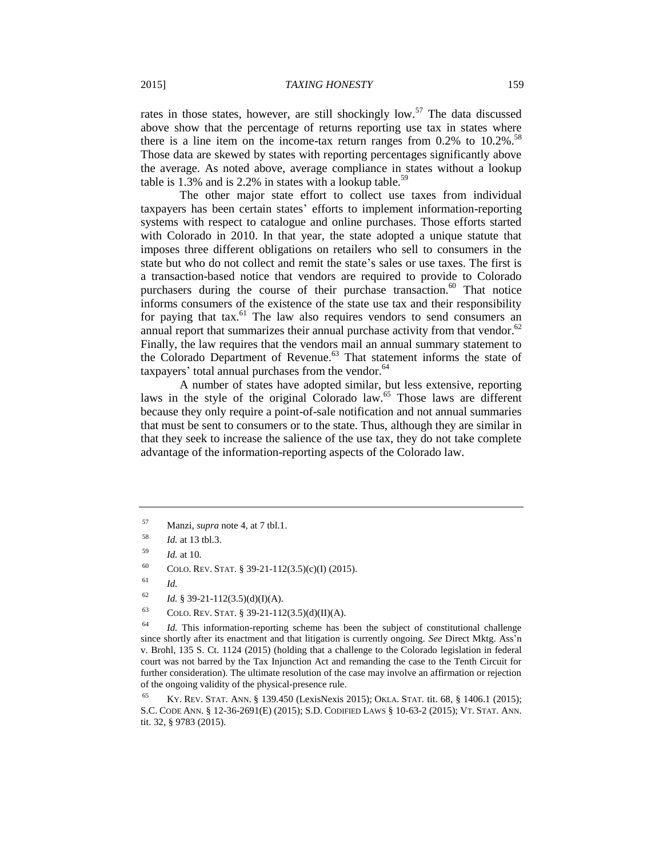rates in those states, however, are still shockingly low.<sup>57</sup> The data discussed above show that the percentage of returns reporting use tax in states where there is a line item on the income-tax return ranges from  $0.2\%$  to  $10.2\%$ .<sup>58</sup> Those data are skewed by states with reporting percentages significantly above the average. As noted above, average compliance in states without a lookup table is  $1.3\%$  and is 2.2% in states with a lookup table.<sup>59</sup>

The other major state effort to collect use taxes from individual taxpayers has been certain states' efforts to implement information-reporting systems with respect to catalogue and online purchases. Those efforts started with Colorado in 2010. In that year, the state adopted a unique statute that imposes three different obligations on retailers who sell to consumers in the state but who do not collect and remit the state's sales or use taxes. The first is a transaction-based notice that vendors are required to provide to Colorado purchasers during the course of their purchase transaction.<sup>60</sup> That notice informs consumers of the existence of the state use tax and their responsibility for paying that tax. $^{61}$  The law also requires vendors to send consumers an annual report that summarizes their annual purchase activity from that vendor. $62$ Finally, the law requires that the vendors mail an annual summary statement to the Colorado Department of Revenue.<sup>63</sup> That statement informs the state of taxpayers' total annual purchases from the vendor.<sup>64</sup>

A number of states have adopted similar, but less extensive, reporting laws in the style of the original Colorado law.<sup>65</sup> Those laws are different because they only require a point-of-sale notification and not annual summaries that must be sent to consumers or to the state. Thus, although they are similar in that they seek to increase the salience of the use tax, they do not take complete advantage of the information-reporting aspects of the Colorado law.

<sup>57</sup> Manzi, *supra* note 4, at 7 tbl.1.

<sup>58</sup> *Id.* at 13 tbl.3.

<sup>59</sup> *Id.* at 10.

<sup>&</sup>lt;sup>60</sup> COLO. REV. STAT. § 39-21-112(3.5)(c)(I) (2015).

<sup>61</sup> *Id.*

<sup>&</sup>lt;sup>62</sup> *Id.* § 39-21-112(3.5)(d)(I)(A).

<sup>&</sup>lt;sup>63</sup> COLO. REV. STAT. § 39-21-112(3.5)(d)(II)(A).

<sup>64</sup> *Id.* This information-reporting scheme has been the subject of constitutional challenge since shortly after its enactment and that litigation is currently ongoing. *See* Direct Mktg. Ass'n v. Brohl, 135 S. Ct. 1124 (2015) (holding that a challenge to the Colorado legislation in federal court was not barred by the Tax Injunction Act and remanding the case to the Tenth Circuit for further consideration). The ultimate resolution of the case may involve an affirmation or rejection of the ongoing validity of the physical-presence rule.

<sup>65</sup> KY. REV. STAT. ANN. § 139.450 (LexisNexis 2015); OKLA. STAT. tit. 68, § 1406.1 (2015); S.C. CODE ANN. § 12-36-2691(E) (2015); S.D. CODIFIED LAWS § 10-63-2 (2015); VT. STAT. ANN. tit. 32, § 9783 (2015).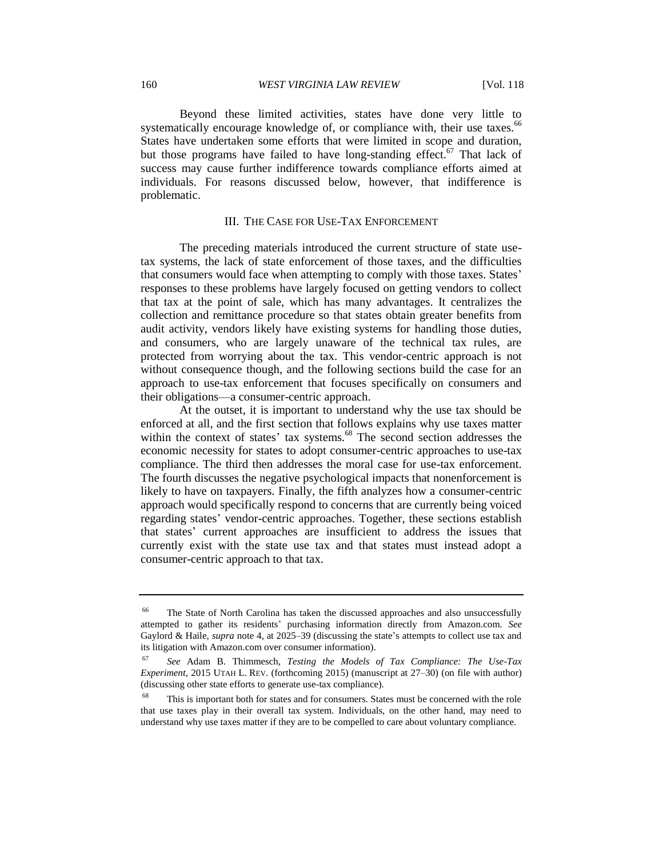Beyond these limited activities, states have done very little to systematically encourage knowledge of, or compliance with, their use taxes.<sup>66</sup> States have undertaken some efforts that were limited in scope and duration, but those programs have failed to have long-standing effect.<sup>67</sup> That lack of success may cause further indifference towards compliance efforts aimed at individuals. For reasons discussed below, however, that indifference is problematic.

# III. THE CASE FOR USE-TAX ENFORCEMENT

The preceding materials introduced the current structure of state usetax systems, the lack of state enforcement of those taxes, and the difficulties that consumers would face when attempting to comply with those taxes. States' responses to these problems have largely focused on getting vendors to collect that tax at the point of sale, which has many advantages. It centralizes the collection and remittance procedure so that states obtain greater benefits from audit activity, vendors likely have existing systems for handling those duties, and consumers, who are largely unaware of the technical tax rules, are protected from worrying about the tax. This vendor-centric approach is not without consequence though, and the following sections build the case for an approach to use-tax enforcement that focuses specifically on consumers and their obligations—a consumer-centric approach.

At the outset, it is important to understand why the use tax should be enforced at all, and the first section that follows explains why use taxes matter within the context of states' tax systems.<sup>68</sup> The second section addresses the economic necessity for states to adopt consumer-centric approaches to use-tax compliance. The third then addresses the moral case for use-tax enforcement. The fourth discusses the negative psychological impacts that nonenforcement is likely to have on taxpayers. Finally, the fifth analyzes how a consumer-centric approach would specifically respond to concerns that are currently being voiced regarding states' vendor-centric approaches. Together, these sections establish that states' current approaches are insufficient to address the issues that currently exist with the state use tax and that states must instead adopt a consumer-centric approach to that tax.

The State of North Carolina has taken the discussed approaches and also unsuccessfully attempted to gather its residents' purchasing information directly from Amazon.com. *See*  Gaylord & Haile, *supra* note 4, at 2025–39 (discussing the state's attempts to collect use tax and its litigation with Amazon.com over consumer information).

<sup>67</sup> *See* Adam B. Thimmesch, *Testing the Models of Tax Compliance: The Use-Tax Experiment*, 2015 UTAH L. REV. (forthcoming 2015) (manuscript at 27–30) (on file with author) (discussing other state efforts to generate use-tax compliance).

This is important both for states and for consumers. States must be concerned with the role that use taxes play in their overall tax system. Individuals, on the other hand, may need to understand why use taxes matter if they are to be compelled to care about voluntary compliance.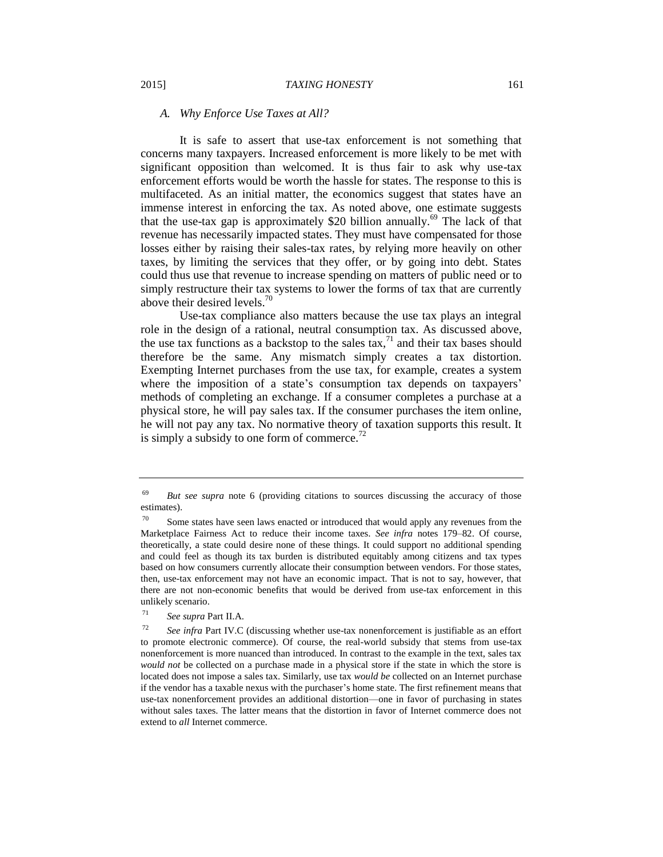### *A. Why Enforce Use Taxes at All?*

It is safe to assert that use-tax enforcement is not something that concerns many taxpayers. Increased enforcement is more likely to be met with significant opposition than welcomed. It is thus fair to ask why use-tax enforcement efforts would be worth the hassle for states. The response to this is multifaceted. As an initial matter, the economics suggest that states have an immense interest in enforcing the tax. As noted above, one estimate suggests that the use-tax gap is approximately \$20 billion annually.<sup>69</sup> The lack of that revenue has necessarily impacted states. They must have compensated for those losses either by raising their sales-tax rates, by relying more heavily on other taxes, by limiting the services that they offer, or by going into debt. States could thus use that revenue to increase spending on matters of public need or to simply restructure their tax systems to lower the forms of tax that are currently above their desired levels.<sup>70</sup>

Use-tax compliance also matters because the use tax plays an integral role in the design of a rational, neutral consumption tax. As discussed above, the use tax functions as a backstop to the sales tax, $7<sup>1</sup>$  and their tax bases should therefore be the same. Any mismatch simply creates a tax distortion. Exempting Internet purchases from the use tax, for example, creates a system where the imposition of a state's consumption tax depends on taxpayers' methods of completing an exchange. If a consumer completes a purchase at a physical store, he will pay sales tax. If the consumer purchases the item online, he will not pay any tax. No normative theory of taxation supports this result. It is simply a subsidy to one form of commerce.<sup>72</sup>

<sup>69</sup> *But see supra* note 6 (providing citations to sources discussing the accuracy of those estimates).

Some states have seen laws enacted or introduced that would apply any revenues from the Marketplace Fairness Act to reduce their income taxes. *See infra* notes 179–82. Of course, theoretically, a state could desire none of these things. It could support no additional spending and could feel as though its tax burden is distributed equitably among citizens and tax types based on how consumers currently allocate their consumption between vendors. For those states, then, use-tax enforcement may not have an economic impact. That is not to say, however, that there are not non-economic benefits that would be derived from use-tax enforcement in this unlikely scenario.

<sup>71</sup> *See supra* Part II.A.

<sup>72</sup> *See infra* Part IV.C (discussing whether use-tax nonenforcement is justifiable as an effort to promote electronic commerce). Of course, the real-world subsidy that stems from use-tax nonenforcement is more nuanced than introduced. In contrast to the example in the text, sales tax *would not* be collected on a purchase made in a physical store if the state in which the store is located does not impose a sales tax. Similarly, use tax *would be* collected on an Internet purchase if the vendor has a taxable nexus with the purchaser's home state. The first refinement means that use-tax nonenforcement provides an additional distortion—one in favor of purchasing in states without sales taxes. The latter means that the distortion in favor of Internet commerce does not extend to *all* Internet commerce.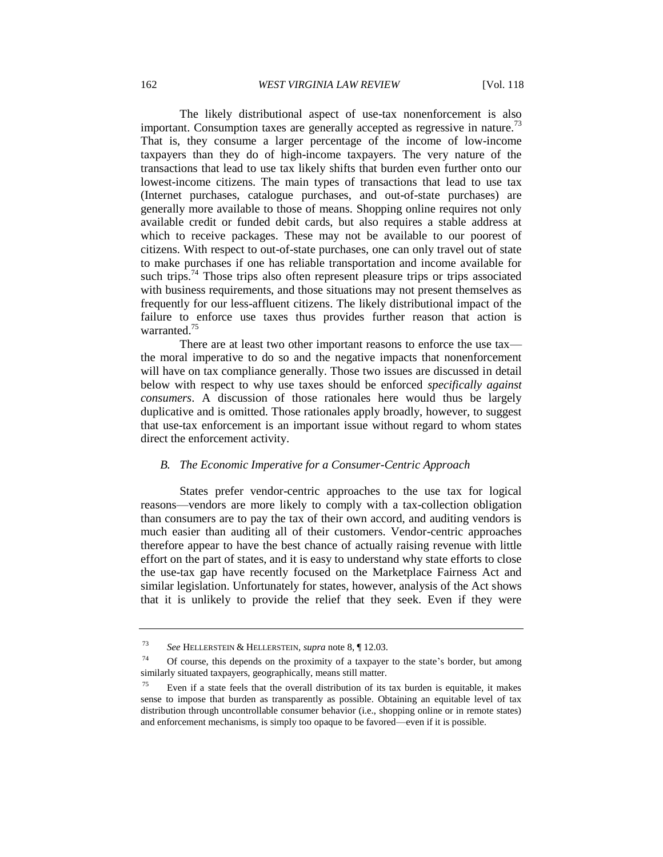The likely distributional aspect of use-tax nonenforcement is also important. Consumption taxes are generally accepted as regressive in nature.<sup>73</sup> That is, they consume a larger percentage of the income of low-income taxpayers than they do of high-income taxpayers. The very nature of the transactions that lead to use tax likely shifts that burden even further onto our lowest-income citizens. The main types of transactions that lead to use tax (Internet purchases, catalogue purchases, and out-of-state purchases) are generally more available to those of means. Shopping online requires not only available credit or funded debit cards, but also requires a stable address at which to receive packages. These may not be available to our poorest of citizens. With respect to out-of-state purchases, one can only travel out of state to make purchases if one has reliable transportation and income available for such trips.<sup>74</sup> Those trips also often represent pleasure trips or trips associated with business requirements, and those situations may not present themselves as frequently for our less-affluent citizens. The likely distributional impact of the failure to enforce use taxes thus provides further reason that action is warranted.<sup>75</sup>

There are at least two other important reasons to enforce the use tax the moral imperative to do so and the negative impacts that nonenforcement will have on tax compliance generally. Those two issues are discussed in detail below with respect to why use taxes should be enforced *specifically against consumers*. A discussion of those rationales here would thus be largely duplicative and is omitted. Those rationales apply broadly, however, to suggest that use-tax enforcement is an important issue without regard to whom states direct the enforcement activity.

# *B. The Economic Imperative for a Consumer-Centric Approach*

States prefer vendor-centric approaches to the use tax for logical reasons—vendors are more likely to comply with a tax-collection obligation than consumers are to pay the tax of their own accord, and auditing vendors is much easier than auditing all of their customers. Vendor-centric approaches therefore appear to have the best chance of actually raising revenue with little effort on the part of states, and it is easy to understand why state efforts to close the use-tax gap have recently focused on the Marketplace Fairness Act and similar legislation. Unfortunately for states, however, analysis of the Act shows that it is unlikely to provide the relief that they seek. Even if they were

<sup>73</sup> *See* HELLERSTEIN & HELLERSTEIN, *supra* note 8, ¶ 12.03.

<sup>&</sup>lt;sup>74</sup> Of course, this depends on the proximity of a taxpayer to the state's border, but among similarly situated taxpayers, geographically, means still matter.

Even if a state feels that the overall distribution of its tax burden is equitable, it makes sense to impose that burden as transparently as possible. Obtaining an equitable level of tax distribution through uncontrollable consumer behavior (i.e., shopping online or in remote states) and enforcement mechanisms, is simply too opaque to be favored—even if it is possible.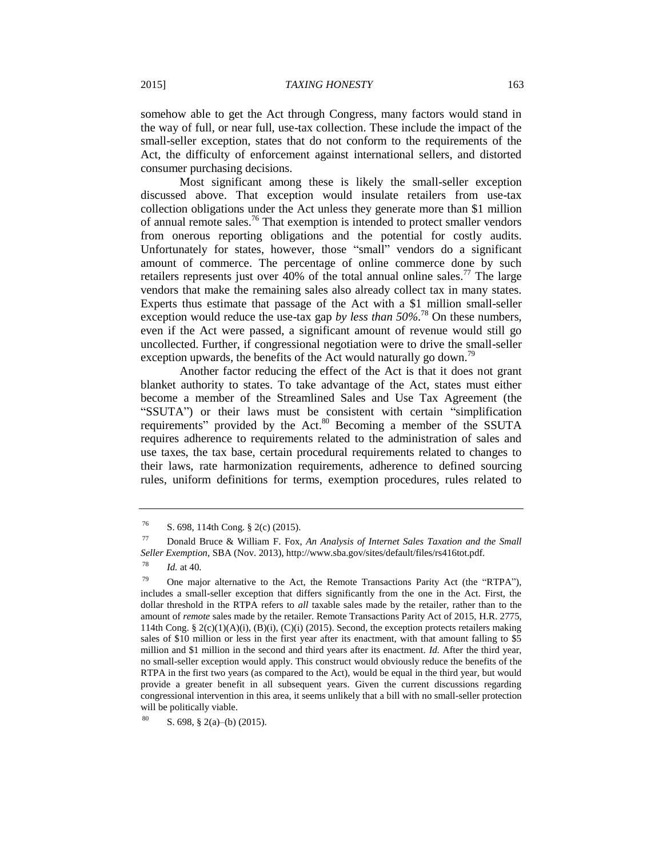somehow able to get the Act through Congress, many factors would stand in the way of full, or near full, use-tax collection. These include the impact of the small-seller exception, states that do not conform to the requirements of the Act, the difficulty of enforcement against international sellers, and distorted consumer purchasing decisions.

Most significant among these is likely the small-seller exception discussed above. That exception would insulate retailers from use-tax collection obligations under the Act unless they generate more than \$1 million of annual remote sales.<sup>76</sup> That exemption is intended to protect smaller vendors from onerous reporting obligations and the potential for costly audits. Unfortunately for states, however, those "small" vendors do a significant amount of commerce. The percentage of online commerce done by such retailers represents just over 40% of the total annual online sales.<sup>77</sup> The large vendors that make the remaining sales also already collect tax in many states. Experts thus estimate that passage of the Act with a \$1 million small-seller exception would reduce the use-tax gap *by less than* 50%.<sup>78</sup> On these numbers, even if the Act were passed, a significant amount of revenue would still go uncollected. Further, if congressional negotiation were to drive the small-seller exception upwards, the benefits of the Act would naturally go down.<sup>79</sup>

Another factor reducing the effect of the Act is that it does not grant blanket authority to states. To take advantage of the Act, states must either become a member of the Streamlined Sales and Use Tax Agreement (the "SSUTA") or their laws must be consistent with certain "simplification requirements" provided by the Act.<sup>80</sup> Becoming a member of the SSUTA requires adherence to requirements related to the administration of sales and use taxes, the tax base, certain procedural requirements related to changes to their laws, rate harmonization requirements, adherence to defined sourcing rules, uniform definitions for terms, exemption procedures, rules related to

<sup>76</sup> S. 698, 114th Cong. § 2(c) (2015).

<sup>77</sup> Donald Bruce & William F. Fox, *An Analysis of Internet Sales Taxation and the Small Seller Exemption*, SBA (Nov. 2013), http://www.sba.gov/sites/default/files/rs416tot.pdf.

<sup>78</sup> *Id.* at 40.

<sup>&</sup>lt;sup>79</sup> One major alternative to the Act, the Remote Transactions Parity Act (the "RTPA"), includes a small-seller exception that differs significantly from the one in the Act. First, the dollar threshold in the RTPA refers to *all* taxable sales made by the retailer, rather than to the amount of *remote* sales made by the retailer. Remote Transactions Parity Act of 2015, H.R. 2775, 114th Cong. § 2(c)(1)(A)(i), (B)(i), (C)(i) (2015). Second, the exception protects retailers making sales of \$10 million or less in the first year after its enactment, with that amount falling to \$5 million and \$1 million in the second and third years after its enactment. *Id.* After the third year, no small-seller exception would apply. This construct would obviously reduce the benefits of the RTPA in the first two years (as compared to the Act), would be equal in the third year, but would provide a greater benefit in all subsequent years. Given the current discussions regarding congressional intervention in this area, it seems unlikely that a bill with no small-seller protection will be politically viable.

S. 698, § 2(a)–(b) (2015).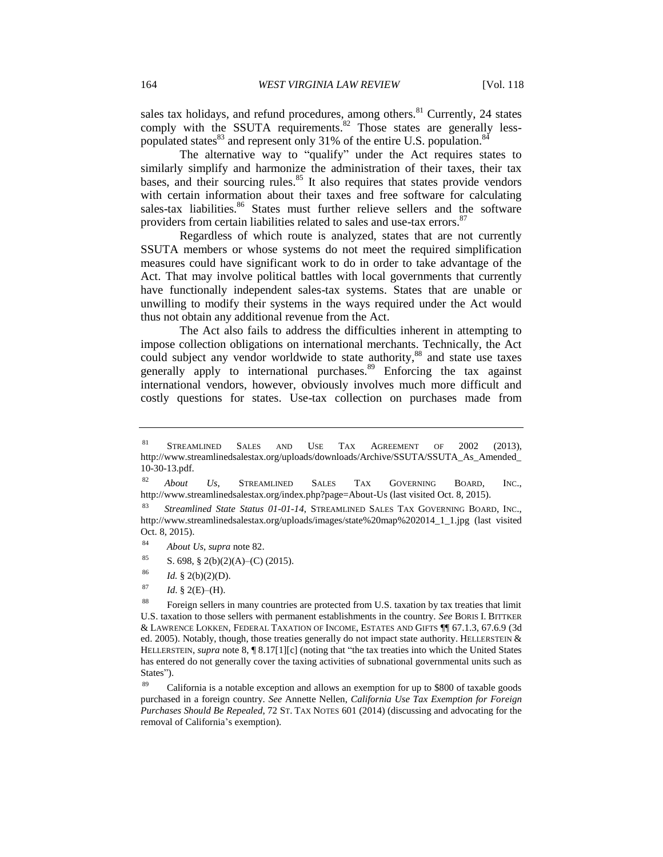sales tax holidays, and refund procedures, among others. $81$  Currently, 24 states comply with the SSUTA requirements. $82$  Those states are generally lesspopulated states $^{83}$  and represent only 31% of the entire U.S. population. $^{84}$ 

The alternative way to "qualify" under the Act requires states to similarly simplify and harmonize the administration of their taxes, their tax bases, and their sourcing rules.<sup>85</sup> It also requires that states provide vendors with certain information about their taxes and free software for calculating sales-tax liabilities.<sup>86</sup> States must further relieve sellers and the software providers from certain liabilities related to sales and use-tax errors.<sup>87</sup>

Regardless of which route is analyzed, states that are not currently SSUTA members or whose systems do not meet the required simplification measures could have significant work to do in order to take advantage of the Act. That may involve political battles with local governments that currently have functionally independent sales-tax systems. States that are unable or unwilling to modify their systems in the ways required under the Act would thus not obtain any additional revenue from the Act.

The Act also fails to address the difficulties inherent in attempting to impose collection obligations on international merchants. Technically, the Act could subject any vendor worldwide to state authority, <sup>88</sup> and state use taxes generally apply to international purchases.<sup>89</sup> Enforcing the tax against international vendors, however, obviously involves much more difficult and costly questions for states. Use-tax collection on purchases made from

- 85 S. 698, § 2(b)(2)(A)–(C) (2015).
- $^{86}$  *Id.* § 2(b)(2)(D).
- $^{87}$  *Id.* § 2(E)–(H).

<sup>81</sup> STREAMLINED SALES AND USE TAX AGREEMENT OF 2002 (2013), http://www.streamlinedsalestax.org/uploads/downloads/Archive/SSUTA/SSUTA\_As\_Amended\_ 10-30-13.pdf.

<sup>82</sup> *About Us*, STREAMLINED SALES TAX GOVERNING BOARD, INC., http://www.streamlinedsalestax.org/index.php?page=About-Us (last visited Oct. 8, 2015).

<sup>83</sup> *Streamlined State Status 01-01-14*, STREAMLINED SALES TAX GOVERNING BOARD, INC., http://www.streamlinedsalestax.org/uploads/images/state%20map%202014\_1\_1.jpg (last visited Oct. 8, 2015).

<sup>84</sup> *About Us*, *supra* note 82.

<sup>&</sup>lt;sup>88</sup> Foreign sellers in many countries are protected from U.S. taxation by tax treaties that limit U.S. taxation to those sellers with permanent establishments in the country. *See* BORIS I. BITTKER & LAWRENCE LOKKEN, FEDERAL TAXATION OF INCOME, ESTATES AND GIFTS ¶¶ 67.1.3, 67.6.9 (3d ed. 2005). Notably, though, those treaties generally do not impact state authority. HELLERSTEIN & HELLERSTEIN, *supra* note 8, ¶ 8.17[1][c] (noting that "the tax treaties into which the United States has entered do not generally cover the taxing activities of subnational governmental units such as States").

<sup>89</sup> California is a notable exception and allows an exemption for up to \$800 of taxable goods purchased in a foreign country. *See* Annette Nellen, *California Use Tax Exemption for Foreign Purchases Should Be Repealed*, 72 ST. TAX NOTES 601 (2014) (discussing and advocating for the removal of California's exemption).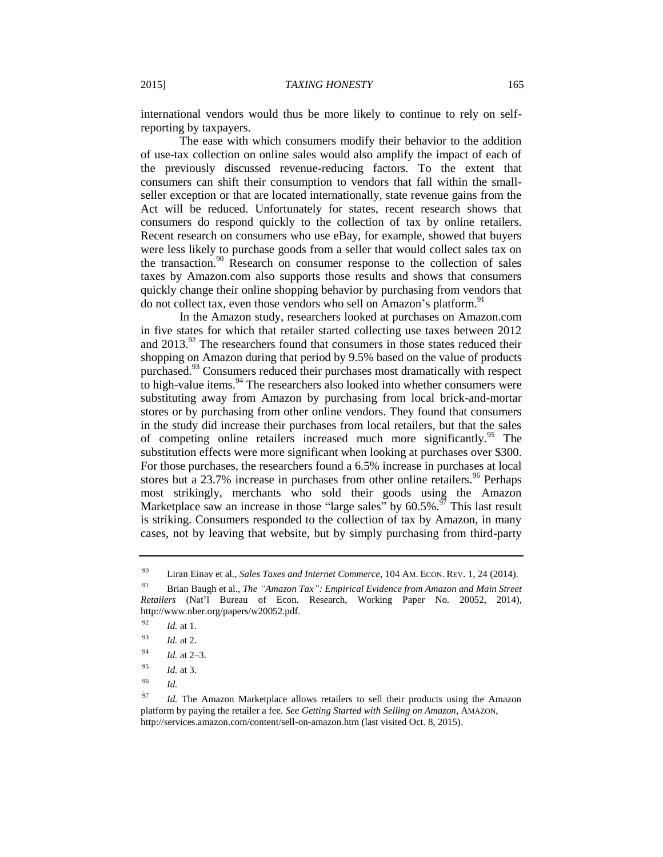international vendors would thus be more likely to continue to rely on selfreporting by taxpayers.

The ease with which consumers modify their behavior to the addition of use-tax collection on online sales would also amplify the impact of each of the previously discussed revenue-reducing factors. To the extent that consumers can shift their consumption to vendors that fall within the smallseller exception or that are located internationally, state revenue gains from the Act will be reduced. Unfortunately for states, recent research shows that consumers do respond quickly to the collection of tax by online retailers. Recent research on consumers who use eBay, for example, showed that buyers were less likely to purchase goods from a seller that would collect sales tax on the transaction. $90$  Research on consumer response to the collection of sales taxes by Amazon.com also supports those results and shows that consumers quickly change their online shopping behavior by purchasing from vendors that do not collect tax, even those vendors who sell on Amazon's platform.<sup>91</sup>

In the Amazon study, researchers looked at purchases on Amazon.com in five states for which that retailer started collecting use taxes between 2012 and  $2013<sup>92</sup>$ . The researchers found that consumers in those states reduced their shopping on Amazon during that period by 9.5% based on the value of products purchased.<sup>93</sup> Consumers reduced their purchases most dramatically with respect to high-value items. $94$  The researchers also looked into whether consumers were substituting away from Amazon by purchasing from local brick-and-mortar stores or by purchasing from other online vendors. They found that consumers in the study did increase their purchases from local retailers, but that the sales of competing online retailers increased much more significantly.<sup>95</sup> The substitution effects were more significant when looking at purchases over \$300. For those purchases, the researchers found a 6.5% increase in purchases at local stores but a  $23.7\%$  increase in purchases from other online retailers.<sup>96</sup> Perhaps most strikingly, merchants who sold their goods using the Amazon Marketplace saw an increase in those "large sales" by  $60.5\%$ .<sup>97</sup> This last result is striking. Consumers responded to the collection of tax by Amazon, in many cases, not by leaving that website, but by simply purchasing from third-party

<sup>96</sup> *Id.*

<sup>90</sup> Liran Einav et al., *Sales Taxes and Internet Commerce*, 104 AM. ECON. REV. 1, 24 (2014).

<sup>91</sup> Brian Baugh et al., *The "Amazon Tax": Empirical Evidence from Amazon and Main Street Retailers* (Nat'l Bureau of Econ. Research, Working Paper No. 20052, 2014), http://www.nber.org/papers/w20052.pdf.

<sup>92</sup> *Id.* at 1.

<sup>93</sup> *Id.* at 2.

<sup>94</sup> *Id.* at 2–3.

<sup>95</sup> *Id.* at 3.

<sup>&</sup>lt;sup>97</sup> *Id.* The Amazon Marketplace allows retailers to sell their products using the Amazon platform by paying the retailer a fee. *See Getting Started with Selling on Amazon*, AMAZON, http://services.amazon.com/content/sell-on-amazon.htm (last visited Oct. 8, 2015).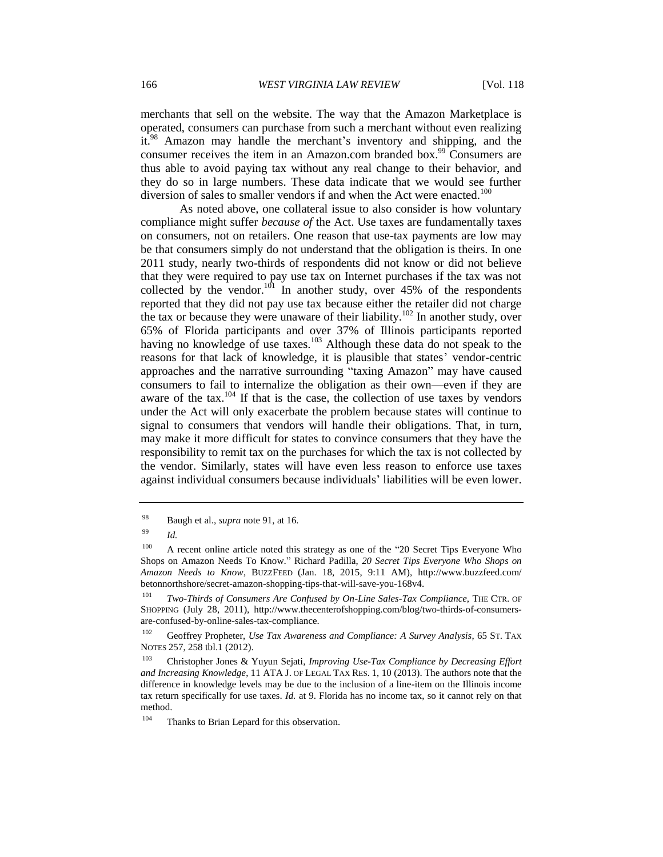merchants that sell on the website. The way that the Amazon Marketplace is operated, consumers can purchase from such a merchant without even realizing it.<sup>98</sup> Amazon may handle the merchant's inventory and shipping, and the consumer receives the item in an Amazon.com branded box.<sup>99</sup> Consumers are thus able to avoid paying tax without any real change to their behavior, and they do so in large numbers. These data indicate that we would see further diversion of sales to smaller vendors if and when the Act were enacted.<sup>100</sup>

As noted above, one collateral issue to also consider is how voluntary compliance might suffer *because of* the Act. Use taxes are fundamentally taxes on consumers, not on retailers. One reason that use-tax payments are low may be that consumers simply do not understand that the obligation is theirs. In one 2011 study, nearly two-thirds of respondents did not know or did not believe that they were required to pay use tax on Internet purchases if the tax was not collected by the vendor.<sup>101</sup> In another study, over 45% of the respondents reported that they did not pay use tax because either the retailer did not charge the tax or because they were unaware of their liability.<sup>102</sup> In another study, over 65% of Florida participants and over 37% of Illinois participants reported having no knowledge of use taxes.<sup>103</sup> Although these data do not speak to the reasons for that lack of knowledge, it is plausible that states' vendor-centric approaches and the narrative surrounding "taxing Amazon" may have caused consumers to fail to internalize the obligation as their own—even if they are aware of the tax.<sup>104</sup> If that is the case, the collection of use taxes by vendors under the Act will only exacerbate the problem because states will continue to signal to consumers that vendors will handle their obligations. That, in turn, may make it more difficult for states to convince consumers that they have the responsibility to remit tax on the purchases for which the tax is not collected by the vendor. Similarly, states will have even less reason to enforce use taxes against individual consumers because individuals' liabilities will be even lower.

<sup>98</sup> Baugh et al., *supra* note 91, at 16.

<sup>99</sup> *Id.*

<sup>&</sup>lt;sup>100</sup> A recent online article noted this strategy as one of the "20 Secret Tips Everyone Who Shops on Amazon Needs To Know." Richard Padilla, *20 Secret Tips Everyone Who Shops on Amazon Needs to Know*, BUZZFEED (Jan. 18, 2015, 9:11 AM), http://www.buzzfeed.com/ betonnorthshore/secret-amazon-shopping-tips-that-will-save-you-168v4.

<sup>&</sup>lt;sup>101</sup> *Two-Thirds of Consumers Are Confused by On-Line Sales-Tax Compliance*, THE CTR. OF SHOPPING (July 28, 2011), http://www.thecenterofshopping.com/blog/two-thirds-of-consumersare-confused-by-online-sales-tax-compliance.

<sup>102</sup> Geoffrey Propheter, *Use Tax Awareness and Compliance: A Survey Analysis*, 65 ST. TAX NOTES 257, 258 tbl.1 (2012).

<sup>103</sup> Christopher Jones & Yuyun Sejati, *Improving Use-Tax Compliance by Decreasing Effort and Increasing Knowledge*, 11 ATA J. OF LEGAL TAX RES. 1, 10 (2013). The authors note that the difference in knowledge levels may be due to the inclusion of a line-item on the Illinois income tax return specifically for use taxes. *Id.* at 9. Florida has no income tax, so it cannot rely on that method.

<sup>&</sup>lt;sup>104</sup> Thanks to Brian Lepard for this observation.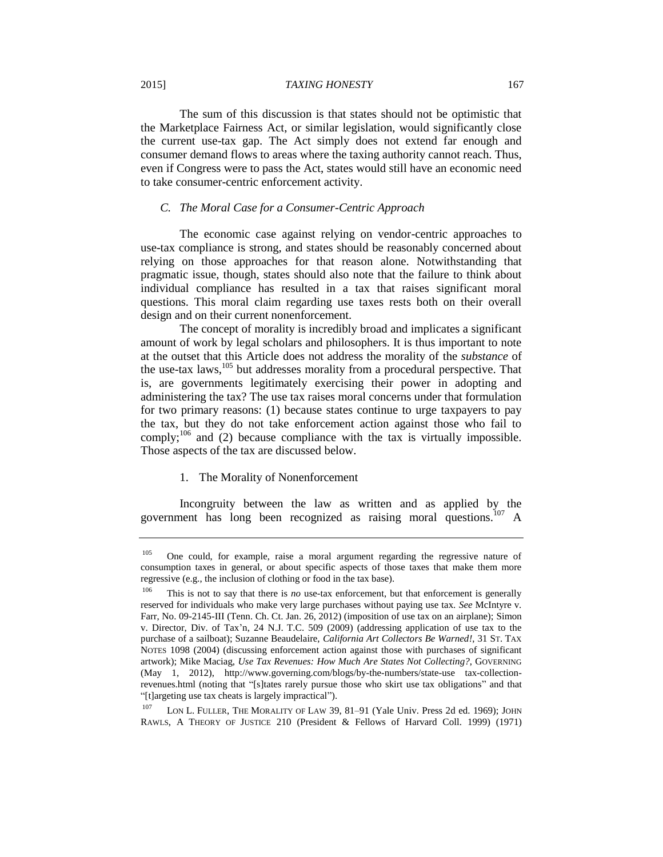#### 2015] *TAXING HONESTY* 167

The sum of this discussion is that states should not be optimistic that the Marketplace Fairness Act, or similar legislation, would significantly close the current use-tax gap. The Act simply does not extend far enough and consumer demand flows to areas where the taxing authority cannot reach. Thus, even if Congress were to pass the Act, states would still have an economic need to take consumer-centric enforcement activity.

# *C. The Moral Case for a Consumer-Centric Approach*

The economic case against relying on vendor-centric approaches to use-tax compliance is strong, and states should be reasonably concerned about relying on those approaches for that reason alone. Notwithstanding that pragmatic issue, though, states should also note that the failure to think about individual compliance has resulted in a tax that raises significant moral questions. This moral claim regarding use taxes rests both on their overall design and on their current nonenforcement.

The concept of morality is incredibly broad and implicates a significant amount of work by legal scholars and philosophers. It is thus important to note at the outset that this Article does not address the morality of the *substance* of the use-tax laws,<sup>105</sup> but addresses morality from a procedural perspective. That is, are governments legitimately exercising their power in adopting and administering the tax? The use tax raises moral concerns under that formulation for two primary reasons: (1) because states continue to urge taxpayers to pay the tax, but they do not take enforcement action against those who fail to comply;<sup>106</sup> and  $(2)$  because compliance with the tax is virtually impossible. Those aspects of the tax are discussed below.

# 1. The Morality of Nonenforcement

Incongruity between the law as written and as applied by the government has long been recognized as raising moral questions.<sup>107</sup> A

<sup>&</sup>lt;sup>105</sup> One could, for example, raise a moral argument regarding the regressive nature of consumption taxes in general, or about specific aspects of those taxes that make them more regressive (e.g., the inclusion of clothing or food in the tax base).

<sup>&</sup>lt;sup>106</sup> This is not to say that there is *no* use-tax enforcement, but that enforcement is generally reserved for individuals who make very large purchases without paying use tax. *See* McIntyre v. Farr, No. 09-2145-III (Tenn. Ch. Ct. Jan. 26, 2012) (imposition of use tax on an airplane); Simon v. Director, Div. of Tax'n, 24 N.J. T.C. 509 (2009) (addressing application of use tax to the purchase of a sailboat); Suzanne Beaudelaire, *California Art Collectors Be Warned!*, 31 ST. TAX NOTES 1098 (2004) (discussing enforcement action against those with purchases of significant artwork); Mike Maciag, *Use Tax Revenues: How Much Are States Not Collecting?*, GOVERNING (May 1, 2012), http://www.governing.com/blogs/by-the-numbers/state-use tax-collectionrevenues.html (noting that "[s]tates rarely pursue those who skirt use tax obligations" and that "[t]argeting use tax cheats is largely impractical").

<sup>&</sup>lt;sup>107</sup> LON L. FULLER, THE MORALITY OF LAW 39, 81–91 (Yale Univ. Press 2d ed. 1969); JOHN RAWLS, A THEORY OF JUSTICE 210 (President & Fellows of Harvard Coll. 1999) (1971)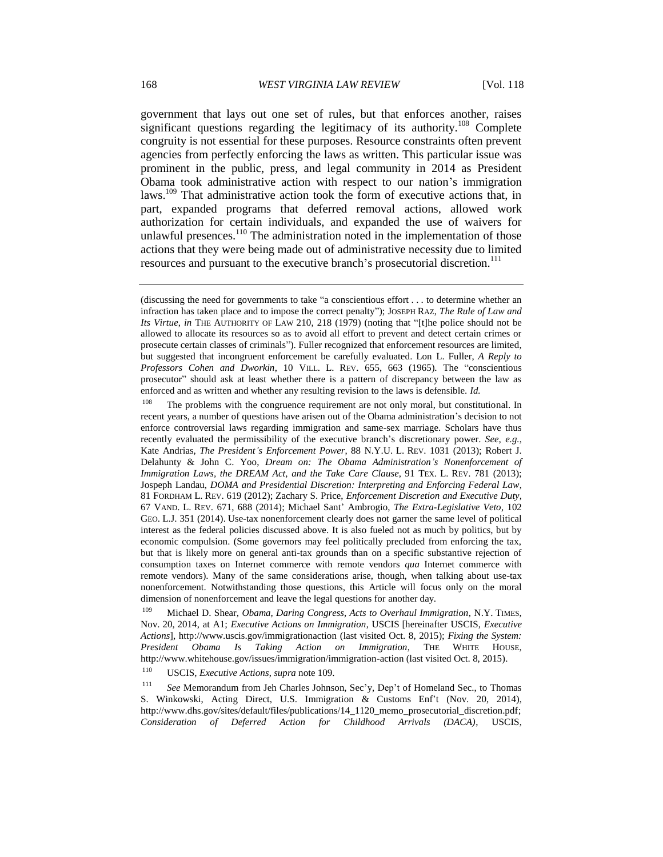government that lays out one set of rules, but that enforces another, raises significant questions regarding the legitimacy of its authority.<sup>108</sup> Complete congruity is not essential for these purposes. Resource constraints often prevent agencies from perfectly enforcing the laws as written. This particular issue was prominent in the public, press, and legal community in 2014 as President Obama took administrative action with respect to our nation's immigration laws.<sup>109</sup> That administrative action took the form of executive actions that, in part, expanded programs that deferred removal actions, allowed work authorization for certain individuals, and expanded the use of waivers for unlawful presences.<sup>110</sup> The administration noted in the implementation of those actions that they were being made out of administrative necessity due to limited resources and pursuant to the executive branch's prosecutorial discretion.<sup>111</sup>

<sup>108</sup> The problems with the congruence requirement are not only moral, but constitutional. In recent years, a number of questions have arisen out of the Obama administration's decision to not enforce controversial laws regarding immigration and same-sex marriage. Scholars have thus recently evaluated the permissibility of the executive branch's discretionary power. *See, e.g.*, Kate Andrias, *The President's Enforcement Power*, 88 N.Y.U. L. REV. 1031 (2013); Robert J. Delahunty & John C. Yoo, *Dream on: The Obama Administration's Nonenforcement of Immigration Laws, the DREAM Act, and the Take Care Clause*, 91 TEX. L. REV. 781 (2013); Jospeph Landau, *DOMA and Presidential Discretion: Interpreting and Enforcing Federal Law*, 81 FORDHAM L. REV. 619 (2012); Zachary S. Price, *Enforcement Discretion and Executive Duty*, 67 VAND. L. REV. 671, 688 (2014); Michael Sant' Ambrogio, *The Extra-Legislative Veto*, 102 GEO. L.J. 351 (2014). Use-tax nonenforcement clearly does not garner the same level of political interest as the federal policies discussed above. It is also fueled not as much by politics, but by economic compulsion. (Some governors may feel politically precluded from enforcing the tax, but that is likely more on general anti-tax grounds than on a specific substantive rejection of consumption taxes on Internet commerce with remote vendors *qua* Internet commerce with remote vendors). Many of the same considerations arise, though, when talking about use-tax nonenforcement. Notwithstanding those questions, this Article will focus only on the moral dimension of nonenforcement and leave the legal questions for another day.

<sup>109</sup> Michael D. Shear, *Obama, Daring Congress, Acts to Overhaul Immigration*, N.Y. TIMES, Nov. 20, 2014, at A1; *Executive Actions on Immigration*, USCIS [hereinafter USCIS, *Executive Actions*], http://www.uscis.gov/immigrationaction (last visited Oct. 8, 2015); *Fixing the System: President Obama Is Taking Action on Immigration*, THE WHITE HOUSE, http://www.whitehouse.gov/issues/immigration/immigration-action (last visited Oct. 8, 2015).

<sup>110</sup> USCIS, *Executive Actions*, *supra* note 109.

<sup>111</sup> *See* Memorandum from Jeh Charles Johnson, Sec'y, Dep't of Homeland Sec., to Thomas S. Winkowski, Acting Direct, U.S. Immigration & Customs Enf't (Nov. 20, 2014), http://www.dhs.gov/sites/default/files/publications/14\_1120\_memo\_prosecutorial\_discretion.pdf; *Consideration of Deferred Action for Childhood Arrivals (DACA)*, USCIS,

<sup>(</sup>discussing the need for governments to take "a conscientious effort . . . to determine whether an infraction has taken place and to impose the correct penalty"); JOSEPH RAZ, *The Rule of Law and Its Virtue*, *in* THE AUTHORITY OF LAW 210, 218 (1979) (noting that "[t]he police should not be allowed to allocate its resources so as to avoid all effort to prevent and detect certain crimes or prosecute certain classes of criminals"). Fuller recognized that enforcement resources are limited, but suggested that incongruent enforcement be carefully evaluated. Lon L. Fuller, *A Reply to Professors Cohen and Dworkin*, 10 VILL. L. REV. 655, 663 (1965). The "conscientious prosecutor" should ask at least whether there is a pattern of discrepancy between the law as enforced and as written and whether any resulting revision to the laws is defensible. *Id.*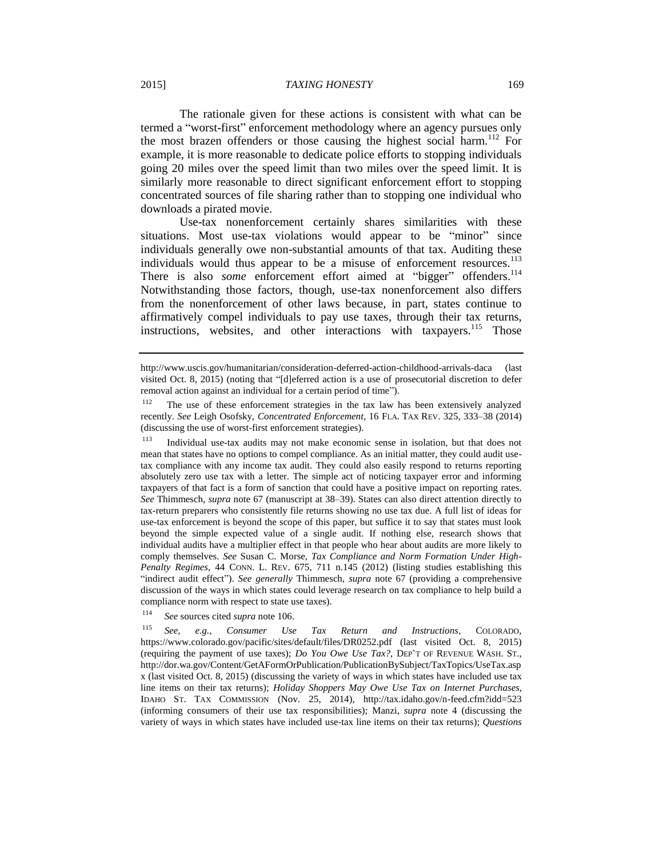#### 2015] *TAXING HONESTY* 169

The rationale given for these actions is consistent with what can be termed a "worst-first" enforcement methodology where an agency pursues only the most brazen offenders or those causing the highest social harm.<sup>112</sup> For example, it is more reasonable to dedicate police efforts to stopping individuals going 20 miles over the speed limit than two miles over the speed limit. It is similarly more reasonable to direct significant enforcement effort to stopping concentrated sources of file sharing rather than to stopping one individual who downloads a pirated movie.

Use-tax nonenforcement certainly shares similarities with these situations. Most use-tax violations would appear to be "minor" since individuals generally owe non-substantial amounts of that tax. Auditing these individuals would thus appear to be a misuse of enforcement resources.<sup>113</sup> There is also *some* enforcement effort aimed at "bigger" offenders.<sup>114</sup> Notwithstanding those factors, though, use-tax nonenforcement also differs from the nonenforcement of other laws because, in part, states continue to affirmatively compel individuals to pay use taxes, through their tax returns, instructions, websites, and other interactions with taxpayers.<sup>115</sup> Those

<sup>113</sup> Individual use-tax audits may not make economic sense in isolation, but that does not mean that states have no options to compel compliance. As an initial matter, they could audit usetax compliance with any income tax audit. They could also easily respond to returns reporting absolutely zero use tax with a letter. The simple act of noticing taxpayer error and informing taxpayers of that fact is a form of sanction that could have a positive impact on reporting rates. *See* Thimmesch, *supra* note 67 (manuscript at 38–39). States can also direct attention directly to tax-return preparers who consistently file returns showing no use tax due. A full list of ideas for use-tax enforcement is beyond the scope of this paper, but suffice it to say that states must look beyond the simple expected value of a single audit. If nothing else, research shows that individual audits have a multiplier effect in that people who hear about audits are more likely to comply themselves. *See* Susan C. Morse, *Tax Compliance and Norm Formation Under High-Penalty Regimes*, 44 CONN. L. REV. 675, 711 n.145 (2012) (listing studies establishing this "indirect audit effect"). *See generally* Thimmesch, *supra* note 67 (providing a comprehensive discussion of the ways in which states could leverage research on tax compliance to help build a compliance norm with respect to state use taxes).

<sup>114</sup> *See* sources cited *supra* note 106.

<sup>115</sup> *See, e.g.*, *Consumer Use Tax Return and Instructions*, COLORADO, https://www.colorado.gov/pacific/sites/default/files/DR0252.pdf (last visited Oct. 8, 2015) (requiring the payment of use taxes); *Do You Owe Use Tax?*, DEP'T OF REVENUE WASH. ST., http://dor.wa.gov/Content/GetAFormOrPublication/PublicationBySubject/TaxTopics/UseTax.asp x (last visited Oct. 8, 2015) (discussing the variety of ways in which states have included use tax line items on their tax returns); *Holiday Shoppers May Owe Use Tax on Internet Purchases*, IDAHO ST. TAX COMMISSION (Nov. 25, 2014), http://tax.idaho.gov/n-feed.cfm?idd=523 (informing consumers of their use tax responsibilities); Manzi, *supra* note 4 (discussing the variety of ways in which states have included use-tax line items on their tax returns); *Questions* 

http://www.uscis.gov/humanitarian/consideration-deferred-action-childhood-arrivals-daca (last visited Oct. 8, 2015) (noting that "[d]eferred action is a use of prosecutorial discretion to defer removal action against an individual for a certain period of time").

<sup>&</sup>lt;sup>112</sup> The use of these enforcement strategies in the tax law has been extensively analyzed recently. *See* Leigh Osofsky, *Concentrated Enforcement*, 16 FLA. TAX REV. 325, 333–38 (2014) (discussing the use of worst-first enforcement strategies).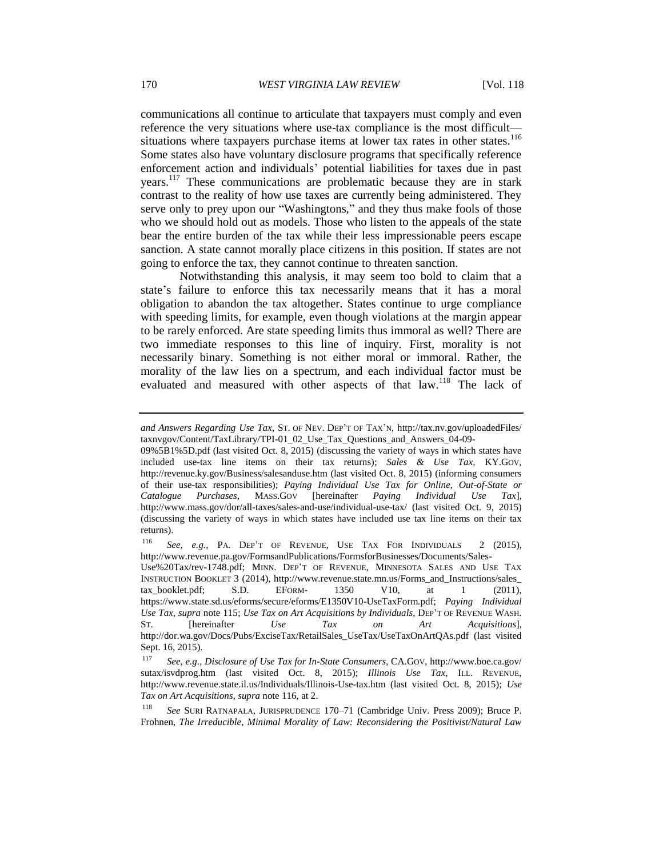communications all continue to articulate that taxpayers must comply and even reference the very situations where use-tax compliance is the most difficult situations where taxpayers purchase items at lower tax rates in other states.<sup>116</sup> Some states also have voluntary disclosure programs that specifically reference enforcement action and individuals' potential liabilities for taxes due in past years.<sup>117</sup> These communications are problematic because they are in stark contrast to the reality of how use taxes are currently being administered. They serve only to prey upon our "Washingtons," and they thus make fools of those who we should hold out as models. Those who listen to the appeals of the state bear the entire burden of the tax while their less impressionable peers escape sanction. A state cannot morally place citizens in this position. If states are not going to enforce the tax, they cannot continue to threaten sanction.

Notwithstanding this analysis, it may seem too bold to claim that a state's failure to enforce this tax necessarily means that it has a moral obligation to abandon the tax altogether. States continue to urge compliance with speeding limits, for example, even though violations at the margin appear to be rarely enforced. Are state speeding limits thus immoral as well? There are two immediate responses to this line of inquiry. First, morality is not necessarily binary. Something is not either moral or immoral. Rather, the morality of the law lies on a spectrum, and each individual factor must be evaluated and measured with other aspects of that law.<sup>118</sup> The lack of

<sup>116</sup> *See, e.g.*, PA. DEP'T OF REVENUE, USE TAX FOR INDIVIDUALS 2 (2015), http://www.revenue.pa.gov/FormsandPublications/FormsforBusinesses/Documents/Sales-

Use%20Tax/rev-1748.pdf; MINN. DEP'T OF REVENUE, MINNESOTA SALES AND USE TAX INSTRUCTION BOOKLET 3 (2014), http://www.revenue.state.mn.us/Forms\_and\_Instructions/sales\_ tax\_booklet.pdf; S.D. EFORM- 1350 V10, at 1 (2011), https://www.state.sd.us/eforms/secure/eforms/E1350V10-UseTaxForm.pdf; *Paying Individual Use Tax*, *supra* note 115; *Use Tax on Art Acquisitions by Individuals*, DEP'T OF REVENUE WASH. ST. [hereinafter *Use Tax on Art Acquisitions*], http://dor.wa.gov/Docs/Pubs/ExciseTax/RetailSales\_UseTax/UseTaxOnArtQAs.pdf (last visited Sept. 16, 2015).

*and Answers Regarding Use Tax*, ST. OF NEV. DEP'T OF TAX'N, http://tax.nv.gov/uploadedFiles/ taxnvgov/Content/TaxLibrary/TPI-01\_02\_Use\_Tax\_Questions\_and\_Answers\_04-09-

<sup>09%5</sup>B1%5D.pdf (last visited Oct. 8, 2015) (discussing the variety of ways in which states have included use-tax line items on their tax returns); *Sales & Use Tax*, KY.GOV, http://revenue.ky.gov/Business/salesanduse.htm (last visited Oct. 8, 2015) (informing consumers of their use-tax responsibilities); *Paying Individual Use Tax for Online, Out-of-State or Catalogue Purchases*, MASS.GOV [hereinafter *Paying Individual Use Tax*], http://www.mass.gov/dor/all-taxes/sales-and-use/individual-use-tax/ (last visited Oct. 9, 2015) (discussing the variety of ways in which states have included use tax line items on their tax returns).

<sup>117</sup> *See, e.g.*, *Disclosure of Use Tax for In-State Consumers*, CA.GOV, http://www.boe.ca.gov/ sutax/isvdprog.htm (last visited Oct. 8, 2015); *Illinois Use Tax*, ILL. REVENUE, http://www.revenue.state.il.us/Individuals/Illinois-Use-tax.htm (last visited Oct. 8, 2015); *Use Tax on Art Acquisitions*, *supra* note 116, at 2.

<sup>118</sup> *See* SURI RATNAPALA, JURISPRUDENCE 170–71 (Cambridge Univ. Press 2009); Bruce P. Frohnen, *The Irreducible, Minimal Morality of Law: Reconsidering the Positivist/Natural Law*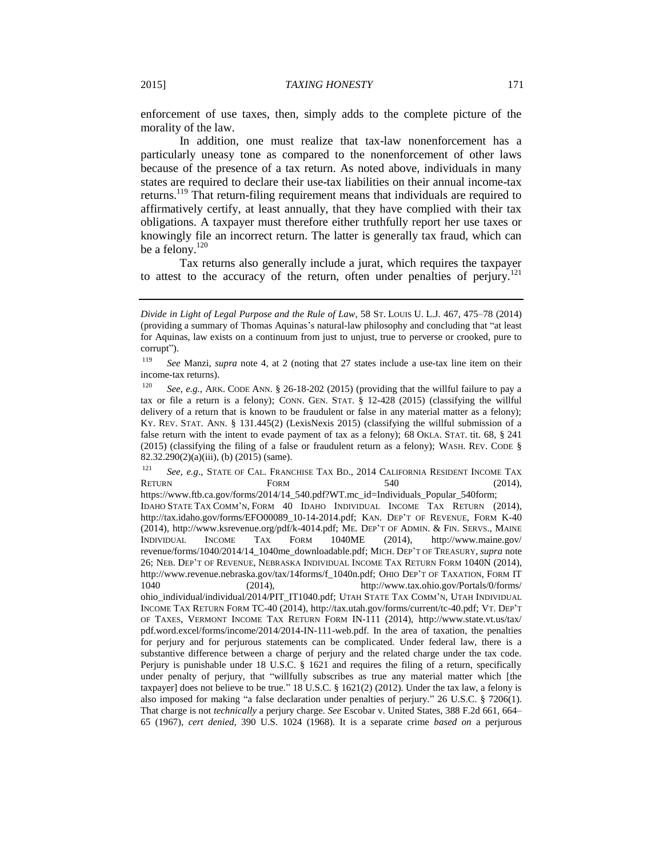enforcement of use taxes, then, simply adds to the complete picture of the morality of the law.

In addition, one must realize that tax-law nonenforcement has a particularly uneasy tone as compared to the nonenforcement of other laws because of the presence of a tax return. As noted above, individuals in many states are required to declare their use-tax liabilities on their annual income-tax returns.<sup>119</sup> That return-filing requirement means that individuals are required to affirmatively certify, at least annually, that they have complied with their tax obligations. A taxpayer must therefore either truthfully report her use taxes or knowingly file an incorrect return. The latter is generally tax fraud, which can be a felony. $120$ 

Tax returns also generally include a jurat, which requires the taxpayer to attest to the accuracy of the return, often under penalties of perjury.<sup>121</sup>

<sup>121</sup> *See, e.g*., STATE OF CAL. FRANCHISE TAX BD., 2014 CALIFORNIA RESIDENT INCOME TAX RETURN FORM  $F$ ORM 540 (2014), https://www.ftb.ca.gov/forms/2014/14\_540.pdf?WT.mc\_id=Individuals\_Popular\_540form; IDAHO STATE TAX COMM'N, FORM 40 IDAHO INDIVIDUAL INCOME TAX RETURN (2014), http://tax.idaho.gov/forms/EFO00089\_10-14-2014.pdf; KAN. DEP'T OF REVENUE, FORM K-40 (2014), http://www.ksrevenue.org/pdf/k-4014.pdf; ME. DEP'T OF ADMIN. & FIN. SERVS., MAINE INDIVIDUAL INCOME TAX FORM 1040ME (2014), http://www.maine.gov/ revenue/forms/1040/2014/14\_1040me\_downloadable.pdf; MICH. DEP'T OF TREASURY, *supra* note 26; NEB. DEP'T OF REVENUE, NEBRASKA INDIVIDUAL INCOME TAX RETURN FORM 1040N (2014), http://www.revenue.nebraska.gov/tax/14forms/f 1040n.pdf; OHIO DEP'T OF TAXATION, FORM IT 1040 (2014), http://www.tax.ohio.gov/Portals/0/forms/ ohio\_individual/individual/2014/PIT\_IT1040.pdf; UTAH STATE TAX COMM'N, UTAH INDIVIDUAL INCOME TAX RETURN FORM TC-40 (2014), http://tax.utah.gov/forms/current/tc-40.pdf; VT. DEP'T OF TAXES, VERMONT INCOME TAX RETURN FORM IN-111 (2014), http://www.state.vt.us/tax/ pdf.word.excel/forms/income/2014/2014-IN-111-web.pdf. In the area of taxation, the penalties for perjury and for perjurous statements can be complicated. Under federal law, there is a substantive difference between a charge of perjury and the related charge under the tax code. Perjury is punishable under 18 U.S.C. § 1621 and requires the filing of a return, specifically under penalty of perjury, that "willfully subscribes as true any material matter which [the taxpayer] does not believe to be true." 18 U.S.C. § 1621(2) (2012). Under the tax law, a felony is also imposed for making "a false declaration under penalties of perjury." 26 U.S.C. § 7206(1). That charge is not *technically* a perjury charge. *See* Escobar v. United States, 388 F.2d 661, 664– 65 (1967), *cert denied*, 390 U.S. 1024 (1968). It is a separate crime *based on* a perjurous

*Divide in Light of Legal Purpose and the Rule of Law*, 58 ST. LOUIS U. L.J. 467, 475–78 (2014) (providing a summary of Thomas Aquinas's natural-law philosophy and concluding that "at least for Aquinas, law exists on a continuum from just to unjust, true to perverse or crooked, pure to corrupt").

<sup>119</sup> *See* Manzi, *supra* note 4, at 2 (noting that 27 states include a use-tax line item on their income-tax returns).

<sup>120</sup> *See, e.g.*, ARK. CODE ANN. § 26-18-202 (2015) (providing that the willful failure to pay a tax or file a return is a felony); CONN. GEN. STAT. § 12-428 (2015) (classifying the willful delivery of a return that is known to be fraudulent or false in any material matter as a felony); KY. REV. STAT. ANN. § 131.445(2) (LexisNexis 2015) (classifying the willful submission of a false return with the intent to evade payment of tax as a felony); 68 OKLA. STAT. tit. 68, § 241  $(2015)$  (classifying the filing of a false or fraudulent return as a felony); WASH. REV. CODE § 82.32.290(2)(a)(iii), (b) (2015) (same).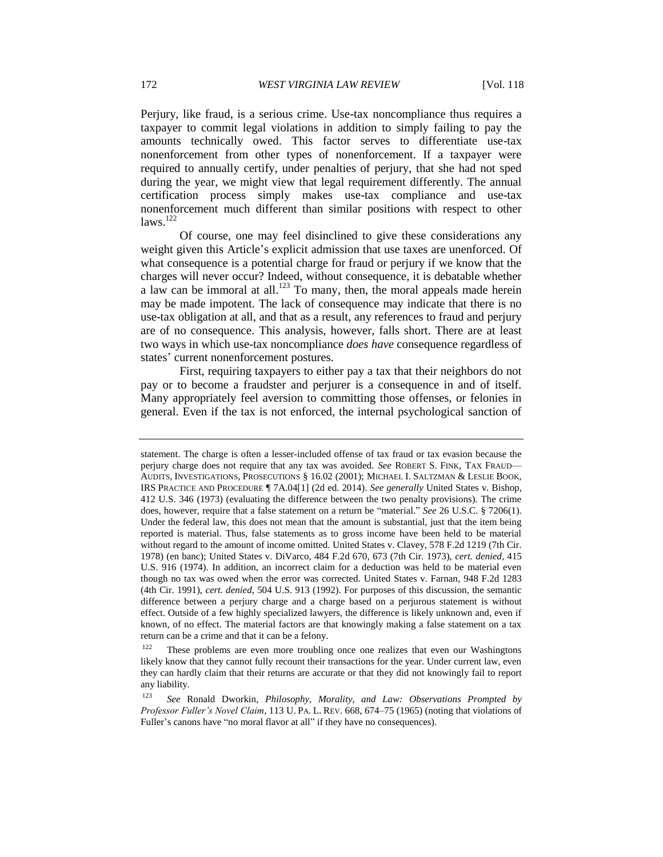Perjury, like fraud, is a serious crime. Use-tax noncompliance thus requires a taxpayer to commit legal violations in addition to simply failing to pay the amounts technically owed. This factor serves to differentiate use-tax nonenforcement from other types of nonenforcement. If a taxpayer were required to annually certify, under penalties of perjury, that she had not sped during the year, we might view that legal requirement differently. The annual certification process simply makes use-tax compliance and use-tax nonenforcement much different than similar positions with respect to other  $laws.<sup>122</sup>$ 

Of course, one may feel disinclined to give these considerations any weight given this Article's explicit admission that use taxes are unenforced. Of what consequence is a potential charge for fraud or perjury if we know that the charges will never occur? Indeed, without consequence, it is debatable whether a law can be immoral at all.<sup>123</sup> To many, then, the moral appeals made herein may be made impotent. The lack of consequence may indicate that there is no use-tax obligation at all, and that as a result, any references to fraud and perjury are of no consequence. This analysis, however, falls short. There are at least two ways in which use-tax noncompliance *does have* consequence regardless of states' current nonenforcement postures.

First, requiring taxpayers to either pay a tax that their neighbors do not pay or to become a fraudster and perjurer is a consequence in and of itself. Many appropriately feel aversion to committing those offenses, or felonies in general. Even if the tax is not enforced, the internal psychological sanction of

statement. The charge is often a lesser-included offense of tax fraud or tax evasion because the perjury charge does not require that any tax was avoided. *See* ROBERT S. FINK, TAX FRAUD— AUDITS, INVESTIGATIONS, PROSECUTIONS § 16.02 (2001); MICHAEL I. SALTZMAN & LESLIE BOOK, IRS PRACTICE AND PROCEDURE ¶ 7A.04[1] (2d ed. 2014). *See generally* United States v. Bishop, 412 U.S. 346 (1973) (evaluating the difference between the two penalty provisions). The crime does, however, require that a false statement on a return be "material." *See* 26 U.S.C. § 7206(1). Under the federal law, this does not mean that the amount is substantial, just that the item being reported is material. Thus, false statements as to gross income have been held to be material without regard to the amount of income omitted. United States v. Clavey, 578 F.2d 1219 (7th Cir. 1978) (en banc); United States v. DiVarco, 484 F.2d 670, 673 (7th Cir. 1973), *cert. denied*, 415 U.S. 916 (1974). In addition, an incorrect claim for a deduction was held to be material even though no tax was owed when the error was corrected. United States v. Farnan, 948 F.2d 1283 (4th Cir. 1991), *cert. denied*, 504 U.S. 913 (1992). For purposes of this discussion, the semantic difference between a perjury charge and a charge based on a perjurous statement is without effect. Outside of a few highly specialized lawyers, the difference is likely unknown and, even if known, of no effect. The material factors are that knowingly making a false statement on a tax return can be a crime and that it can be a felony.

 $122$  These problems are even more troubling once one realizes that even our Washingtons likely know that they cannot fully recount their transactions for the year. Under current law, even they can hardly claim that their returns are accurate or that they did not knowingly fail to report any liability.

<sup>123</sup> *See* Ronald Dworkin, *Philosophy, Morality, and Law: Observations Prompted by Professor Fuller's Novel Claim*, 113 U. PA. L. REV. 668, 674–75 (1965) (noting that violations of Fuller's canons have "no moral flavor at all" if they have no consequences).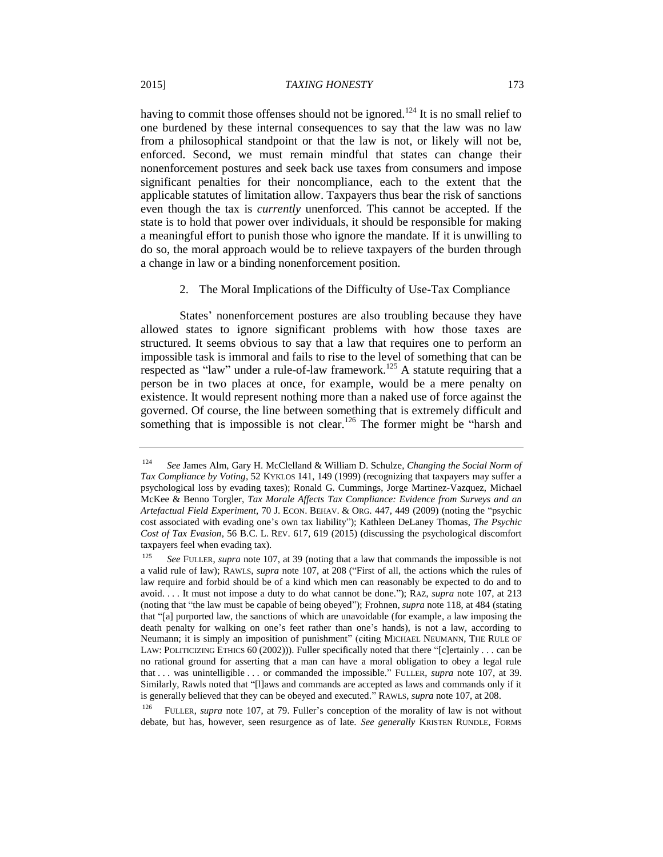having to commit those offenses should not be ignored.<sup>124</sup> It is no small relief to one burdened by these internal consequences to say that the law was no law from a philosophical standpoint or that the law is not, or likely will not be, enforced. Second, we must remain mindful that states can change their nonenforcement postures and seek back use taxes from consumers and impose significant penalties for their noncompliance, each to the extent that the applicable statutes of limitation allow. Taxpayers thus bear the risk of sanctions even though the tax is *currently* unenforced. This cannot be accepted. If the state is to hold that power over individuals, it should be responsible for making a meaningful effort to punish those who ignore the mandate. If it is unwilling to do so, the moral approach would be to relieve taxpayers of the burden through a change in law or a binding nonenforcement position.

# 2. The Moral Implications of the Difficulty of Use-Tax Compliance

States' nonenforcement postures are also troubling because they have allowed states to ignore significant problems with how those taxes are structured. It seems obvious to say that a law that requires one to perform an impossible task is immoral and fails to rise to the level of something that can be respected as "law" under a rule-of-law framework.<sup>125</sup> A statute requiring that a person be in two places at once, for example, would be a mere penalty on existence. It would represent nothing more than a naked use of force against the governed. Of course, the line between something that is extremely difficult and something that is impossible is not clear.<sup>126</sup> The former might be "harsh and

<sup>126</sup> FULLER, *supra* note 107, at 79. Fuller's conception of the morality of law is not without debate, but has, however, seen resurgence as of late. *See generally* KRISTEN RUNDLE, FORMS

<sup>124</sup> *See* James Alm, Gary H. McClelland & William D. Schulze, *Changing the Social Norm of Tax Compliance by Voting*, 52 KYKLOS 141, 149 (1999) (recognizing that taxpayers may suffer a psychological loss by evading taxes); Ronald G. Cummings, Jorge Martinez-Vazquez, Michael McKee & Benno Torgler, *Tax Morale Affects Tax Compliance: Evidence from Surveys and an Artefactual Field Experiment*, 70 J. ECON. BEHAV. & ORG. 447, 449 (2009) (noting the "psychic cost associated with evading one's own tax liability"); Kathleen DeLaney Thomas, *The Psychic Cost of Tax Evasion*, 56 B.C. L. REV. 617, 619 (2015) (discussing the psychological discomfort taxpayers feel when evading tax).

<sup>125</sup> *See* FULLER, *supra* note 107, at 39 (noting that a law that commands the impossible is not a valid rule of law); RAWLS, *supra* note 107, at 208 ("First of all, the actions which the rules of law require and forbid should be of a kind which men can reasonably be expected to do and to avoid. . . . It must not impose a duty to do what cannot be done."); RAZ, *supra* note 107, at 213 (noting that "the law must be capable of being obeyed"); Frohnen, *supra* note 118, at 484 (stating that "[a] purported law, the sanctions of which are unavoidable (for example, a law imposing the death penalty for walking on one's feet rather than one's hands), is not a law, according to Neumann; it is simply an imposition of punishment" (citing MICHAEL NEUMANN, THE RULE OF LAW: POLITICIZING ETHICS 60 (2002))). Fuller specifically noted that there "[c]ertainly . . . can be no rational ground for asserting that a man can have a moral obligation to obey a legal rule that . . . was unintelligible . . . or commanded the impossible." FULLER, *supra* note 107, at 39. Similarly, Rawls noted that "[l]aws and commands are accepted as laws and commands only if it is generally believed that they can be obeyed and executed." RAWLS, *supra* note 107, at 208.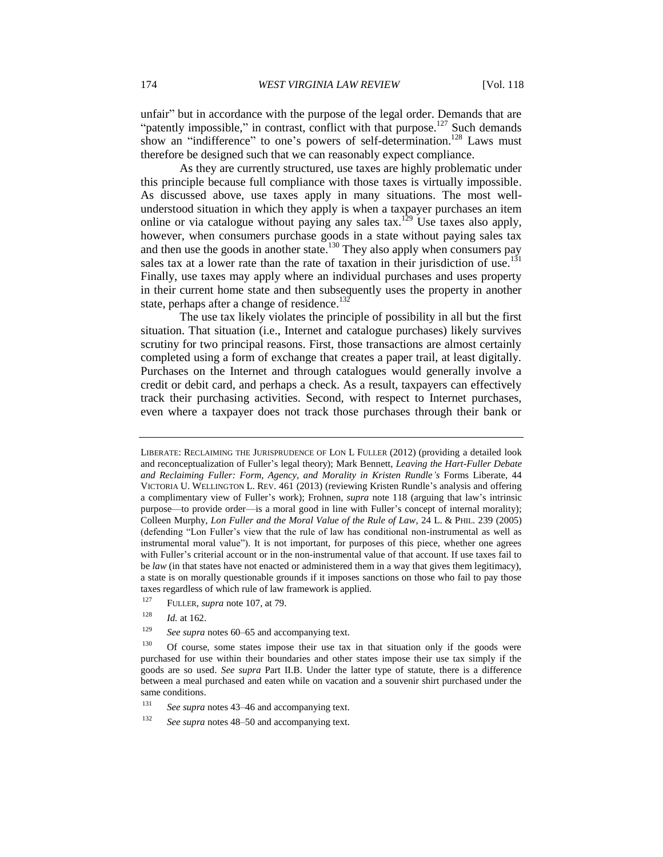unfair" but in accordance with the purpose of the legal order. Demands that are "patently impossible," in contrast, conflict with that purpose.<sup>127</sup> Such demands show an "indifference" to one's powers of self-determination.<sup>128</sup> Laws must therefore be designed such that we can reasonably expect compliance.

As they are currently structured, use taxes are highly problematic under this principle because full compliance with those taxes is virtually impossible. As discussed above, use taxes apply in many situations. The most wellunderstood situation in which they apply is when a taxpayer purchases an item online or via catalogue without paying any sales tax.<sup>129</sup> Use taxes also apply, however, when consumers purchase goods in a state without paying sales tax and then use the goods in another state.<sup>130</sup> They also apply when consumers pay sales tax at a lower rate than the rate of taxation in their jurisdiction of use.<sup>131</sup> Finally, use taxes may apply where an individual purchases and uses property in their current home state and then subsequently uses the property in another state, perhaps after a change of residence.<sup>132</sup>

The use tax likely violates the principle of possibility in all but the first situation. That situation (i.e., Internet and catalogue purchases) likely survives scrutiny for two principal reasons. First, those transactions are almost certainly completed using a form of exchange that creates a paper trail, at least digitally. Purchases on the Internet and through catalogues would generally involve a credit or debit card, and perhaps a check. As a result, taxpayers can effectively track their purchasing activities. Second, with respect to Internet purchases, even where a taxpayer does not track those purchases through their bank or

<sup>127</sup> FULLER, *supra* note 107, at 79.

<sup>129</sup> *See supra* notes 60–65 and accompanying text.

LIBERATE: RECLAIMING THE JURISPRUDENCE OF LON L FULLER (2012) (providing a detailed look and reconceptualization of Fuller's legal theory); Mark Bennett, *Leaving the Hart-Fuller Debate and Reclaiming Fuller: Form, Agency, and Morality in Kristen Rundle's* Forms Liberate, 44 VICTORIA U. WELLINGTON L. REV. 461 (2013) (reviewing Kristen Rundle's analysis and offering a complimentary view of Fuller's work); Frohnen, *supra* note 118 (arguing that law's intrinsic purpose—to provide order—is a moral good in line with Fuller's concept of internal morality); Colleen Murphy, *Lon Fuller and the Moral Value of the Rule of Law*, 24 L. & PHIL. 239 (2005) (defending "Lon Fuller's view that the rule of law has conditional non-instrumental as well as instrumental moral value"). It is not important, for purposes of this piece, whether one agrees with Fuller's criterial account or in the non-instrumental value of that account. If use taxes fail to be *law* (in that states have not enacted or administered them in a way that gives them legitimacy), a state is on morally questionable grounds if it imposes sanctions on those who fail to pay those taxes regardless of which rule of law framework is applied.

<sup>128</sup> *Id.* at 162.

 $130$  Of course, some states impose their use tax in that situation only if the goods were purchased for use within their boundaries and other states impose their use tax simply if the goods are so used. *See supra* Part II.B. Under the latter type of statute, there is a difference between a meal purchased and eaten while on vacation and a souvenir shirt purchased under the same conditions.

<sup>131</sup> *See supra* notes 43–46 and accompanying text.

<sup>132</sup> *See supra* notes 48–50 and accompanying text.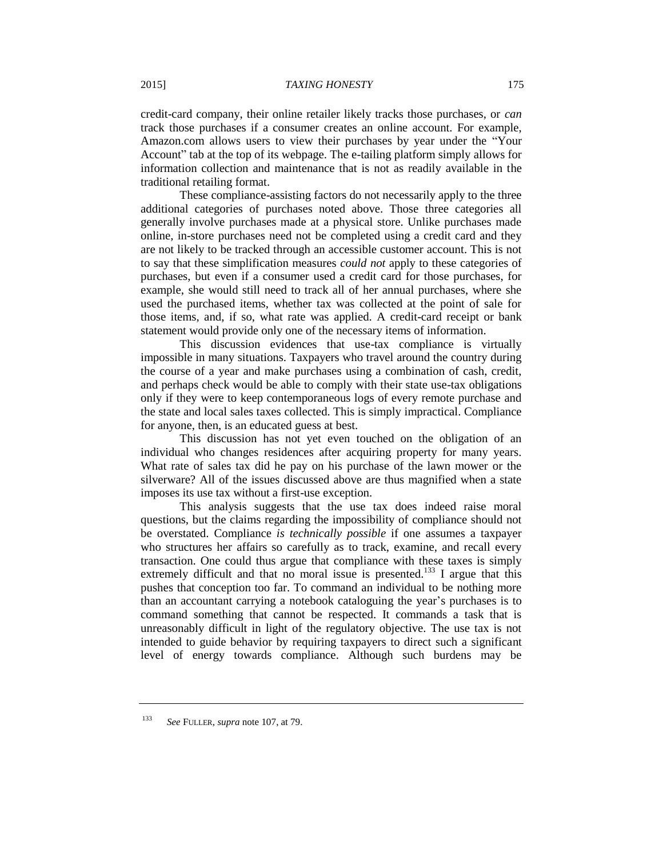credit-card company, their online retailer likely tracks those purchases, or *can*  track those purchases if a consumer creates an online account. For example, Amazon.com allows users to view their purchases by year under the "Your Account" tab at the top of its webpage. The e-tailing platform simply allows for information collection and maintenance that is not as readily available in the traditional retailing format.

These compliance-assisting factors do not necessarily apply to the three additional categories of purchases noted above. Those three categories all generally involve purchases made at a physical store. Unlike purchases made online, in-store purchases need not be completed using a credit card and they are not likely to be tracked through an accessible customer account. This is not to say that these simplification measures *could not* apply to these categories of purchases, but even if a consumer used a credit card for those purchases, for example, she would still need to track all of her annual purchases, where she used the purchased items, whether tax was collected at the point of sale for those items, and, if so, what rate was applied. A credit-card receipt or bank statement would provide only one of the necessary items of information.

This discussion evidences that use-tax compliance is virtually impossible in many situations. Taxpayers who travel around the country during the course of a year and make purchases using a combination of cash, credit, and perhaps check would be able to comply with their state use-tax obligations only if they were to keep contemporaneous logs of every remote purchase and the state and local sales taxes collected. This is simply impractical. Compliance for anyone, then, is an educated guess at best.

This discussion has not yet even touched on the obligation of an individual who changes residences after acquiring property for many years. What rate of sales tax did he pay on his purchase of the lawn mower or the silverware? All of the issues discussed above are thus magnified when a state imposes its use tax without a first-use exception.

This analysis suggests that the use tax does indeed raise moral questions, but the claims regarding the impossibility of compliance should not be overstated. Compliance *is technically possible* if one assumes a taxpayer who structures her affairs so carefully as to track, examine, and recall every transaction. One could thus argue that compliance with these taxes is simply extremely difficult and that no moral issue is presented.<sup>133</sup> I argue that this pushes that conception too far. To command an individual to be nothing more than an accountant carrying a notebook cataloguing the year's purchases is to command something that cannot be respected. It commands a task that is unreasonably difficult in light of the regulatory objective. The use tax is not intended to guide behavior by requiring taxpayers to direct such a significant level of energy towards compliance. Although such burdens may be

<sup>133</sup> *See* FULLER, *supra* note 107, at 79.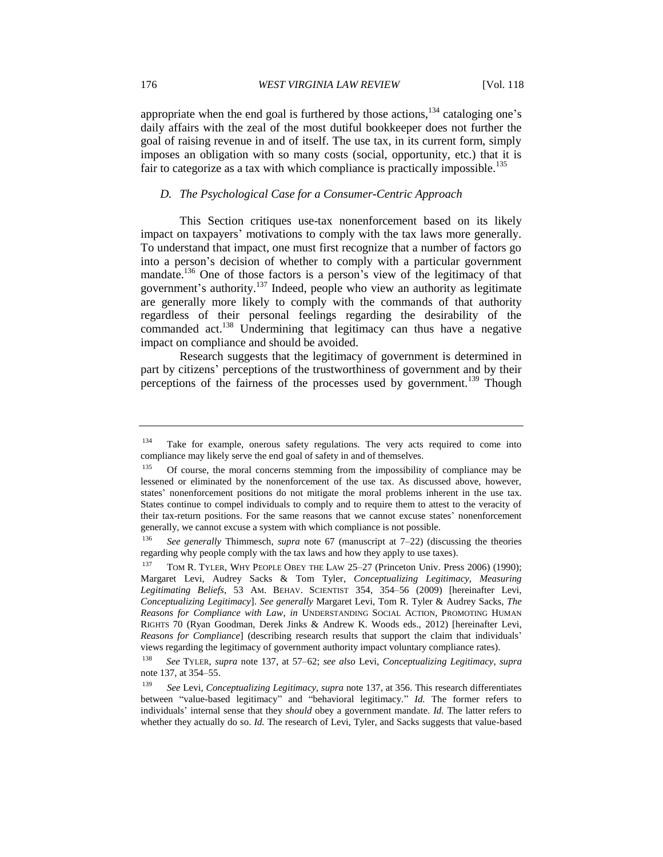appropriate when the end goal is furthered by those actions,  $134$  cataloging one's daily affairs with the zeal of the most dutiful bookkeeper does not further the goal of raising revenue in and of itself. The use tax, in its current form, simply imposes an obligation with so many costs (social, opportunity, etc.) that it is fair to categorize as a tax with which compliance is practically impossible.<sup>135</sup>

#### *D. The Psychological Case for a Consumer-Centric Approach*

This Section critiques use-tax nonenforcement based on its likely impact on taxpayers' motivations to comply with the tax laws more generally. To understand that impact, one must first recognize that a number of factors go into a person's decision of whether to comply with a particular government mandate.<sup>136</sup> One of those factors is a person's view of the legitimacy of that government's authority.<sup>137</sup> Indeed, people who view an authority as legitimate are generally more likely to comply with the commands of that authority regardless of their personal feelings regarding the desirability of the commanded act.<sup>138</sup> Undermining that legitimacy can thus have a negative impact on compliance and should be avoided.

Research suggests that the legitimacy of government is determined in part by citizens' perceptions of the trustworthiness of government and by their perceptions of the fairness of the processes used by government.<sup>139</sup> Though

<sup>&</sup>lt;sup>134</sup> Take for example, onerous safety regulations. The very acts required to come into compliance may likely serve the end goal of safety in and of themselves.

<sup>135</sup> Of course, the moral concerns stemming from the impossibility of compliance may be lessened or eliminated by the nonenforcement of the use tax. As discussed above, however, states' nonenforcement positions do not mitigate the moral problems inherent in the use tax. States continue to compel individuals to comply and to require them to attest to the veracity of their tax-return positions. For the same reasons that we cannot excuse states' nonenforcement generally, we cannot excuse a system with which compliance is not possible.

<sup>136</sup> *See generally* Thimmesch, *supra* note 67 (manuscript at 7–22) (discussing the theories regarding why people comply with the tax laws and how they apply to use taxes).

TOM R. TYLER, WHY PEOPLE OBEY THE LAW 25–27 (Princeton Univ. Press 2006) (1990); Margaret Levi, Audrey Sacks & Tom Tyler, *Conceptualizing Legitimacy, Measuring Legitimating Beliefs*, 53 AM. BEHAV. SCIENTIST 354, 354–56 (2009) [hereinafter Levi, *Conceptualizing Legitimacy*]. *See generally* Margaret Levi, Tom R. Tyler & Audrey Sacks, *The Reasons for Compliance with Law*, *in* UNDERSTANDING SOCIAL ACTION, PROMOTING HUMAN RIGHTS 70 (Ryan Goodman, Derek Jinks & Andrew K. Woods eds., 2012) [hereinafter Levi, *Reasons for Compliance*] (describing research results that support the claim that individuals' views regarding the legitimacy of government authority impact voluntary compliance rates).

<sup>138</sup> *See* TYLER, *supra* note 137, at 57–62; *see also* Levi, *Conceptualizing Legitimacy*, *supra*  note 137, at 354–55.

<sup>139</sup> *See* Levi, *Conceptualizing Legitimacy*, *supra* note 137, at 356. This research differentiates between "value-based legitimacy" and "behavioral legitimacy." *Id.* The former refers to individuals' internal sense that they *should* obey a government mandate. *Id.* The latter refers to whether they actually do so. *Id.* The research of Levi, Tyler, and Sacks suggests that value-based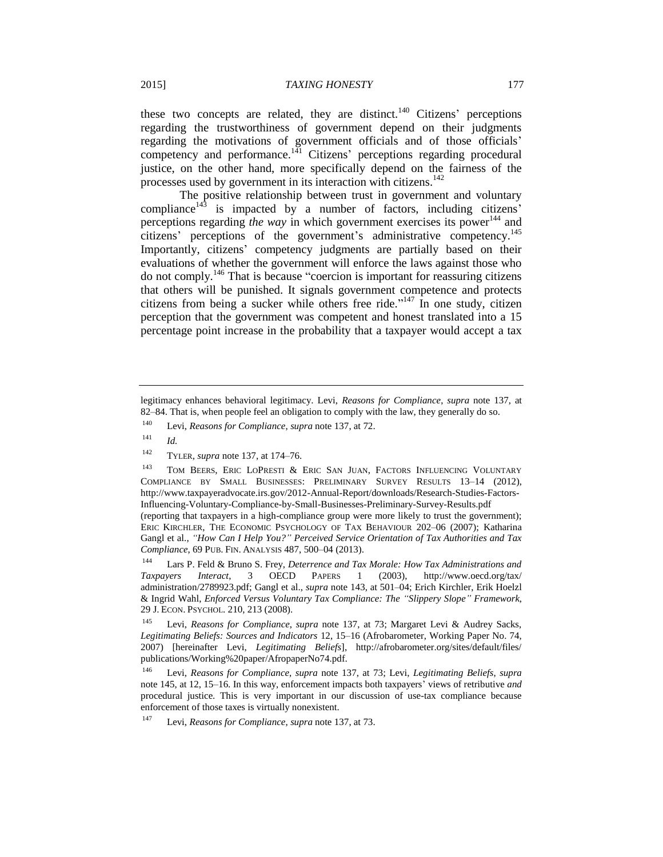these two concepts are related, they are distinct.<sup>140</sup> Citizens' perceptions regarding the trustworthiness of government depend on their judgments regarding the motivations of government officials and of those officials' competency and performance.<sup>141</sup> Citizens' perceptions regarding procedural justice, on the other hand, more specifically depend on the fairness of the processes used by government in its interaction with citizens.<sup>142</sup>

The positive relationship between trust in government and voluntary compliance $143$  is impacted by a number of factors, including citizens' perceptions regarding *the way* in which government exercises its power<sup>144</sup> and citizens' perceptions of the government's administrative competency.<sup>145</sup> Importantly, citizens' competency judgments are partially based on their evaluations of whether the government will enforce the laws against those who do not comply.<sup>146</sup> That is because "coercion is important for reassuring citizens that others will be punished. It signals government competence and protects citizens from being a sucker while others free ride."<sup>147</sup> In one study, citizen perception that the government was competent and honest translated into a 15 percentage point increase in the probability that a taxpayer would accept a tax

legitimacy enhances behavioral legitimacy. Levi, *Reasons for Compliance*, *supra* note 137, at 82–84. That is, when people feel an obligation to comply with the law, they generally do so.

<sup>140</sup> Levi, *Reasons for Compliance*, *supra* note 137, at 72.

<sup>141</sup> *Id.*

<sup>142</sup> TYLER, *supra* note 137, at 174–76.

<sup>&</sup>lt;sup>143</sup> TOM BEERS, ERIC LOPRESTI & ERIC SAN JUAN, FACTORS INFLUENCING VOLUNTARY COMPLIANCE BY SMALL BUSINESSES: PRELIMINARY SURVEY RESULTS 13–14 (2012), http://www.taxpayeradvocate.irs.gov/2012-Annual-Report/downloads/Research-Studies-Factors-Influencing-Voluntary-Compliance-by-Small-Businesses-Preliminary-Survey-Results.pdf (reporting that taxpayers in a high-compliance group were more likely to trust the government); ERIC KIRCHLER, THE ECONOMIC PSYCHOLOGY OF TAX BEHAVIOUR 202–06 (2007); Katharina Gangl et al., *"How Can I Help You?" Perceived Service Orientation of Tax Authorities and Tax Compliance*, 69 PUB. FIN. ANALYSIS 487, 500–04 (2013).

<sup>144</sup> Lars P. Feld & Bruno S. Frey, *Deterrence and Tax Morale: How Tax Administrations and Taxpayers Interact*, 3 OECD PAPERS 1 (2003), http://www.oecd.org/tax/ administration/2789923.pdf; Gangl et al., *supra* note 143, at 501–04; Erich Kirchler, Erik Hoelzl & Ingrid Wahl, *Enforced Versus Voluntary Tax Compliance: The "Slippery Slope" Framework*, 29 J. ECON. PSYCHOL. 210, 213 (2008).

<sup>145</sup> Levi, *Reasons for Compliance*, *supra* note 137, at 73; Margaret Levi & Audrey Sacks, *Legitimating Beliefs: Sources and Indicators* 12, 15–16 (Afrobarometer, Working Paper No. 74, 2007) [hereinafter Levi, *Legitimating Beliefs*], http://afrobarometer.org/sites/default/files/ publications/Working%20paper/AfropaperNo74.pdf.

<sup>146</sup> Levi, *Reasons for Compliance*, *supra* note 137, at 73; Levi, *Legitimating Beliefs*, *supra*  note 145, at 12, 15–16. In this way, enforcement impacts both taxpayers' views of retributive *and* procedural justice. This is very important in our discussion of use-tax compliance because enforcement of those taxes is virtually nonexistent.

Levi, *Reasons for Compliance*, *supra* note 137, at 73.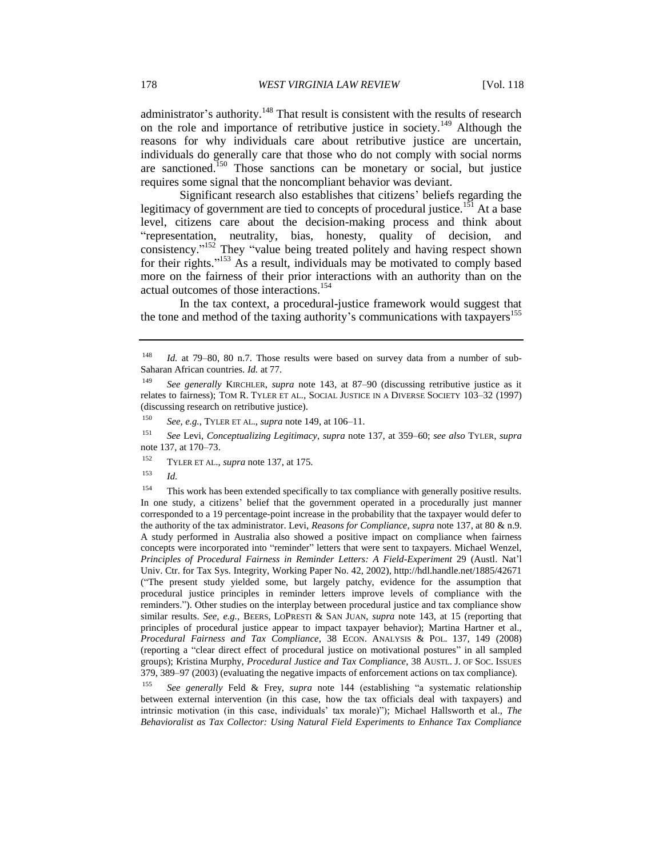administrator's authority.<sup>148</sup> That result is consistent with the results of research on the role and importance of retributive justice in society.<sup>149</sup> Although the reasons for why individuals care about retributive justice are uncertain, individuals do generally care that those who do not comply with social norms are sanctioned.<sup>150</sup> Those sanctions can be monetary or social, but justice requires some signal that the noncompliant behavior was deviant.

Significant research also establishes that citizens' beliefs regarding the legitimacy of government are tied to concepts of procedural justice.<sup>151</sup> At a base level, citizens care about the decision-making process and think about "representation, neutrality, bias, honesty, quality of decision, and consistency." <sup>152</sup> They "value being treated politely and having respect shown for their rights."<sup>153</sup> As a result, individuals may be motivated to comply based more on the fairness of their prior interactions with an authority than on the actual outcomes of those interactions.<sup>154</sup>

In the tax context, a procedural-justice framework would suggest that the tone and method of the taxing authority's communications with taxpayers<sup>155</sup>

<sup>150</sup> *See, e.g.*, TYLER ET AL., *supra* note 149, at 106–11.

<sup>151</sup> *See* Levi, *Conceptualizing Legitimacy*, *supra* note 137, at 359–60; *see also* TYLER, *supra*  note 137, at 170–73.

<sup>152</sup> TYLER ET AL., *supra* note 137, at 175.

<sup>153</sup> *Id.*

<sup>154</sup> This work has been extended specifically to tax compliance with generally positive results. In one study, a citizens' belief that the government operated in a procedurally just manner corresponded to a 19 percentage-point increase in the probability that the taxpayer would defer to the authority of the tax administrator. Levi, *Reasons for Compliance*, *supra* note 137, at 80 & n.9. A study performed in Australia also showed a positive impact on compliance when fairness concepts were incorporated into "reminder" letters that were sent to taxpayers. Michael Wenzel, *Principles of Procedural Fairness in Reminder Letters: A Field-Experiment* 29 (Austl. Nat'l Univ. Ctr. for Tax Sys. Integrity, Working Paper No. 42, 2002), http://hdl.handle.net/1885/42671 ("The present study yielded some, but largely patchy, evidence for the assumption that procedural justice principles in reminder letters improve levels of compliance with the reminders."). Other studies on the interplay between procedural justice and tax compliance show similar results. *See, e.g.*, BEERS, LOPRESTI & SAN JUAN, *supra* note 143, at 15 (reporting that principles of procedural justice appear to impact taxpayer behavior); Martina Hartner et al., *Procedural Fairness and Tax Compliance*, 38 ECON. ANALYSIS & POL. 137, 149 (2008) (reporting a "clear direct effect of procedural justice on motivational postures" in all sampled groups); Kristina Murphy, *Procedural Justice and Tax Compliance*, 38 AUSTL. J. OF SOC. ISSUES 379, 389–97 (2003) (evaluating the negative impacts of enforcement actions on tax compliance).

<sup>155</sup> *See generally* Feld & Frey, *supra* note 144 (establishing "a systematic relationship between external intervention (in this case, how the tax officials deal with taxpayers) and intrinsic motivation (in this case, individuals' tax morale)"); Michael Hallsworth et al., *The Behavioralist as Tax Collector: Using Natural Field Experiments to Enhance Tax Compliance*

<sup>148</sup> *Id.* at 79–80, 80 n.7. Those results were based on survey data from a number of sub-Saharan African countries. *Id.* at 77.

<sup>149</sup> *See generally* KIRCHLER, *supra* note 143, at 87–90 (discussing retributive justice as it relates to fairness); TOM R. TYLER ET AL., SOCIAL JUSTICE IN A DIVERSE SOCIETY 103–32 (1997) (discussing research on retributive justice).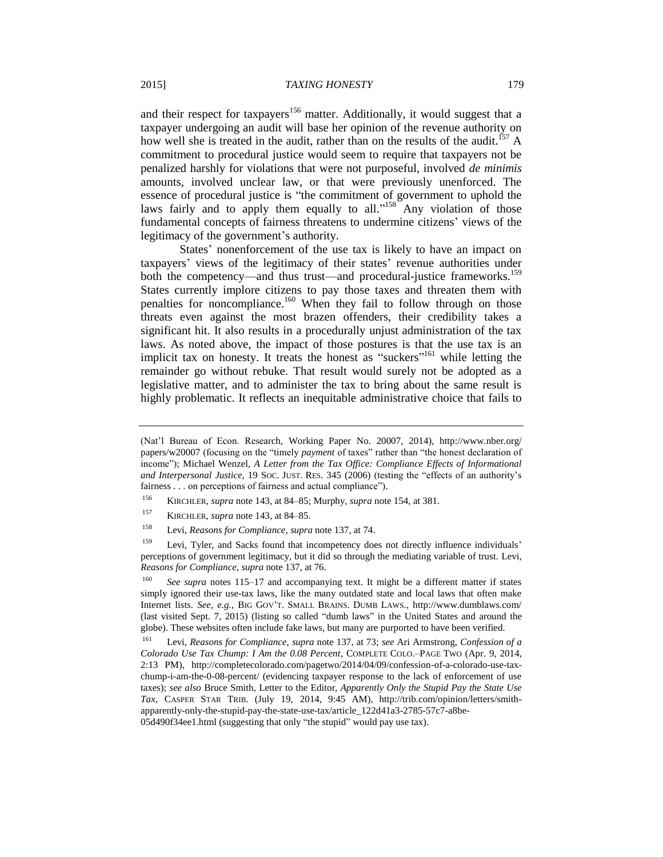and their respect for taxpayers<sup>156</sup> matter. Additionally, it would suggest that a taxpayer undergoing an audit will base her opinion of the revenue authority on how well she is treated in the audit, rather than on the results of the audit.<sup>157</sup> A commitment to procedural justice would seem to require that taxpayers not be penalized harshly for violations that were not purposeful, involved *de minimis* amounts, involved unclear law, or that were previously unenforced. The essence of procedural justice is "the commitment of government to uphold the laws fairly and to apply them equally to all."<sup>158</sup> Any violation of those fundamental concepts of fairness threatens to undermine citizens' views of the legitimacy of the government's authority.

States' nonenforcement of the use tax is likely to have an impact on taxpayers' views of the legitimacy of their states' revenue authorities under both the competency—and thus trust—and procedural-justice frameworks.<sup>159</sup> States currently implore citizens to pay those taxes and threaten them with penalties for noncompliance.<sup>160</sup> When they fail to follow through on those threats even against the most brazen offenders, their credibility takes a significant hit. It also results in a procedurally unjust administration of the tax laws. As noted above, the impact of those postures is that the use tax is an implicit tax on honesty. It treats the honest as "suckers"<sup>161</sup> while letting the remainder go without rebuke. That result would surely not be adopted as a legislative matter, and to administer the tax to bring about the same result is highly problematic. It reflects an inequitable administrative choice that fails to

- <sup>156</sup> KIRCHLER, *supra* note 143, at 84–85; Murphy, *supra* note 154, at 381.
- <sup>157</sup> KIRCHLER, *supra* note 143, at 84–85.
- <sup>158</sup> Levi, *Reasons for Compliance*, *supra* note 137, at 74.

<sup>159</sup> Levi, Tyler, and Sacks found that incompetency does not directly influence individuals' perceptions of government legitimacy, but it did so through the mediating variable of trust. Levi, *Reasons for Compliance*, *supra* note 137, at 76.

<sup>(</sup>Nat'l Bureau of Econ. Research, Working Paper No. 20007, 2014), http://www.nber.org/ papers/w20007 (focusing on the "timely *payment* of taxes" rather than "the honest declaration of income"); Michael Wenzel, *A Letter from the Tax Office: Compliance Effects of Informational and Interpersonal Justice*, 19 SOC. JUST. RES. 345 (2006) (testing the "effects of an authority's fairness . . . on perceptions of fairness and actual compliance").

<sup>160</sup> *See supra* notes 115–17 and accompanying text. It might be a different matter if states simply ignored their use-tax laws, like the many outdated state and local laws that often make Internet lists. *See, e.g.*, BIG GOV'T. SMALL BRAINS. DUMB LAWS., http://www.dumblaws.com/ (last visited Sept. 7, 2015) (listing so called "dumb laws" in the United States and around the globe). These websites often include fake laws, but many are purported to have been verified.

<sup>161</sup> Levi, *Reasons for Compliance*, *supra* note 137, at 73; *see* Ari Armstrong, *Confession of a Colorado Use Tax Chump: I Am the 0.08 Percent*, COMPLETE COLO.–PAGE TWO (Apr. 9, 2014, 2:13 PM), http://completecolorado.com/pagetwo/2014/04/09/confession-of-a-colorado-use-taxchump-i-am-the-0-08-percent/ (evidencing taxpayer response to the lack of enforcement of use taxes); *see also* Bruce Smith, Letter to the Editor, *Apparently Only the Stupid Pay the State Use Tax*, CASPER STAR TRIB. (July 19, 2014, 9:45 AM), http://trib.com/opinion/letters/smithapparently-only-the-stupid-pay-the-state-use-tax/article\_122d41a3-2785-57c7-a8be-05d490f34ee1.html (suggesting that only "the stupid" would pay use tax).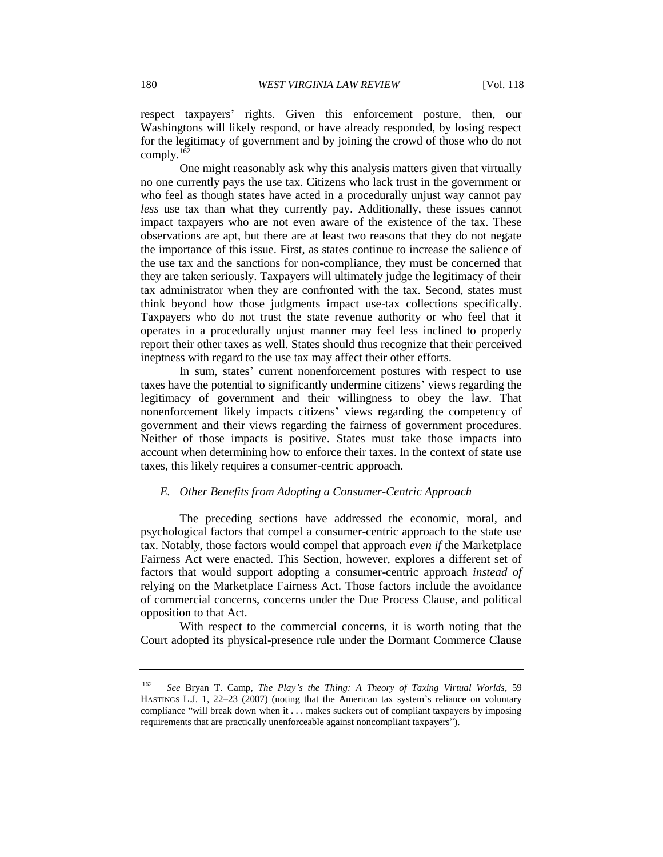respect taxpayers' rights. Given this enforcement posture, then, our Washingtons will likely respond, or have already responded, by losing respect for the legitimacy of government and by joining the crowd of those who do not comply. $162$ 

One might reasonably ask why this analysis matters given that virtually no one currently pays the use tax. Citizens who lack trust in the government or who feel as though states have acted in a procedurally unjust way cannot pay *less* use tax than what they currently pay. Additionally, these issues cannot impact taxpayers who are not even aware of the existence of the tax. These observations are apt, but there are at least two reasons that they do not negate the importance of this issue. First, as states continue to increase the salience of the use tax and the sanctions for non-compliance, they must be concerned that they are taken seriously. Taxpayers will ultimately judge the legitimacy of their tax administrator when they are confronted with the tax. Second, states must think beyond how those judgments impact use-tax collections specifically. Taxpayers who do not trust the state revenue authority or who feel that it operates in a procedurally unjust manner may feel less inclined to properly report their other taxes as well. States should thus recognize that their perceived ineptness with regard to the use tax may affect their other efforts.

In sum, states' current nonenforcement postures with respect to use taxes have the potential to significantly undermine citizens' views regarding the legitimacy of government and their willingness to obey the law. That nonenforcement likely impacts citizens' views regarding the competency of government and their views regarding the fairness of government procedures. Neither of those impacts is positive. States must take those impacts into account when determining how to enforce their taxes. In the context of state use taxes, this likely requires a consumer-centric approach.

# *E. Other Benefits from Adopting a Consumer-Centric Approach*

The preceding sections have addressed the economic, moral, and psychological factors that compel a consumer-centric approach to the state use tax. Notably, those factors would compel that approach *even if* the Marketplace Fairness Act were enacted. This Section, however, explores a different set of factors that would support adopting a consumer-centric approach *instead of* relying on the Marketplace Fairness Act. Those factors include the avoidance of commercial concerns, concerns under the Due Process Clause, and political opposition to that Act.

With respect to the commercial concerns, it is worth noting that the Court adopted its physical-presence rule under the Dormant Commerce Clause

<sup>162</sup> *See* Bryan T. Camp, *The Play's the Thing: A Theory of Taxing Virtual Worlds*, 59 HASTINGS L.J. 1, 22–23 (2007) (noting that the American tax system's reliance on voluntary compliance "will break down when it . . . makes suckers out of compliant taxpayers by imposing requirements that are practically unenforceable against noncompliant taxpayers").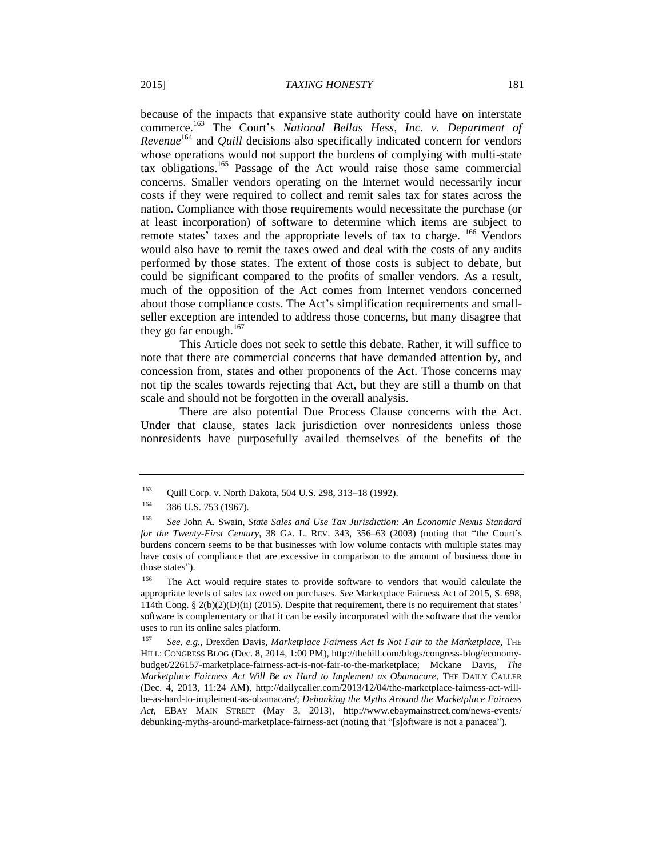because of the impacts that expansive state authority could have on interstate commerce.<sup>163</sup> The Court's *National Bellas Hess, Inc. v. Department of Revenue*<sup>164</sup> and *Quill* decisions also specifically indicated concern for vendors whose operations would not support the burdens of complying with multi-state tax obligations. <sup>165</sup> Passage of the Act would raise those same commercial concerns. Smaller vendors operating on the Internet would necessarily incur costs if they were required to collect and remit sales tax for states across the nation. Compliance with those requirements would necessitate the purchase (or at least incorporation) of software to determine which items are subject to remote states' taxes and the appropriate levels of tax to charge. <sup>166</sup> Vendors would also have to remit the taxes owed and deal with the costs of any audits performed by those states. The extent of those costs is subject to debate, but could be significant compared to the profits of smaller vendors. As a result, much of the opposition of the Act comes from Internet vendors concerned about those compliance costs. The Act's simplification requirements and smallseller exception are intended to address those concerns, but many disagree that they go far enough. $167$ 

This Article does not seek to settle this debate. Rather, it will suffice to note that there are commercial concerns that have demanded attention by, and concession from, states and other proponents of the Act. Those concerns may not tip the scales towards rejecting that Act, but they are still a thumb on that scale and should not be forgotten in the overall analysis.

There are also potential Due Process Clause concerns with the Act. Under that clause, states lack jurisdiction over nonresidents unless those nonresidents have purposefully availed themselves of the benefits of the

<sup>163</sup> Quill Corp. v. North Dakota, 504 U.S. 298, 313–18 (1992).

 $164$  386 U.S. 753 (1967).

<sup>165</sup> *See* John A. Swain, *State Sales and Use Tax Jurisdiction: An Economic Nexus Standard for the Twenty-First Century*, 38 GA. L. REV. 343, 356–63 (2003) (noting that "the Court's burdens concern seems to be that businesses with low volume contacts with multiple states may have costs of compliance that are excessive in comparison to the amount of business done in those states").

<sup>&</sup>lt;sup>166</sup> The Act would require states to provide software to vendors that would calculate the appropriate levels of sales tax owed on purchases. *See* Marketplace Fairness Act of 2015, S. 698, 114th Cong. § 2(b)(2)(D)(ii) (2015). Despite that requirement, there is no requirement that states' software is complementary or that it can be easily incorporated with the software that the vendor uses to run its online sales platform.

<sup>167</sup> *See, e.g.*, Drexden Davis, *Marketplace Fairness Act Is Not Fair to the Marketplace*, THE HILL: CONGRESS BLOG (Dec. 8, 2014, 1:00 PM), http://thehill.com/blogs/congress-blog/economybudget/226157-marketplace-fairness-act-is-not-fair-to-the-marketplace; Mckane Davis, *The Marketplace Fairness Act Will Be as Hard to Implement as Obamacare*, THE DAILY CALLER (Dec. 4, 2013, 11:24 AM), http://dailycaller.com/2013/12/04/the-marketplace-fairness-act-willbe-as-hard-to-implement-as-obamacare/; *Debunking the Myths Around the Marketplace Fairness Act*, EBAY MAIN STREET (May 3, 2013), http://www.ebaymainstreet.com/news-events/ debunking-myths-around-marketplace-fairness-act (noting that "[s]oftware is not a panacea").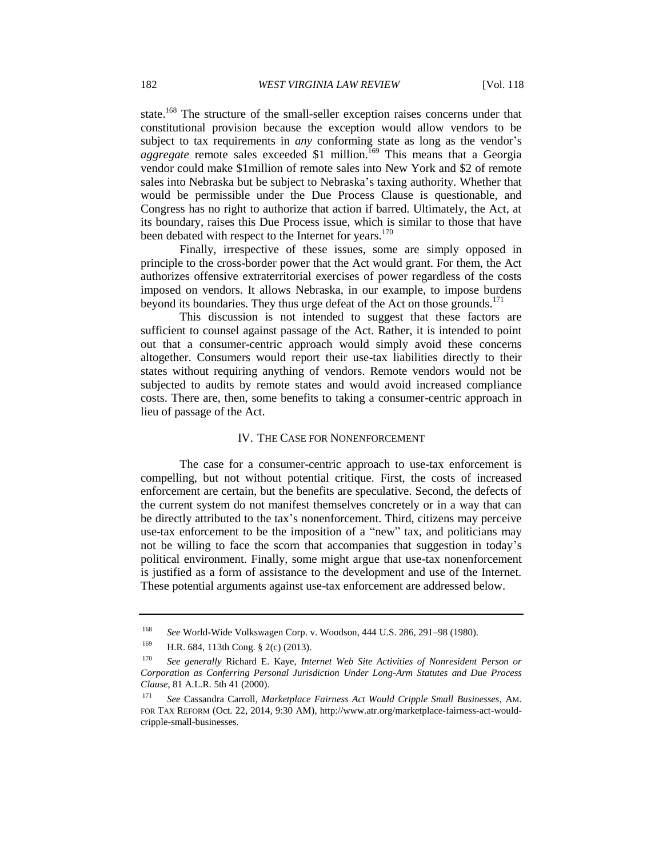state.<sup>168</sup> The structure of the small-seller exception raises concerns under that constitutional provision because the exception would allow vendors to be subject to tax requirements in *any* conforming state as long as the vendor's *aggregate* remote sales exceeded \$1 million. <sup>169</sup> This means that a Georgia vendor could make \$1million of remote sales into New York and \$2 of remote sales into Nebraska but be subject to Nebraska's taxing authority. Whether that would be permissible under the Due Process Clause is questionable, and Congress has no right to authorize that action if barred. Ultimately, the Act, at its boundary, raises this Due Process issue, which is similar to those that have been debated with respect to the Internet for years.<sup>170</sup>

Finally, irrespective of these issues, some are simply opposed in principle to the cross-border power that the Act would grant. For them, the Act authorizes offensive extraterritorial exercises of power regardless of the costs imposed on vendors. It allows Nebraska, in our example, to impose burdens beyond its boundaries. They thus urge defeat of the Act on those grounds.<sup>171</sup>

This discussion is not intended to suggest that these factors are sufficient to counsel against passage of the Act. Rather, it is intended to point out that a consumer-centric approach would simply avoid these concerns altogether. Consumers would report their use-tax liabilities directly to their states without requiring anything of vendors. Remote vendors would not be subjected to audits by remote states and would avoid increased compliance costs. There are, then, some benefits to taking a consumer-centric approach in lieu of passage of the Act.

# IV. THE CASE FOR NONENFORCEMENT

The case for a consumer-centric approach to use-tax enforcement is compelling, but not without potential critique. First, the costs of increased enforcement are certain, but the benefits are speculative. Second, the defects of the current system do not manifest themselves concretely or in a way that can be directly attributed to the tax's nonenforcement. Third, citizens may perceive use-tax enforcement to be the imposition of a "new" tax, and politicians may not be willing to face the scorn that accompanies that suggestion in today's political environment. Finally, some might argue that use-tax nonenforcement is justified as a form of assistance to the development and use of the Internet. These potential arguments against use-tax enforcement are addressed below.

<sup>168</sup> *See* World-Wide Volkswagen Corp. v. Woodson, 444 U.S. 286, 291–98 (1980).

<sup>169</sup> H.R. 684, 113th Cong. § 2(c) (2013).

<sup>170</sup> *See generally* Richard E. Kaye, *Internet Web Site Activities of Nonresident Person or Corporation as Conferring Personal Jurisdiction Under Long-Arm Statutes and Due Process Clause*, 81 A.L.R. 5th 41 (2000).

<sup>171</sup> *See* Cassandra Carroll, *Marketplace Fairness Act Would Cripple Small Businesses*, AM. FOR TAX REFORM (Oct. 22, 2014, 9:30 AM), http://www.atr.org/marketplace-fairness-act-wouldcripple-small-businesses.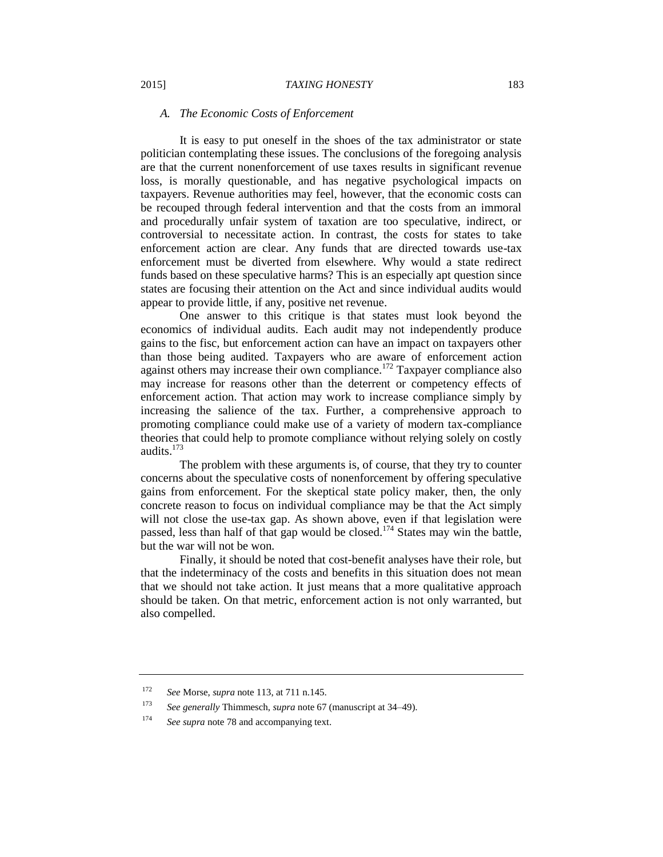### *A. The Economic Costs of Enforcement*

It is easy to put oneself in the shoes of the tax administrator or state politician contemplating these issues. The conclusions of the foregoing analysis are that the current nonenforcement of use taxes results in significant revenue loss, is morally questionable, and has negative psychological impacts on taxpayers. Revenue authorities may feel, however, that the economic costs can be recouped through federal intervention and that the costs from an immoral and procedurally unfair system of taxation are too speculative, indirect, or controversial to necessitate action. In contrast, the costs for states to take enforcement action are clear. Any funds that are directed towards use-tax enforcement must be diverted from elsewhere. Why would a state redirect funds based on these speculative harms? This is an especially apt question since states are focusing their attention on the Act and since individual audits would appear to provide little, if any, positive net revenue.

One answer to this critique is that states must look beyond the economics of individual audits. Each audit may not independently produce gains to the fisc, but enforcement action can have an impact on taxpayers other than those being audited. Taxpayers who are aware of enforcement action against others may increase their own compliance.<sup>172</sup> Taxpayer compliance also may increase for reasons other than the deterrent or competency effects of enforcement action. That action may work to increase compliance simply by increasing the salience of the tax. Further, a comprehensive approach to promoting compliance could make use of a variety of modern tax-compliance theories that could help to promote compliance without relying solely on costly audits.<sup>173</sup>

The problem with these arguments is, of course, that they try to counter concerns about the speculative costs of nonenforcement by offering speculative gains from enforcement. For the skeptical state policy maker, then, the only concrete reason to focus on individual compliance may be that the Act simply will not close the use-tax gap. As shown above, even if that legislation were passed, less than half of that gap would be closed.<sup>174</sup> States may win the battle, but the war will not be won.

Finally, it should be noted that cost-benefit analyses have their role, but that the indeterminacy of the costs and benefits in this situation does not mean that we should not take action. It just means that a more qualitative approach should be taken. On that metric, enforcement action is not only warranted, but also compelled.

<sup>172</sup> *See* Morse, *supra* note 113, at 711 n.145.

<sup>173</sup> *See generally* Thimmesch, *supra* note 67 (manuscript at 34–49).

<sup>174</sup> *See supra* note 78 and accompanying text.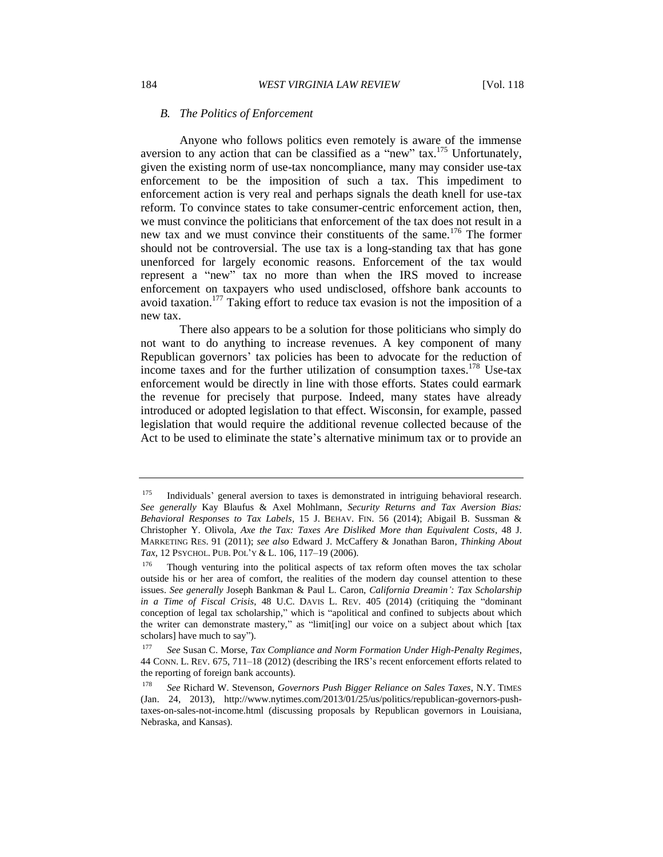# *B. The Politics of Enforcement*

Anyone who follows politics even remotely is aware of the immense aversion to any action that can be classified as a "new" tax.<sup>175</sup> Unfortunately, given the existing norm of use-tax noncompliance, many may consider use-tax enforcement to be the imposition of such a tax. This impediment to enforcement action is very real and perhaps signals the death knell for use-tax reform. To convince states to take consumer-centric enforcement action, then, we must convince the politicians that enforcement of the tax does not result in a new tax and we must convince their constituents of the same.<sup>176</sup> The former should not be controversial. The use tax is a long-standing tax that has gone unenforced for largely economic reasons. Enforcement of the tax would represent a "new" tax no more than when the IRS moved to increase enforcement on taxpayers who used undisclosed, offshore bank accounts to avoid taxation.<sup>177</sup> Taking effort to reduce tax evasion is not the imposition of a new tax.

There also appears to be a solution for those politicians who simply do not want to do anything to increase revenues. A key component of many Republican governors' tax policies has been to advocate for the reduction of income taxes and for the further utilization of consumption taxes.<sup>178</sup> Use-tax enforcement would be directly in line with those efforts. States could earmark the revenue for precisely that purpose. Indeed, many states have already introduced or adopted legislation to that effect. Wisconsin, for example, passed legislation that would require the additional revenue collected because of the Act to be used to eliminate the state's alternative minimum tax or to provide an

 $175$  Individuals' general aversion to taxes is demonstrated in intriguing behavioral research. *See generally* Kay Blaufus & Axel Mohlmann, *Security Returns and Tax Aversion Bias: Behavioral Responses to Tax Labels*, 15 J. BEHAV. FIN. 56 (2014); Abigail B. Sussman & Christopher Y. Olivola, *Axe the Tax: Taxes Are Disliked More than Equivalent Costs*, 48 J. MARKETING RES. 91 (2011); *see also* Edward J. McCaffery & Jonathan Baron, *Thinking About Tax*, 12 PSYCHOL. PUB. POL'Y & L. 106, 117–19 (2006).

 $176$  Though venturing into the political aspects of tax reform often moves the tax scholar outside his or her area of comfort, the realities of the modern day counsel attention to these issues. *See generally* Joseph Bankman & Paul L. Caron, *California Dreamin': Tax Scholarship in a Time of Fiscal Crisis*, 48 U.C. DAVIS L. REV. 405 (2014) (critiquing the "dominant conception of legal tax scholarship," which is "apolitical and confined to subjects about which the writer can demonstrate mastery," as "limit[ing] our voice on a subject about which [tax scholars] have much to say").

<sup>177</sup> *See* Susan C. Morse, *Tax Compliance and Norm Formation Under High-Penalty Regimes*, 44 CONN. L. REV. 675, 711–18 (2012) (describing the IRS's recent enforcement efforts related to the reporting of foreign bank accounts).

<sup>178</sup> *See* Richard W. Stevenson, *Governors Push Bigger Reliance on Sales Taxes*, N.Y. TIMES (Jan. 24, 2013), http://www.nytimes.com/2013/01/25/us/politics/republican-governors-pushtaxes-on-sales-not-income.html (discussing proposals by Republican governors in Louisiana, Nebraska, and Kansas).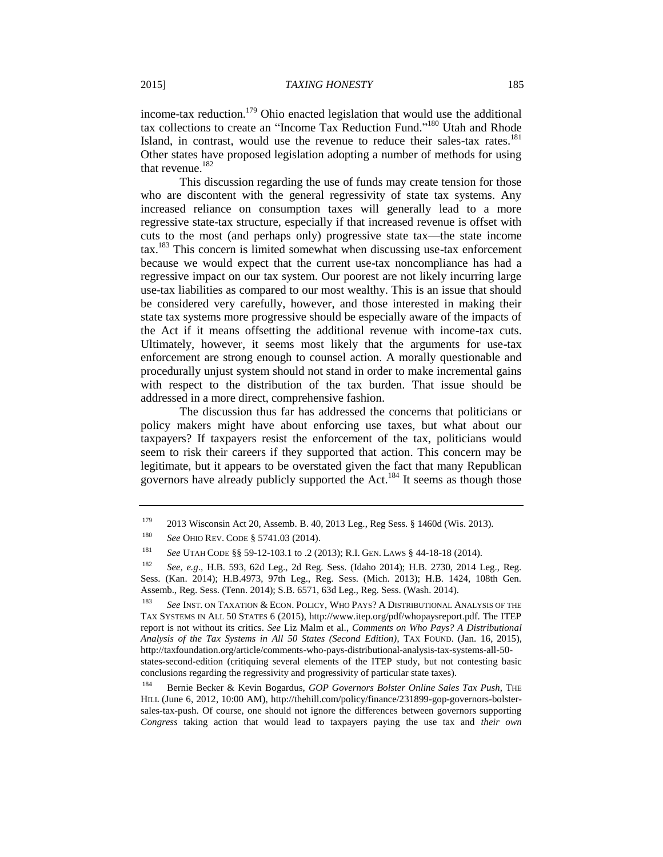income-tax reduction.<sup>179</sup> Ohio enacted legislation that would use the additional tax collections to create an "Income Tax Reduction Fund."<sup>180</sup> Utah and Rhode Island, in contrast, would use the revenue to reduce their sales-tax rates.<sup>181</sup> Other states have proposed legislation adopting a number of methods for using that revenue.<sup>182</sup>

This discussion regarding the use of funds may create tension for those who are discontent with the general regressivity of state tax systems. Any increased reliance on consumption taxes will generally lead to a more regressive state-tax structure, especially if that increased revenue is offset with cuts to the most (and perhaps only) progressive state tax—the state income tax.<sup>183</sup> This concern is limited somewhat when discussing use-tax enforcement because we would expect that the current use-tax noncompliance has had a regressive impact on our tax system. Our poorest are not likely incurring large use-tax liabilities as compared to our most wealthy. This is an issue that should be considered very carefully, however, and those interested in making their state tax systems more progressive should be especially aware of the impacts of the Act if it means offsetting the additional revenue with income-tax cuts. Ultimately, however, it seems most likely that the arguments for use-tax enforcement are strong enough to counsel action. A morally questionable and procedurally unjust system should not stand in order to make incremental gains with respect to the distribution of the tax burden. That issue should be addressed in a more direct, comprehensive fashion.

The discussion thus far has addressed the concerns that politicians or policy makers might have about enforcing use taxes, but what about our taxpayers? If taxpayers resist the enforcement of the tax, politicians would seem to risk their careers if they supported that action. This concern may be legitimate, but it appears to be overstated given the fact that many Republican governors have already publicly supported the Act.<sup>184</sup> It seems as though those

<sup>179</sup> 2013 Wisconsin Act 20, Assemb. B. 40, 2013 Leg., Reg Sess. § 1460d (Wis. 2013).

<sup>180</sup> *See* OHIO REV. CODE § 5741.03 (2014).

<sup>181</sup> *See* UTAH CODE §§ 59-12-103.1 to .2 (2013); R.I. GEN. LAWS § 44-18-18 (2014).

<sup>182</sup> *See, e.g*., H.B. 593, 62d Leg., 2d Reg. Sess. (Idaho 2014); H.B. 2730, 2014 Leg., Reg. Sess. (Kan. 2014); H.B.4973, 97th Leg., Reg. Sess. (Mich. 2013); H.B. 1424, 108th Gen. Assemb., Reg. Sess. (Tenn. 2014); S.B. 6571, 63d Leg., Reg. Sess. (Wash. 2014).

<sup>183</sup> *See* INST. ON TAXATION & ECON. POLICY, WHO PAYS? A DISTRIBUTIONAL ANALYSIS OF THE TAX SYSTEMS IN ALL 50 STATES 6 (2015), http://www.itep.org/pdf/whopaysreport.pdf. The ITEP report is not without its critics. *See* Liz Malm et al., *Comments on Who Pays? A Distributional Analysis of the Tax Systems in All 50 States (Second Edition)*, TAX FOUND. (Jan. 16, 2015), http://taxfoundation.org/article/comments-who-pays-distributional-analysis-tax-systems-all-50 states-second-edition (critiquing several elements of the ITEP study, but not contesting basic conclusions regarding the regressivity and progressivity of particular state taxes).

<sup>184</sup> Bernie Becker & Kevin Bogardus, *GOP Governors Bolster Online Sales Tax Push*, THE HILL (June 6, 2012, 10:00 AM), http://thehill.com/policy/finance/231899-gop-governors-bolstersales-tax-push. Of course, one should not ignore the differences between governors supporting *Congress* taking action that would lead to taxpayers paying the use tax and *their own*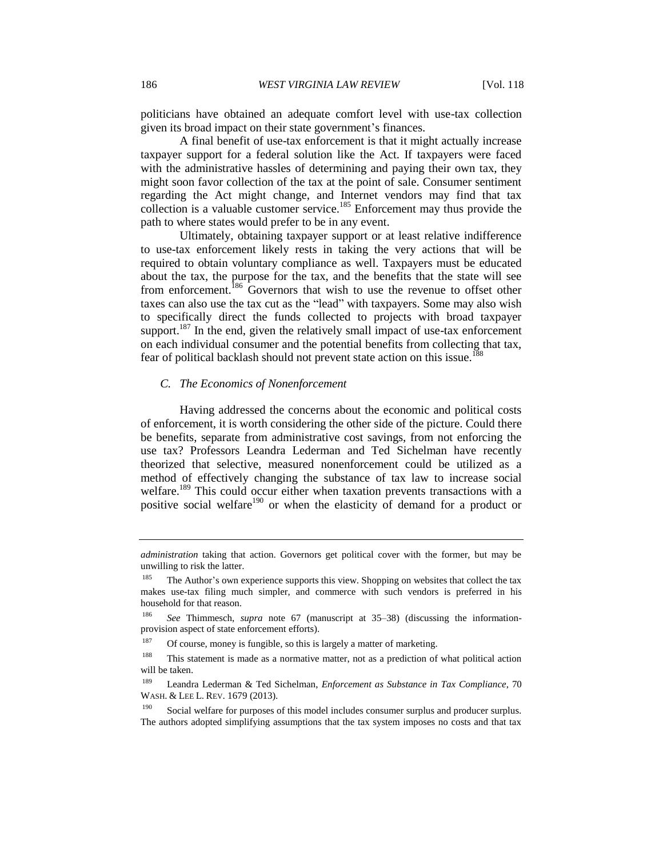politicians have obtained an adequate comfort level with use-tax collection given its broad impact on their state government's finances.

A final benefit of use-tax enforcement is that it might actually increase taxpayer support for a federal solution like the Act. If taxpayers were faced with the administrative hassles of determining and paying their own tax, they might soon favor collection of the tax at the point of sale. Consumer sentiment regarding the Act might change, and Internet vendors may find that tax collection is a valuable customer service.<sup>185</sup> Enforcement may thus provide the path to where states would prefer to be in any event.

Ultimately, obtaining taxpayer support or at least relative indifference to use-tax enforcement likely rests in taking the very actions that will be required to obtain voluntary compliance as well. Taxpayers must be educated about the tax, the purpose for the tax, and the benefits that the state will see from enforcement.<sup>186</sup> Governors that wish to use the revenue to offset other taxes can also use the tax cut as the "lead" with taxpayers. Some may also wish to specifically direct the funds collected to projects with broad taxpayer support.<sup>187</sup> In the end, given the relatively small impact of use-tax enforcement on each individual consumer and the potential benefits from collecting that tax, fear of political backlash should not prevent state action on this issue.<sup>188</sup>

#### *C. The Economics of Nonenforcement*

Having addressed the concerns about the economic and political costs of enforcement, it is worth considering the other side of the picture. Could there be benefits, separate from administrative cost savings, from not enforcing the use tax? Professors Leandra Lederman and Ted Sichelman have recently theorized that selective, measured nonenforcement could be utilized as a method of effectively changing the substance of tax law to increase social welfare.<sup>189</sup> This could occur either when taxation prevents transactions with a positive social welfare<sup>190</sup> or when the elasticity of demand for a product or

*administration* taking that action. Governors get political cover with the former, but may be unwilling to risk the latter.

<sup>&</sup>lt;sup>185</sup> The Author's own experience supports this view. Shopping on websites that collect the tax makes use-tax filing much simpler, and commerce with such vendors is preferred in his household for that reason.

<sup>186</sup> *See* Thimmesch, *supra* note 67 (manuscript at 35–38) (discussing the informationprovision aspect of state enforcement efforts).

<sup>&</sup>lt;sup>187</sup> Of course, money is fungible, so this is largely a matter of marketing.

<sup>188</sup> This statement is made as a normative matter, not as a prediction of what political action will be taken.

<sup>189</sup> Leandra Lederman & Ted Sichelman, *Enforcement as Substance in Tax Compliance*, 70 WASH. & LEE L. REV. 1679 (2013).

 $190$  Social welfare for purposes of this model includes consumer surplus and producer surplus. The authors adopted simplifying assumptions that the tax system imposes no costs and that tax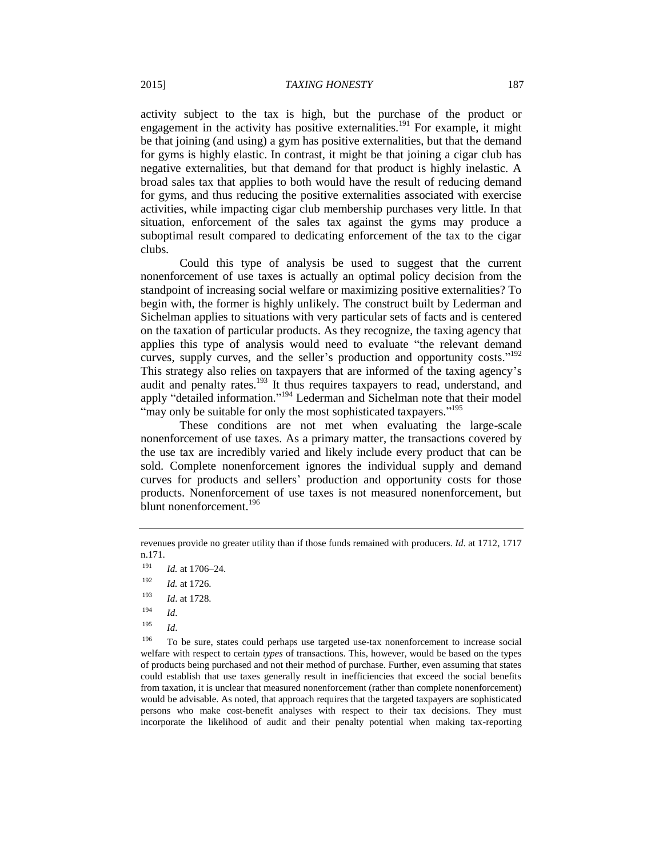activity subject to the tax is high, but the purchase of the product or engagement in the activity has positive externalities.<sup>191</sup> For example, it might be that joining (and using) a gym has positive externalities, but that the demand for gyms is highly elastic. In contrast, it might be that joining a cigar club has negative externalities, but that demand for that product is highly inelastic. A broad sales tax that applies to both would have the result of reducing demand for gyms, and thus reducing the positive externalities associated with exercise activities, while impacting cigar club membership purchases very little. In that situation, enforcement of the sales tax against the gyms may produce a suboptimal result compared to dedicating enforcement of the tax to the cigar clubs.

Could this type of analysis be used to suggest that the current nonenforcement of use taxes is actually an optimal policy decision from the standpoint of increasing social welfare or maximizing positive externalities? To begin with, the former is highly unlikely. The construct built by Lederman and Sichelman applies to situations with very particular sets of facts and is centered on the taxation of particular products. As they recognize, the taxing agency that applies this type of analysis would need to evaluate "the relevant demand curves, supply curves, and the seller's production and opportunity costs."<sup>192</sup> This strategy also relies on taxpayers that are informed of the taxing agency's audit and penalty rates.<sup>193</sup> It thus requires taxpayers to read, understand, and apply "detailed information."<sup>194</sup> Lederman and Sichelman note that their model "may only be suitable for only the most sophisticated taxpayers."<sup>195</sup>

These conditions are not met when evaluating the large-scale nonenforcement of use taxes. As a primary matter, the transactions covered by the use tax are incredibly varied and likely include every product that can be sold. Complete nonenforcement ignores the individual supply and demand curves for products and sellers' production and opportunity costs for those products. Nonenforcement of use taxes is not measured nonenforcement, but blunt nonenforcement.<sup>196</sup>

<sup>195</sup> *Id*.

<sup>196</sup> To be sure, states could perhaps use targeted use-tax nonenforcement to increase social welfare with respect to certain *types* of transactions. This, however, would be based on the types of products being purchased and not their method of purchase. Further, even assuming that states could establish that use taxes generally result in inefficiencies that exceed the social benefits from taxation, it is unclear that measured nonenforcement (rather than complete nonenforcement) would be advisable. As noted, that approach requires that the targeted taxpayers are sophisticated persons who make cost-benefit analyses with respect to their tax decisions. They must incorporate the likelihood of audit and their penalty potential when making tax-reporting

revenues provide no greater utility than if those funds remained with producers. *Id*. at 1712, 1717 n.171.

<sup>191</sup> *Id.* at 1706–24.

<sup>192</sup> *Id.* at 1726.

<sup>193</sup> *Id*. at 1728.

 $^{194}$  *Id.*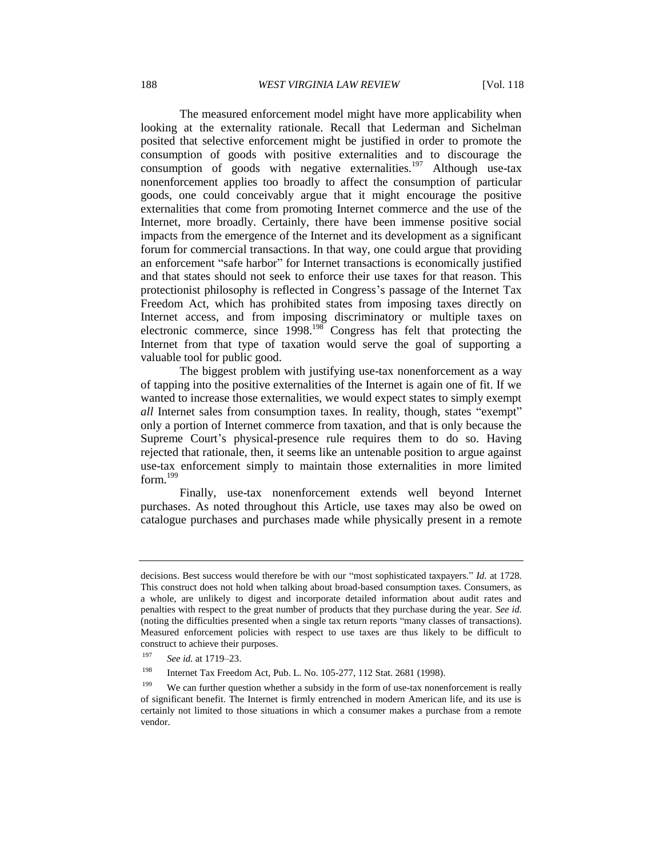The measured enforcement model might have more applicability when looking at the externality rationale. Recall that Lederman and Sichelman posited that selective enforcement might be justified in order to promote the consumption of goods with positive externalities and to discourage the consumption of goods with negative externalities.<sup>197</sup> Although use-tax nonenforcement applies too broadly to affect the consumption of particular goods, one could conceivably argue that it might encourage the positive externalities that come from promoting Internet commerce and the use of the Internet, more broadly. Certainly, there have been immense positive social impacts from the emergence of the Internet and its development as a significant forum for commercial transactions. In that way, one could argue that providing an enforcement "safe harbor" for Internet transactions is economically justified and that states should not seek to enforce their use taxes for that reason. This protectionist philosophy is reflected in Congress's passage of the Internet Tax Freedom Act, which has prohibited states from imposing taxes directly on Internet access, and from imposing discriminatory or multiple taxes on electronic commerce, since 1998.<sup>198</sup> Congress has felt that protecting the Internet from that type of taxation would serve the goal of supporting a valuable tool for public good.

The biggest problem with justifying use-tax nonenforcement as a way of tapping into the positive externalities of the Internet is again one of fit. If we wanted to increase those externalities, we would expect states to simply exempt *all* Internet sales from consumption taxes. In reality, though, states "exempt" only a portion of Internet commerce from taxation, and that is only because the Supreme Court's physical-presence rule requires them to do so. Having rejected that rationale, then, it seems like an untenable position to argue against use-tax enforcement simply to maintain those externalities in more limited form.<sup>199</sup>

Finally, use-tax nonenforcement extends well beyond Internet purchases. As noted throughout this Article, use taxes may also be owed on catalogue purchases and purchases made while physically present in a remote

decisions. Best success would therefore be with our "most sophisticated taxpayers." *Id.* at 1728. This construct does not hold when talking about broad-based consumption taxes. Consumers, as a whole, are unlikely to digest and incorporate detailed information about audit rates and penalties with respect to the great number of products that they purchase during the year. *See id.* (noting the difficulties presented when a single tax return reports "many classes of transactions). Measured enforcement policies with respect to use taxes are thus likely to be difficult to construct to achieve their purposes.

<sup>197</sup> *See id.* at 1719–23.

<sup>198</sup> Internet Tax Freedom Act, Pub. L. No. 105-277, 112 Stat. 2681 (1998).

<sup>&</sup>lt;sup>199</sup> We can further question whether a subsidy in the form of use-tax nonenforcement is really of significant benefit. The Internet is firmly entrenched in modern American life, and its use is certainly not limited to those situations in which a consumer makes a purchase from a remote vendor.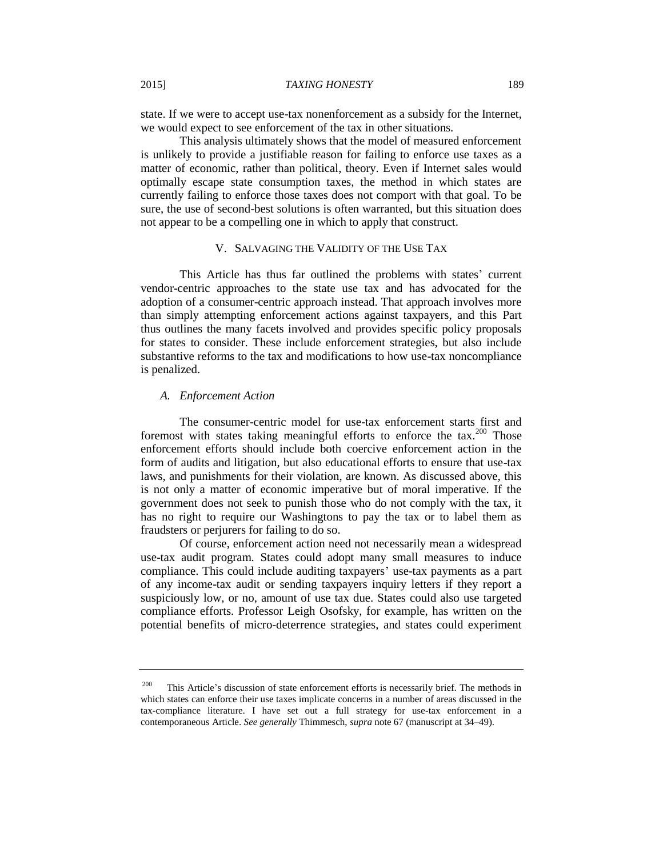state. If we were to accept use-tax nonenforcement as a subsidy for the Internet, we would expect to see enforcement of the tax in other situations.

This analysis ultimately shows that the model of measured enforcement is unlikely to provide a justifiable reason for failing to enforce use taxes as a matter of economic, rather than political, theory. Even if Internet sales would optimally escape state consumption taxes, the method in which states are currently failing to enforce those taxes does not comport with that goal. To be sure, the use of second-best solutions is often warranted, but this situation does not appear to be a compelling one in which to apply that construct.

#### V. SALVAGING THE VALIDITY OF THE USE TAX

This Article has thus far outlined the problems with states' current vendor-centric approaches to the state use tax and has advocated for the adoption of a consumer-centric approach instead. That approach involves more than simply attempting enforcement actions against taxpayers, and this Part thus outlines the many facets involved and provides specific policy proposals for states to consider. These include enforcement strategies, but also include substantive reforms to the tax and modifications to how use-tax noncompliance is penalized.

# *A. Enforcement Action*

The consumer-centric model for use-tax enforcement starts first and foremost with states taking meaningful efforts to enforce the  $\text{tax.}^{200}$  Those enforcement efforts should include both coercive enforcement action in the form of audits and litigation, but also educational efforts to ensure that use-tax laws, and punishments for their violation, are known. As discussed above, this is not only a matter of economic imperative but of moral imperative. If the government does not seek to punish those who do not comply with the tax, it has no right to require our Washingtons to pay the tax or to label them as fraudsters or perjurers for failing to do so.

Of course, enforcement action need not necessarily mean a widespread use-tax audit program. States could adopt many small measures to induce compliance. This could include auditing taxpayers' use-tax payments as a part of any income-tax audit or sending taxpayers inquiry letters if they report a suspiciously low, or no, amount of use tax due. States could also use targeted compliance efforts. Professor Leigh Osofsky, for example, has written on the potential benefits of micro-deterrence strategies, and states could experiment

 $200$  This Article's discussion of state enforcement efforts is necessarily brief. The methods in which states can enforce their use taxes implicate concerns in a number of areas discussed in the tax-compliance literature. I have set out a full strategy for use-tax enforcement in a contemporaneous Article. *See generally* Thimmesch, *supra* note 67 (manuscript at 34–49).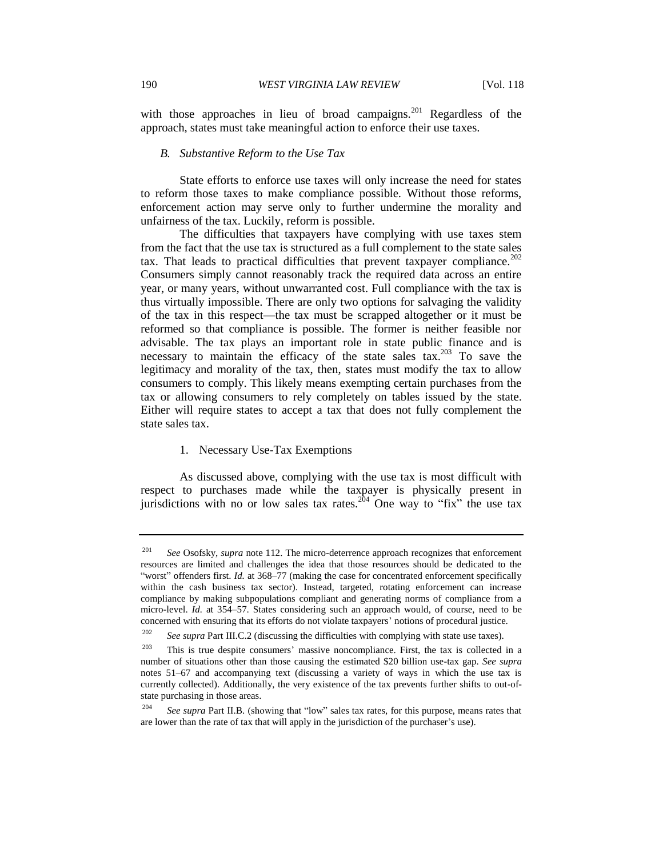with those approaches in lieu of broad campaigns.<sup>201</sup> Regardless of the approach, states must take meaningful action to enforce their use taxes.

# *B. Substantive Reform to the Use Tax*

State efforts to enforce use taxes will only increase the need for states to reform those taxes to make compliance possible. Without those reforms, enforcement action may serve only to further undermine the morality and unfairness of the tax. Luckily, reform is possible.

The difficulties that taxpayers have complying with use taxes stem from the fact that the use tax is structured as a full complement to the state sales tax. That leads to practical difficulties that prevent taxpayer compliance.<sup>202</sup> Consumers simply cannot reasonably track the required data across an entire year, or many years, without unwarranted cost. Full compliance with the tax is thus virtually impossible. There are only two options for salvaging the validity of the tax in this respect—the tax must be scrapped altogether or it must be reformed so that compliance is possible. The former is neither feasible nor advisable. The tax plays an important role in state public finance and is necessary to maintain the efficacy of the state sales  $\text{tax.}^{203}$  To save the legitimacy and morality of the tax, then, states must modify the tax to allow consumers to comply. This likely means exempting certain purchases from the tax or allowing consumers to rely completely on tables issued by the state. Either will require states to accept a tax that does not fully complement the state sales tax.

#### 1. Necessary Use-Tax Exemptions

As discussed above, complying with the use tax is most difficult with respect to purchases made while the taxpayer is physically present in jurisdictions with no or low sales tax rates.<sup>204</sup> One way to "fix" the use tax

<sup>&</sup>lt;sup>201</sup> *See* Osofsky, *supra* note 112. The micro-deterrence approach recognizes that enforcement resources are limited and challenges the idea that those resources should be dedicated to the "worst" offenders first. *Id.* at 368–77 (making the case for concentrated enforcement specifically within the cash business tax sector). Instead, targeted, rotating enforcement can increase compliance by making subpopulations compliant and generating norms of compliance from a micro-level. *Id.* at 354–57. States considering such an approach would, of course, need to be concerned with ensuring that its efforts do not violate taxpayers' notions of procedural justice.

<sup>&</sup>lt;sup>202</sup> *See supra* Part III.C.2 (discussing the difficulties with complying with state use taxes).

 $203$  This is true despite consumers' massive noncompliance. First, the tax is collected in a number of situations other than those causing the estimated \$20 billion use-tax gap. *See supra* notes 51–67 and accompanying text (discussing a variety of ways in which the use tax is currently collected). Additionally, the very existence of the tax prevents further shifts to out-ofstate purchasing in those areas.

<sup>&</sup>lt;sup>204</sup> *See supra Part II.B.* (showing that "low" sales tax rates, for this purpose, means rates that are lower than the rate of tax that will apply in the jurisdiction of the purchaser's use).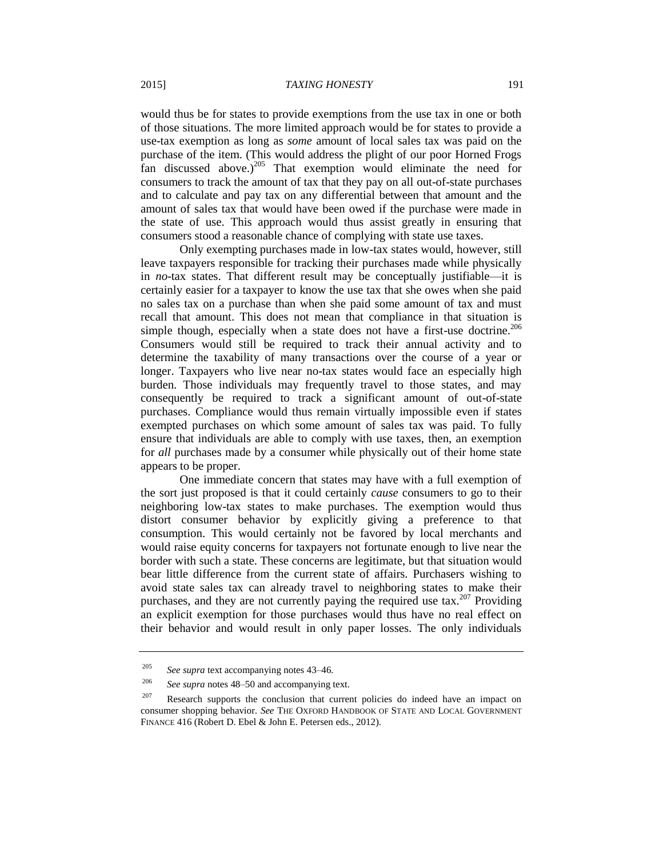would thus be for states to provide exemptions from the use tax in one or both of those situations. The more limited approach would be for states to provide a use-tax exemption as long as *some* amount of local sales tax was paid on the purchase of the item. (This would address the plight of our poor Horned Frogs fan discussed above.) $^{205}$  That exemption would eliminate the need for consumers to track the amount of tax that they pay on all out-of-state purchases and to calculate and pay tax on any differential between that amount and the amount of sales tax that would have been owed if the purchase were made in the state of use. This approach would thus assist greatly in ensuring that consumers stood a reasonable chance of complying with state use taxes.

Only exempting purchases made in low-tax states would, however, still leave taxpayers responsible for tracking their purchases made while physically in *no*-tax states. That different result may be conceptually justifiable—it is certainly easier for a taxpayer to know the use tax that she owes when she paid no sales tax on a purchase than when she paid some amount of tax and must recall that amount. This does not mean that compliance in that situation is simple though, especially when a state does not have a first-use doctrine.<sup>206</sup> Consumers would still be required to track their annual activity and to determine the taxability of many transactions over the course of a year or longer. Taxpayers who live near no-tax states would face an especially high burden. Those individuals may frequently travel to those states, and may consequently be required to track a significant amount of out-of-state purchases. Compliance would thus remain virtually impossible even if states exempted purchases on which some amount of sales tax was paid. To fully ensure that individuals are able to comply with use taxes, then, an exemption for *all* purchases made by a consumer while physically out of their home state appears to be proper.

One immediate concern that states may have with a full exemption of the sort just proposed is that it could certainly *cause* consumers to go to their neighboring low-tax states to make purchases. The exemption would thus distort consumer behavior by explicitly giving a preference to that consumption. This would certainly not be favored by local merchants and would raise equity concerns for taxpayers not fortunate enough to live near the border with such a state. These concerns are legitimate, but that situation would bear little difference from the current state of affairs. Purchasers wishing to avoid state sales tax can already travel to neighboring states to make their purchases, and they are not currently paying the required use tax.<sup>207</sup> Providing an explicit exemption for those purchases would thus have no real effect on their behavior and would result in only paper losses. The only individuals

<sup>205</sup> *See supra* text accompanying notes 43–46.

<sup>206</sup> *See supra* notes 48–50 and accompanying text.

 $207$  Research supports the conclusion that current policies do indeed have an impact on consumer shopping behavior. *See* THE OXFORD HANDBOOK OF STATE AND LOCAL GOVERNMENT FINANCE 416 (Robert D. Ebel & John E. Petersen eds., 2012).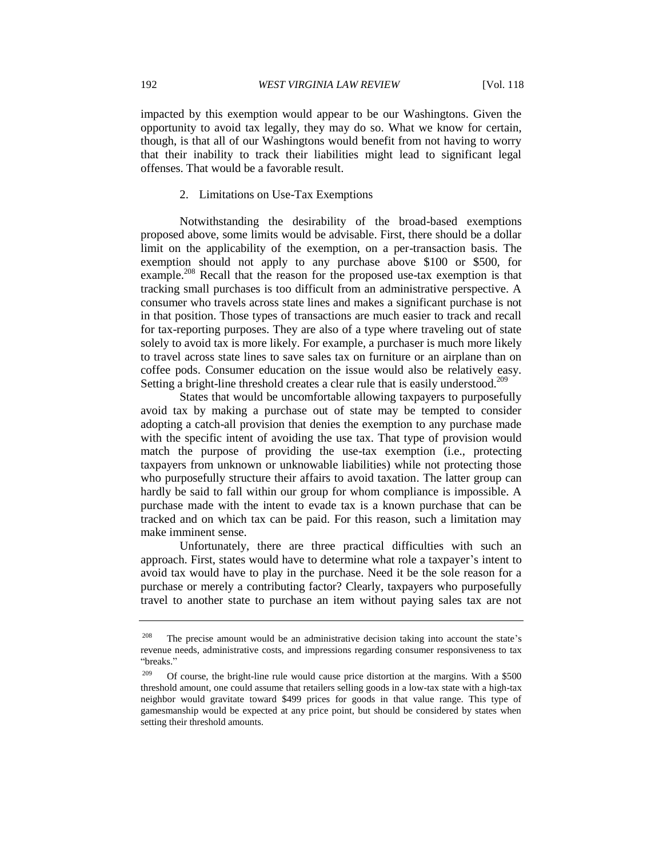impacted by this exemption would appear to be our Washingtons. Given the opportunity to avoid tax legally, they may do so. What we know for certain, though, is that all of our Washingtons would benefit from not having to worry that their inability to track their liabilities might lead to significant legal offenses. That would be a favorable result.

# 2. Limitations on Use-Tax Exemptions

Notwithstanding the desirability of the broad-based exemptions proposed above, some limits would be advisable. First, there should be a dollar limit on the applicability of the exemption, on a per-transaction basis. The exemption should not apply to any purchase above \$100 or \$500, for example.<sup>208</sup> Recall that the reason for the proposed use-tax exemption is that tracking small purchases is too difficult from an administrative perspective. A consumer who travels across state lines and makes a significant purchase is not in that position. Those types of transactions are much easier to track and recall for tax-reporting purposes. They are also of a type where traveling out of state solely to avoid tax is more likely. For example, a purchaser is much more likely to travel across state lines to save sales tax on furniture or an airplane than on coffee pods. Consumer education on the issue would also be relatively easy. Setting a bright-line threshold creates a clear rule that is easily understood.<sup>209</sup>

States that would be uncomfortable allowing taxpayers to purposefully avoid tax by making a purchase out of state may be tempted to consider adopting a catch-all provision that denies the exemption to any purchase made with the specific intent of avoiding the use tax. That type of provision would match the purpose of providing the use-tax exemption (i.e., protecting taxpayers from unknown or unknowable liabilities) while not protecting those who purposefully structure their affairs to avoid taxation. The latter group can hardly be said to fall within our group for whom compliance is impossible. A purchase made with the intent to evade tax is a known purchase that can be tracked and on which tax can be paid. For this reason, such a limitation may make imminent sense.

Unfortunately, there are three practical difficulties with such an approach. First, states would have to determine what role a taxpayer's intent to avoid tax would have to play in the purchase. Need it be the sole reason for a purchase or merely a contributing factor? Clearly, taxpayers who purposefully travel to another state to purchase an item without paying sales tax are not

<sup>&</sup>lt;sup>208</sup> The precise amount would be an administrative decision taking into account the state's revenue needs, administrative costs, and impressions regarding consumer responsiveness to tax "breaks."

<sup>&</sup>lt;sup>209</sup> Of course, the bright-line rule would cause price distortion at the margins. With a \$500 threshold amount, one could assume that retailers selling goods in a low-tax state with a high-tax neighbor would gravitate toward \$499 prices for goods in that value range. This type of gamesmanship would be expected at any price point, but should be considered by states when setting their threshold amounts.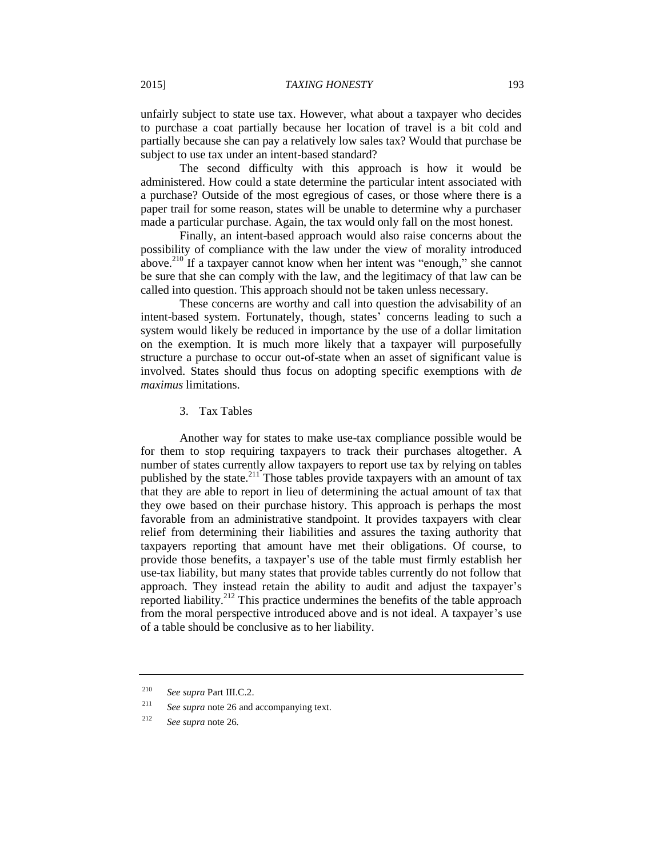unfairly subject to state use tax. However, what about a taxpayer who decides to purchase a coat partially because her location of travel is a bit cold and partially because she can pay a relatively low sales tax? Would that purchase be subject to use tax under an intent-based standard?

The second difficulty with this approach is how it would be administered. How could a state determine the particular intent associated with a purchase? Outside of the most egregious of cases, or those where there is a paper trail for some reason, states will be unable to determine why a purchaser made a particular purchase. Again, the tax would only fall on the most honest.

Finally, an intent-based approach would also raise concerns about the possibility of compliance with the law under the view of morality introduced above.<sup>210</sup> If a taxpayer cannot know when her intent was "enough," she cannot be sure that she can comply with the law, and the legitimacy of that law can be called into question. This approach should not be taken unless necessary.

These concerns are worthy and call into question the advisability of an intent-based system. Fortunately, though, states' concerns leading to such a system would likely be reduced in importance by the use of a dollar limitation on the exemption. It is much more likely that a taxpayer will purposefully structure a purchase to occur out-of-state when an asset of significant value is involved. States should thus focus on adopting specific exemptions with *de maximus* limitations.

3. Tax Tables

Another way for states to make use-tax compliance possible would be for them to stop requiring taxpayers to track their purchases altogether. A number of states currently allow taxpayers to report use tax by relying on tables published by the state.<sup>211</sup> Those tables provide taxpayers with an amount of tax that they are able to report in lieu of determining the actual amount of tax that they owe based on their purchase history. This approach is perhaps the most favorable from an administrative standpoint. It provides taxpayers with clear relief from determining their liabilities and assures the taxing authority that taxpayers reporting that amount have met their obligations. Of course, to provide those benefits, a taxpayer's use of the table must firmly establish her use-tax liability, but many states that provide tables currently do not follow that approach. They instead retain the ability to audit and adjust the taxpayer's reported liability.<sup>212</sup> This practice undermines the benefits of the table approach from the moral perspective introduced above and is not ideal. A taxpayer's use of a table should be conclusive as to her liability.

<sup>210</sup> *See supra* Part III.C.2.

<sup>211</sup> *See supra* note 26 and accompanying text.

<sup>212</sup> *See supra* note 26*.*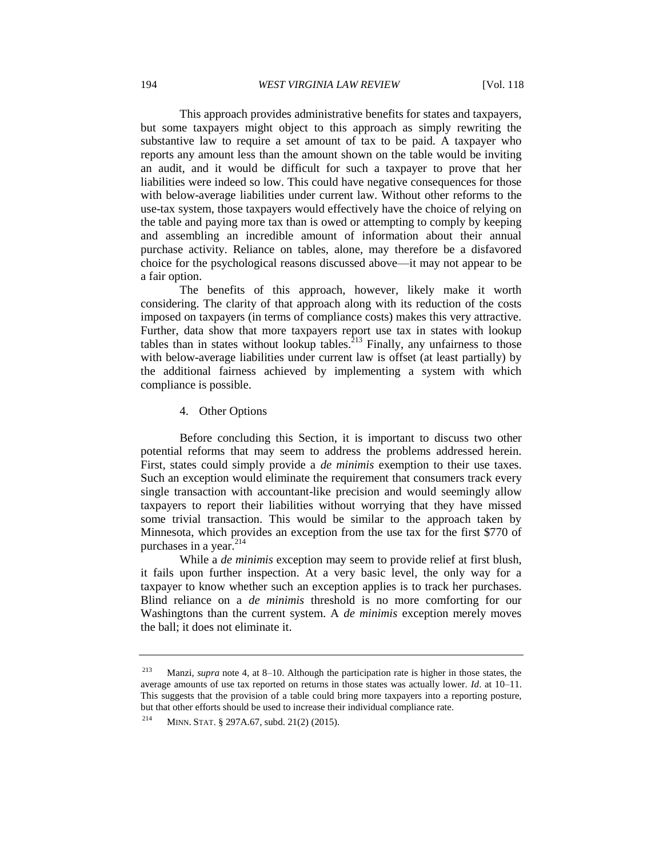This approach provides administrative benefits for states and taxpayers, but some taxpayers might object to this approach as simply rewriting the substantive law to require a set amount of tax to be paid. A taxpayer who reports any amount less than the amount shown on the table would be inviting an audit, and it would be difficult for such a taxpayer to prove that her liabilities were indeed so low. This could have negative consequences for those with below-average liabilities under current law. Without other reforms to the use-tax system, those taxpayers would effectively have the choice of relying on the table and paying more tax than is owed or attempting to comply by keeping and assembling an incredible amount of information about their annual purchase activity. Reliance on tables, alone, may therefore be a disfavored choice for the psychological reasons discussed above—it may not appear to be a fair option.

The benefits of this approach, however, likely make it worth considering. The clarity of that approach along with its reduction of the costs imposed on taxpayers (in terms of compliance costs) makes this very attractive. Further, data show that more taxpayers report use tax in states with lookup tables than in states without lookup tables.<sup>213</sup> Finally, any unfairness to those with below-average liabilities under current law is offset (at least partially) by the additional fairness achieved by implementing a system with which compliance is possible.

# 4. Other Options

Before concluding this Section, it is important to discuss two other potential reforms that may seem to address the problems addressed herein. First, states could simply provide a *de minimis* exemption to their use taxes. Such an exception would eliminate the requirement that consumers track every single transaction with accountant-like precision and would seemingly allow taxpayers to report their liabilities without worrying that they have missed some trivial transaction. This would be similar to the approach taken by Minnesota, which provides an exception from the use tax for the first \$770 of purchases in a year.<sup>214</sup>

While a *de minimis* exception may seem to provide relief at first blush, it fails upon further inspection. At a very basic level, the only way for a taxpayer to know whether such an exception applies is to track her purchases. Blind reliance on a *de minimis* threshold is no more comforting for our Washingtons than the current system. A *de minimis* exception merely moves the ball; it does not eliminate it.

<sup>213</sup> Manzi, *supra* note 4, at 8–10. Although the participation rate is higher in those states, the average amounts of use tax reported on returns in those states was actually lower. *Id*. at 10–11. This suggests that the provision of a table could bring more taxpayers into a reporting posture, but that other efforts should be used to increase their individual compliance rate.

<sup>214</sup> MINN. STAT. § 297A.67, subd. 21(2) (2015).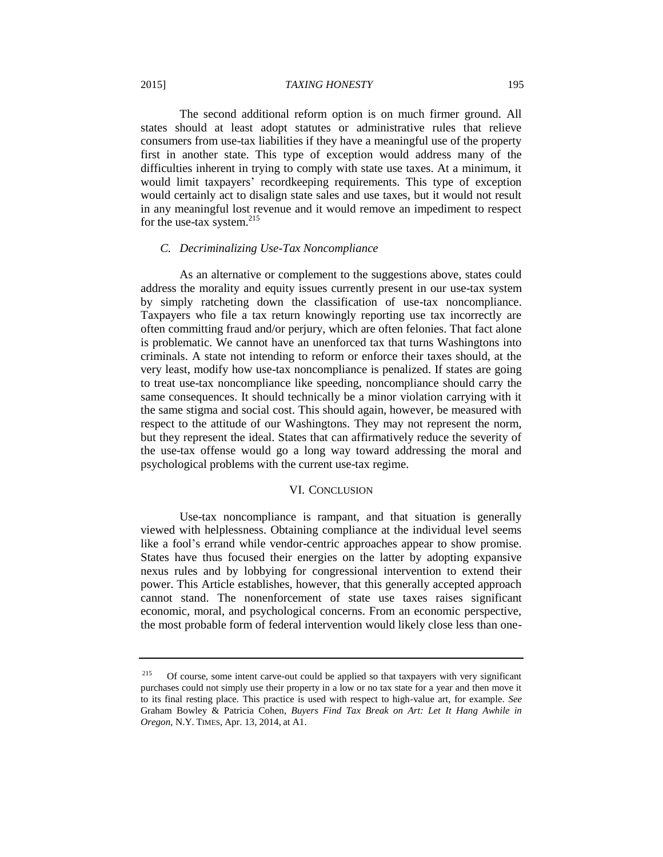### 2015] *TAXING HONESTY* 195

The second additional reform option is on much firmer ground. All states should at least adopt statutes or administrative rules that relieve consumers from use-tax liabilities if they have a meaningful use of the property first in another state. This type of exception would address many of the difficulties inherent in trying to comply with state use taxes. At a minimum, it would limit taxpayers' recordkeeping requirements. This type of exception would certainly act to disalign state sales and use taxes, but it would not result in any meaningful lost revenue and it would remove an impediment to respect for the use-tax system. $215$ 

# *C. Decriminalizing Use-Tax Noncompliance*

As an alternative or complement to the suggestions above, states could address the morality and equity issues currently present in our use-tax system by simply ratcheting down the classification of use-tax noncompliance. Taxpayers who file a tax return knowingly reporting use tax incorrectly are often committing fraud and/or perjury, which are often felonies. That fact alone is problematic. We cannot have an unenforced tax that turns Washingtons into criminals. A state not intending to reform or enforce their taxes should, at the very least, modify how use-tax noncompliance is penalized. If states are going to treat use-tax noncompliance like speeding, noncompliance should carry the same consequences. It should technically be a minor violation carrying with it the same stigma and social cost. This should again, however, be measured with respect to the attitude of our Washingtons. They may not represent the norm, but they represent the ideal. States that can affirmatively reduce the severity of the use-tax offense would go a long way toward addressing the moral and psychological problems with the current use-tax regime.

# VI. CONCLUSION

Use-tax noncompliance is rampant, and that situation is generally viewed with helplessness. Obtaining compliance at the individual level seems like a fool's errand while vendor-centric approaches appear to show promise. States have thus focused their energies on the latter by adopting expansive nexus rules and by lobbying for congressional intervention to extend their power. This Article establishes, however, that this generally accepted approach cannot stand. The nonenforcement of state use taxes raises significant economic, moral, and psychological concerns. From an economic perspective, the most probable form of federal intervention would likely close less than one-

<sup>&</sup>lt;sup>215</sup> Of course, some intent carve-out could be applied so that taxpayers with very significant purchases could not simply use their property in a low or no tax state for a year and then move it to its final resting place. This practice is used with respect to high-value art, for example. *See*  Graham Bowley & Patricia Cohen, *Buyers Find Tax Break on Art: Let It Hang Awhile in Oregon*, N.Y. TIMES, Apr. 13, 2014, at A1.